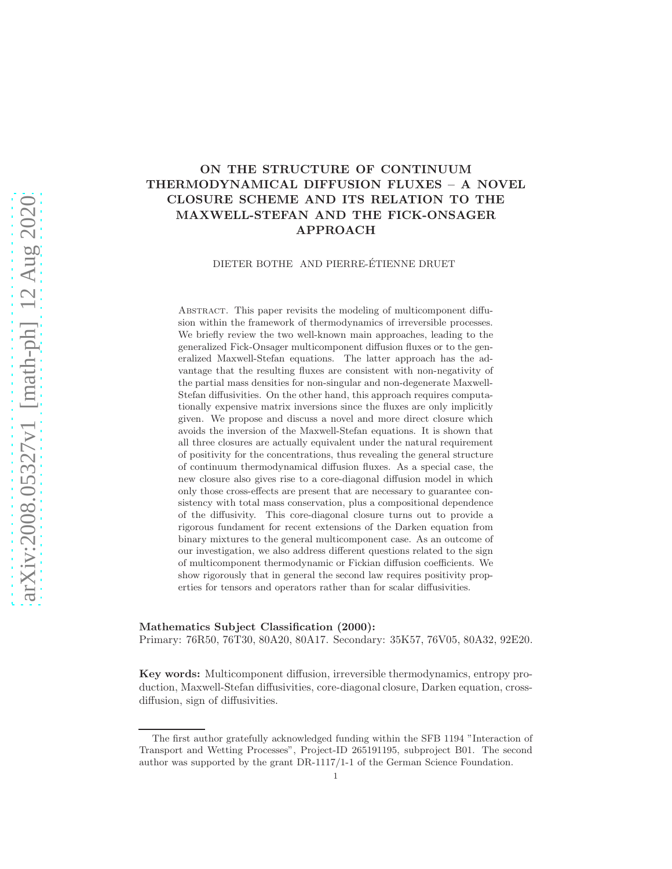# ON THE STRUCTURE OF CONTINUUM THERMODYNAMICAL DIFFUSION FLUXES – A NOVEL CLOSURE SCHEME AND ITS RELATION TO THE MAXWELL-STEFAN AND THE FICK-ONSAGER APPROACH

DIETER BOTHE AND PIERRE-ÉTIENNE DRUET

Abstract. This paper revisits the modeling of multicomponent diffusion within the framework of thermodynamics of irreversible processes. We briefly review the two well-known main approaches, leading to the generalized Fick-Onsager multicomponent diffusion fluxes or to the generalized Maxwell-Stefan equations. The latter approach has the advantage that the resulting fluxes are consistent with non-negativity of the partial mass densities for non-singular and non-degenerate Maxwell-Stefan diffusivities. On the other hand, this approach requires computationally expensive matrix inversions since the fluxes are only implicitly given. We propose and discuss a novel and more direct closure which avoids the inversion of the Maxwell-Stefan equations. It is shown that all three closures are actually equivalent under the natural requirement of positivity for the concentrations, thus revealing the general structure of continuum thermodynamical diffusion fluxes. As a special case, the new closure also gives rise to a core-diagonal diffusion model in which only those cross-effects are present that are necessary to guarantee consistency with total mass conservation, plus a compositional dependence of the diffusivity. This core-diagonal closure turns out to provide a rigorous fundament for recent extensions of the Darken equation from binary mixtures to the general multicomponent case. As an outcome of our investigation, we also address different questions related to the sign of multicomponent thermodynamic or Fickian diffusion coefficients. We show rigorously that in general the second law requires positivity properties for tensors and operators rather than for scalar diffusivities.

Mathematics Subject Classification (2000):

Primary: 76R50, 76T30, 80A20, 80A17. Secondary: 35K57, 76V05, 80A32, 92E20.

Key words: Multicomponent diffusion, irreversible thermodynamics, entropy production, Maxwell-Stefan diffusivities, core-diagonal closure, Darken equation, crossdiffusion, sign of diffusivities.

The first author gratefully acknowledged funding within the SFB 1194 "Interaction of Transport and Wetting Processes", Project-ID 265191195, subproject B01. The second author was supported by the grant DR-1117/1-1 of the German Science Foundation.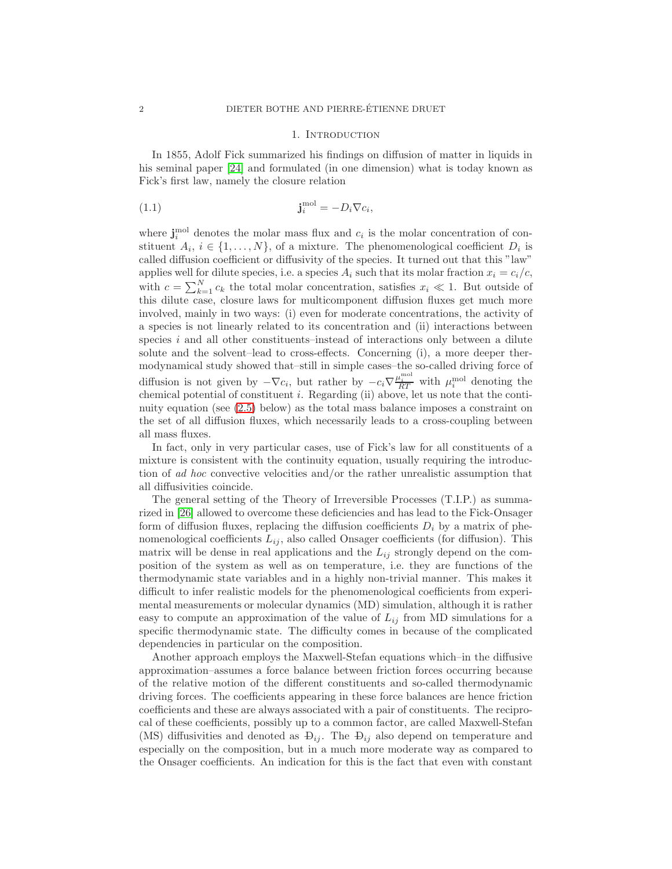#### <span id="page-1-0"></span>1. INTRODUCTION

In 1855, Adolf Fick summarized his findings on diffusion of matter in liquids in his seminal paper [\[24\]](#page-42-0) and formulated (in one dimension) what is today known as Fick's first law, namely the closure relation

(1.1) 
$$
\mathbf{j}_i^{\text{mol}} = -D_i \nabla c_i,
$$

where  $\mathbf{j}_{i}^{\text{mol}}$  denotes the molar mass flux and  $c_{i}$  is the molar concentration of constituent  $A_i, i \in \{1, \ldots, N\}$ , of a mixture. The phenomenological coefficient  $D_i$  is called diffusion coefficient or diffusivity of the species. It turned out that this "law" applies well for dilute species, i.e. a species  $A_i$  such that its molar fraction  $x_i = c_i/c$ , with  $c = \sum_{k=1}^{N} c_k$  the total molar concentration, satisfies  $x_i \ll 1$ . But outside of this dilute case, closure laws for multicomponent diffusion fluxes get much more involved, mainly in two ways: (i) even for moderate concentrations, the activity of a species is not linearly related to its concentration and (ii) interactions between species  $i$  and all other constituents–instead of interactions only between a dilute solute and the solvent–lead to cross-effects. Concerning (i), a more deeper thermodynamical study showed that–still in simple cases–the so-called driving force of diffusion is not given by  $-\nabla c_i$ , but rather by  $-c_i\nabla \frac{\mu_i^{\text{mol}}}{RT}$  with  $\mu_i^{\text{mol}}$  denoting the chemical potential of constituent  $i$ . Regarding (ii) above, let us note that the continuity equation (see [\(2.5\)](#page-4-0) below) as the total mass balance imposes a constraint on the set of all diffusion fluxes, which necessarily leads to a cross-coupling between all mass fluxes.

In fact, only in very particular cases, use of Fick's law for all constituents of a mixture is consistent with the continuity equation, usually requiring the introduction of ad hoc convective velocities and/or the rather unrealistic assumption that all diffusivities coincide.

The general setting of the Theory of Irreversible Processes (T.I.P.) as summarized in [\[26\]](#page-42-1) allowed to overcome these deficiencies and has lead to the Fick-Onsager form of diffusion fluxes, replacing the diffusion coefficients  $D_i$  by a matrix of phenomenological coefficients  $L_{ij}$ , also called Onsager coefficients (for diffusion). This matrix will be dense in real applications and the  $L_{ij}$  strongly depend on the composition of the system as well as on temperature, i.e. they are functions of the thermodynamic state variables and in a highly non-trivial manner. This makes it difficult to infer realistic models for the phenomenological coefficients from experimental measurements or molecular dynamics (MD) simulation, although it is rather easy to compute an approximation of the value of  $L_{ij}$  from MD simulations for a specific thermodynamic state. The difficulty comes in because of the complicated dependencies in particular on the composition.

Another approach employs the Maxwell-Stefan equations which–in the diffusive approximation–assumes a force balance between friction forces occurring because of the relative motion of the different constituents and so-called thermodynamic driving forces. The coefficients appearing in these force balances are hence friction coefficients and these are always associated with a pair of constituents. The reciprocal of these coefficients, possibly up to a common factor, are called Maxwell-Stefan (MS) diffusivities and denoted as  $\Theta_{ij}$ . The  $\Theta_{ij}$  also depend on temperature and especially on the composition, but in a much more moderate way as compared to the Onsager coefficients. An indication for this is the fact that even with constant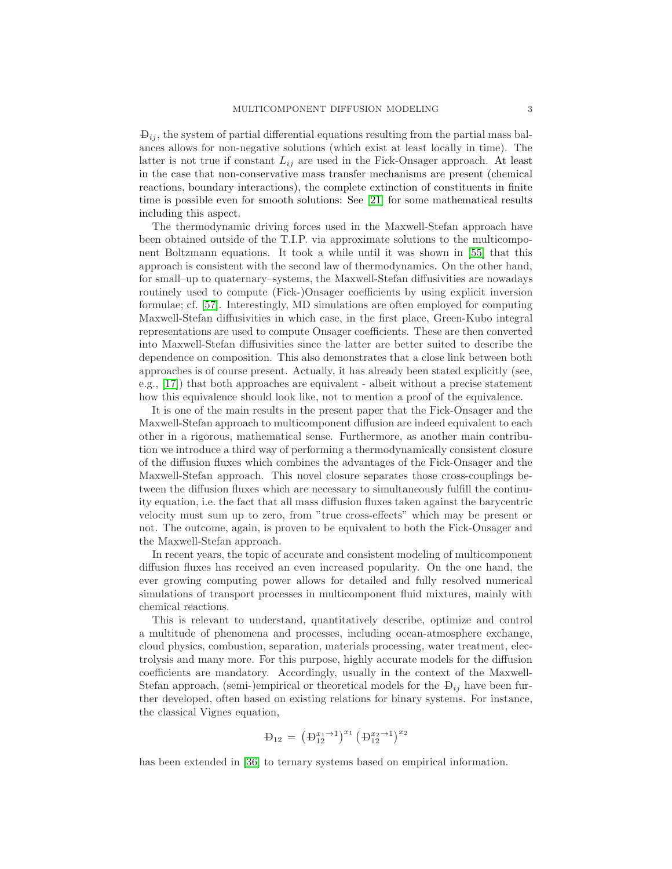$\Theta_{ij}$ , the system of partial differential equations resulting from the partial mass balances allows for non-negative solutions (which exist at least locally in time). The latter is not true if constant  $L_{ij}$  are used in the Fick-Onsager approach. At least in the case that non-conservative mass transfer mechanisms are present (chemical reactions, boundary interactions), the complete extinction of constituents in finite time is possible even for smooth solutions: See [\[21\]](#page-42-2) for some mathematical results including this aspect.

The thermodynamic driving forces used in the Maxwell-Stefan approach have been obtained outside of the T.I.P. via approximate solutions to the multicomponent Boltzmann equations. It took a while until it was shown in [\[55\]](#page-44-0) that this approach is consistent with the second law of thermodynamics. On the other hand, for small–up to quaternary–systems, the Maxwell-Stefan diffusivities are nowadays routinely used to compute (Fick-)Onsager coefficients by using explicit inversion formulae; cf. [\[57\]](#page-44-1). Interestingly, MD simulations are often employed for computing Maxwell-Stefan diffusivities in which case, in the first place, Green-Kubo integral representations are used to compute Onsager coefficients. These are then converted into Maxwell-Stefan diffusivities since the latter are better suited to describe the dependence on composition. This also demonstrates that a close link between both approaches is of course present. Actually, it has already been stated explicitly (see, e.g., [\[17\]](#page-42-3)) that both approaches are equivalent - albeit without a precise statement how this equivalence should look like, not to mention a proof of the equivalence.

It is one of the main results in the present paper that the Fick-Onsager and the Maxwell-Stefan approach to multicomponent diffusion are indeed equivalent to each other in a rigorous, mathematical sense. Furthermore, as another main contribution we introduce a third way of performing a thermodynamically consistent closure of the diffusion fluxes which combines the advantages of the Fick-Onsager and the Maxwell-Stefan approach. This novel closure separates those cross-couplings between the diffusion fluxes which are necessary to simultaneously fulfill the continuity equation, i.e. the fact that all mass diffusion fluxes taken against the barycentric velocity must sum up to zero, from "true cross-effects" which may be present or not. The outcome, again, is proven to be equivalent to both the Fick-Onsager and the Maxwell-Stefan approach.

In recent years, the topic of accurate and consistent modeling of multicomponent diffusion fluxes has received an even increased popularity. On the one hand, the ever growing computing power allows for detailed and fully resolved numerical simulations of transport processes in multicomponent fluid mixtures, mainly with chemical reactions.

This is relevant to understand, quantitatively describe, optimize and control a multitude of phenomena and processes, including ocean-atmosphere exchange, cloud physics, combustion, separation, materials processing, water treatment, electrolysis and many more. For this purpose, highly accurate models for the diffusion coefficients are mandatory. Accordingly, usually in the context of the Maxwell-Stefan approach, (semi-)empirical or theoretical models for the  $\mathbf{D}_{ij}$  have been further developed, often based on existing relations for binary systems. For instance, the classical Vignes equation,

$$
\mathbf{D}_{12} = \left( \mathbf{D}_{12}^{x_1 \to 1} \right)^{x_1} \left( \mathbf{D}_{12}^{x_2 \to 1} \right)^{x_2}
$$

has been extended in [\[36\]](#page-43-0) to ternary systems based on empirical information.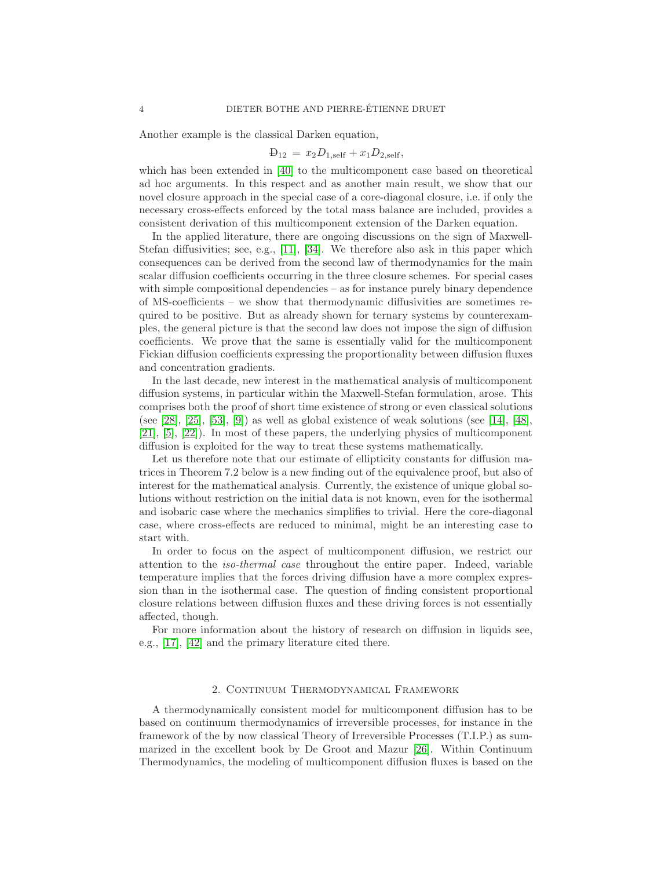Another example is the classical Darken equation,

$$
D_{12} = x_2 D_{1,\text{self}} + x_1 D_{2,\text{self}},
$$

which has been extended in [\[40\]](#page-43-1) to the multicomponent case based on theoretical ad hoc arguments. In this respect and as another main result, we show that our novel closure approach in the special case of a core-diagonal closure, i.e. if only the necessary cross-effects enforced by the total mass balance are included, provides a consistent derivation of this multicomponent extension of the Darken equation.

In the applied literature, there are ongoing discussions on the sign of Maxwell-Stefan diffusivities; see, e.g., [\[11\]](#page-42-4), [\[34\]](#page-43-2). We therefore also ask in this paper which consequences can be derived from the second law of thermodynamics for the main scalar diffusion coefficients occurring in the three closure schemes. For special cases with simple compositional dependencies – as for instance purely binary dependence of MS-coefficients – we show that thermodynamic diffusivities are sometimes required to be positive. But as already shown for ternary systems by counterexamples, the general picture is that the second law does not impose the sign of diffusion coefficients. We prove that the same is essentially valid for the multicomponent Fickian diffusion coefficients expressing the proportionality between diffusion fluxes and concentration gradients.

In the last decade, new interest in the mathematical analysis of multicomponent diffusion systems, in particular within the Maxwell-Stefan formulation, arose. This comprises both the proof of short time existence of strong or even classical solutions (see [\[28\]](#page-42-5), [\[25\]](#page-42-6), [\[53\]](#page-44-2), [\[9\]](#page-42-7)) as well as global existence of weak solutions (see [\[14\]](#page-42-8), [\[48\]](#page-43-3), [\[21\]](#page-42-2), [\[5\]](#page-41-0), [\[22\]](#page-42-9)). In most of these papers, the underlying physics of multicomponent diffusion is exploited for the way to treat these systems mathematically.

Let us therefore note that our estimate of ellipticity constants for diffusion matrices in Theorem 7.2 below is a new finding out of the equivalence proof, but also of interest for the mathematical analysis. Currently, the existence of unique global solutions without restriction on the initial data is not known, even for the isothermal and isobaric case where the mechanics simplifies to trivial. Here the core-diagonal case, where cross-effects are reduced to minimal, might be an interesting case to start with.

In order to focus on the aspect of multicomponent diffusion, we restrict our attention to the iso-thermal case throughout the entire paper. Indeed, variable temperature implies that the forces driving diffusion have a more complex expression than in the isothermal case. The question of finding consistent proportional closure relations between diffusion fluxes and these driving forces is not essentially affected, though.

For more information about the history of research on diffusion in liquids see, e.g., [\[17\]](#page-42-3), [\[42\]](#page-43-4) and the primary literature cited there.

#### 2. Continuum Thermodynamical Framework

<span id="page-3-0"></span>A thermodynamically consistent model for multicomponent diffusion has to be based on continuum thermodynamics of irreversible processes, for instance in the framework of the by now classical Theory of Irreversible Processes (T.I.P.) as summarized in the excellent book by De Groot and Mazur [\[26\]](#page-42-1). Within Continuum Thermodynamics, the modeling of multicomponent diffusion fluxes is based on the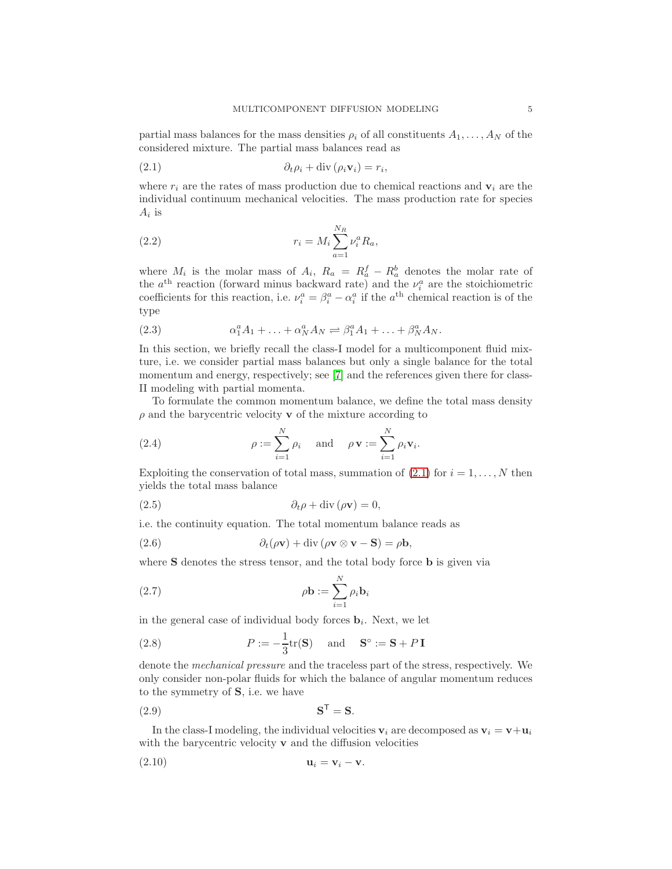partial mass balances for the mass densities  $\rho_i$  of all constituents  $A_1, \ldots, A_N$  of the considered mixture. The partial mass balances read as

<span id="page-4-1"></span>(2.1) ∂tρ<sup>i</sup> + div (ρivi) = r<sup>i</sup> ,

where  $r_i$  are the rates of mass production due to chemical reactions and  $v_i$  are the individual continuum mechanical velocities. The mass production rate for species  $A_i$  is

(2.2) 
$$
r_i = M_i \sum_{a=1}^{N_R} \nu_i^a R_a,
$$

where  $M_i$  is the molar mass of  $A_i$ ,  $R_a = R_a^f - R_a^b$  denotes the molar rate of the  $a^{\text{th}}$  reaction (forward minus backward rate) and the  $\nu_i^a$  are the stoichiometric coefficients for this reaction, i.e.  $\nu_i^a = \beta_i^a - \alpha_i^a$  if the  $a^{\text{th}}$  chemical reaction is of the type

(2.3) 
$$
\alpha_1^a A_1 + \ldots + \alpha_N^a A_N \rightleftharpoons \beta_1^a A_1 + \ldots + \beta_N^a A_N.
$$

In this section, we briefly recall the class-I model for a multicomponent fluid mixture, i.e. we consider partial mass balances but only a single balance for the total momentum and energy, respectively; see [\[7\]](#page-42-10) and the references given there for class-II modeling with partial momenta.

To formulate the common momentum balance, we define the total mass density  $\rho$  and the barycentric velocity **v** of the mixture according to

<span id="page-4-2"></span>(2.4) 
$$
\rho := \sum_{i=1}^{N} \rho_i \quad \text{and} \quad \rho \mathbf{v} := \sum_{i=1}^{N} \rho_i \mathbf{v}_i.
$$

Exploiting the conservation of total mass, summation of  $(2.1)$  for  $i = 1, \ldots, N$  then yields the total mass balance

<span id="page-4-0"></span>(2.5) 
$$
\partial_t \rho + \text{div} (\rho \mathbf{v}) = 0,
$$

i.e. the continuity equation. The total momentum balance reads as

(2.6) 
$$
\partial_t(\rho \mathbf{v}) + \mathrm{div}(\rho \mathbf{v} \otimes \mathbf{v} - \mathbf{S}) = \rho \mathbf{b},
$$

where **S** denotes the stress tensor, and the total body force **b** is given via

(2.7) 
$$
\rho \mathbf{b} := \sum_{i=1}^{N} \rho_i \mathbf{b}_i
$$

in the general case of individual body forces  $\mathbf{b}_i$ . Next, we let

(2.8) 
$$
P := -\frac{1}{3}\text{tr}(\mathbf{S}) \quad \text{and} \quad \mathbf{S}^{\circ} := \mathbf{S} + P\mathbf{I}
$$

denote the mechanical pressure and the traceless part of the stress, respectively. We only consider non-polar fluids for which the balance of angular momentum reduces to the symmetry of S, i.e. we have

$$
\mathbf{S}^{\mathsf{T}} = \mathbf{S}.
$$

In the class-I modeling, the individual velocities  $v_i$  are decomposed as  $v_i = v+u_i$ with the barycentric velocity **v** and the diffusion velocities

$$
\mathbf{u}_i = \mathbf{v}_i - \mathbf{v}.
$$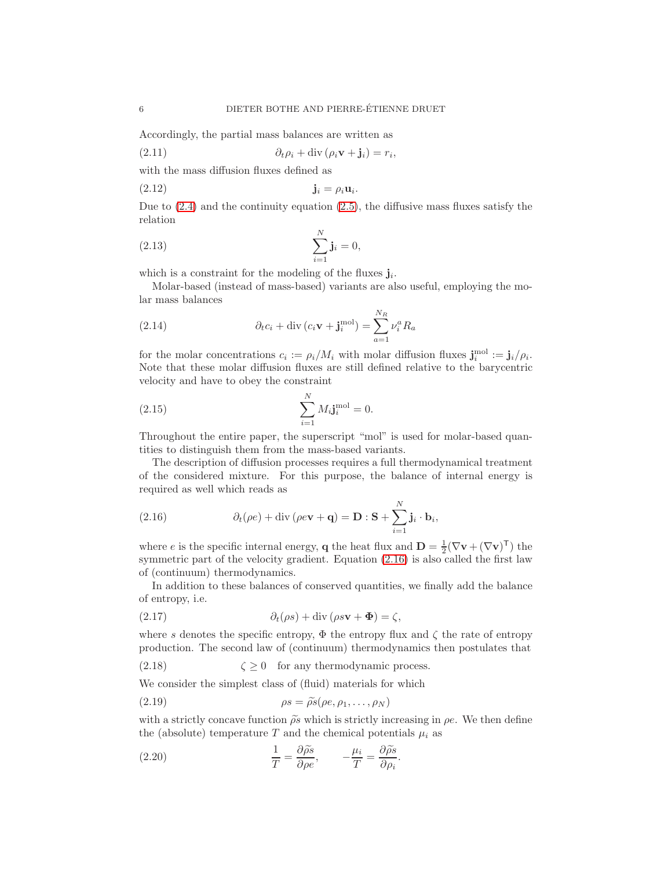Accordingly, the partial mass balances are written as

<span id="page-5-6"></span>(2.11) 
$$
\partial_t \rho_i + \text{div} (\rho_i \mathbf{v} + \mathbf{j}_i) = r_i,
$$

with the mass diffusion fluxes defined as

$$
\mathbf{j}_i = \rho_i \mathbf{u}_i.
$$

Due to  $(2.4)$  and the continuity equation  $(2.5)$ , the diffusive mass fluxes satisfy the relation

<span id="page-5-5"></span>(2.13) 
$$
\sum_{i=1}^{N} \mathbf{j}_{i} = 0,
$$

which is a constraint for the modeling of the fluxes  $\mathbf{j}_i$ .

Molar-based (instead of mass-based) variants are also useful, employing the molar mass balances

<span id="page-5-4"></span>(2.14) 
$$
\partial_t c_i + \text{div}(c_i \mathbf{v} + \mathbf{j}_i^{\text{mol}}) = \sum_{a=1}^{N_R} \nu_i^a R_a
$$

for the molar concentrations  $c_i := \rho_i/M_i$  with molar diffusion fluxes  $\mathbf{j}_i^{\text{mol}} := \mathbf{j}_i/\rho_i$ . Note that these molar diffusion fluxes are still defined relative to the barycentric velocity and have to obey the constraint

(2.15) 
$$
\sum_{i=1}^{N} M_i \mathbf{j}_i^{\text{mol}} = 0.
$$

Throughout the entire paper, the superscript "mol" is used for molar-based quantities to distinguish them from the mass-based variants.

The description of diffusion processes requires a full thermodynamical treatment of the considered mixture. For this purpose, the balance of internal energy is required as well which reads as

<span id="page-5-0"></span>(2.16) 
$$
\partial_t(\rho e) + \text{div}(\rho e \mathbf{v} + \mathbf{q}) = \mathbf{D} : \mathbf{S} + \sum_{i=1}^N \mathbf{j}_i \cdot \mathbf{b}_i,
$$

where e is the specific internal energy, **q** the heat flux and  $\mathbf{D} = \frac{1}{2}(\nabla \mathbf{v} + (\nabla \mathbf{v})^T)$  the symmetric part of the velocity gradient. Equation  $(2.16)$  is also called the first law of (continuum) thermodynamics.

In addition to these balances of conserved quantities, we finally add the balance of entropy, i.e.

<span id="page-5-1"></span>(2.17) 
$$
\partial_t(\rho s) + \text{div}(\rho s \mathbf{v} + \mathbf{\Phi}) = \zeta,
$$

where s denotes the specific entropy,  $\Phi$  the entropy flux and  $\zeta$  the rate of entropy production. The second law of (continuum) thermodynamics then postulates that

(2.18)  $\zeta \ge 0$  for any thermodynamic process.

We consider the simplest class of (fluid) materials for which

<span id="page-5-2"></span>(2.19) 
$$
\rho s = \widetilde{\rho s}(\rho e, \rho_1, \dots, \rho_N)
$$

with a strictly concave function  $\tilde{\rho s}$  which is strictly increasing in  $\rho e$ . We then define the (absolute) temperature T and the chemical potentials  $\mu_i$  as

<span id="page-5-3"></span>(2.20) 
$$
\frac{1}{T} = \frac{\partial \widetilde{\rho s}}{\partial \rho e}, \qquad -\frac{\mu_i}{T} = \frac{\partial \widetilde{\rho s}}{\partial \rho_i}.
$$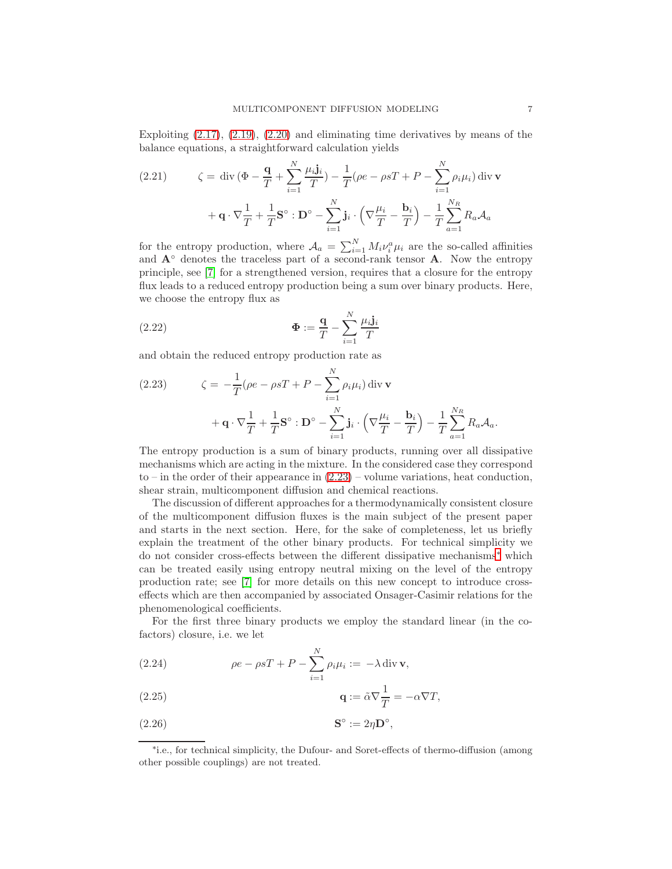Exploiting [\(2.17\)](#page-5-1), [\(2.19\)](#page-5-2), [\(2.20\)](#page-5-3) and eliminating time derivatives by means of the balance equations, a straightforward calculation yields

(2.21) 
$$
\zeta = \text{div} \left( \Phi - \frac{\mathbf{q}}{T} + \sum_{i=1}^{N} \frac{\mu_i \mathbf{j}_i}{T} \right) - \frac{1}{T} (\rho e - \rho s T + P - \sum_{i=1}^{N} \rho_i \mu_i) \text{div} \mathbf{v}
$$

$$
+ \mathbf{q} \cdot \nabla \frac{1}{T} + \frac{1}{T} \mathbf{S}^\circ : \mathbf{D}^\circ - \sum_{i=1}^{N} \mathbf{j}_i \cdot \left( \nabla \frac{\mu_i}{T} - \frac{\mathbf{b}_i}{T} \right) - \frac{1}{T} \sum_{a=1}^{N_R} R_a \mathcal{A}_a
$$

for the entropy production, where  $A_a = \sum_{i=1}^{N} M_i \nu_i^a \mu_i$  are the so-called affinities and  $A<sup>°</sup>$  denotes the traceless part of a second-rank tensor  $A$ . Now the entropy principle, see [\[7\]](#page-42-10) for a strengthened version, requires that a closure for the entropy flux leads to a reduced entropy production being a sum over binary products. Here, we choose the entropy flux as

(2.22) 
$$
\Phi := \frac{\mathbf{q}}{T} - \sum_{i=1}^{N} \frac{\mu_i \mathbf{j}_i}{T}
$$

and obtain the reduced entropy production rate as

<span id="page-6-0"></span>(2.23) 
$$
\zeta = -\frac{1}{T} (\rho e - \rho s T + P - \sum_{i=1}^{N} \rho_i \mu_i) \operatorname{div} \mathbf{v} + \mathbf{q} \cdot \nabla \frac{1}{T} + \frac{1}{T} \mathbf{S}^\circ : \mathbf{D}^\circ - \sum_{i=1}^{N} \mathbf{j}_i \cdot \left( \nabla \frac{\mu_i}{T} - \frac{\mathbf{b}_i}{T} \right) - \frac{1}{T} \sum_{a=1}^{N_R} R_a \mathcal{A}_a.
$$

The entropy production is a sum of binary products, running over all dissipative mechanisms which are acting in the mixture. In the considered case they correspond to – in the order of their appearance in [\(2.23\)](#page-6-0) – volume variations, heat conduction, shear strain, multicomponent diffusion and chemical reactions.

The discussion of different approaches for a thermodynamically consistent closure of the multicomponent diffusion fluxes is the main subject of the present paper and starts in the next section. Here, for the sake of completeness, let us briefly explain the treatment of the other binary products. For technical simplicity we do not consider cross-effects between the different dissipative mechanisms[∗](#page-6-1) which can be treated easily using entropy neutral mixing on the level of the entropy production rate; see [\[7\]](#page-42-10) for more details on this new concept to introduce crosseffects which are then accompanied by associated Onsager-Casimir relations for the phenomenological coefficients.

For the first three binary products we employ the standard linear (in the cofactors) closure, i.e. we let

<span id="page-6-2"></span>(2.24) 
$$
\rho e - \rho sT + P - \sum_{i=1}^{N} \rho_i \mu_i := -\lambda \operatorname{div} \mathbf{v},
$$

(2.25) 
$$
\mathbf{q} := \tilde{\alpha} \nabla \frac{1}{T} = -\alpha \nabla T,
$$

$$
S^{\circ} := 2\eta \mathbf{D}^{\circ},
$$

<span id="page-6-1"></span><sup>∗</sup> i.e., for technical simplicity, the Dufour- and Soret-effects of thermo-diffusion (among other possible couplings) are not treated.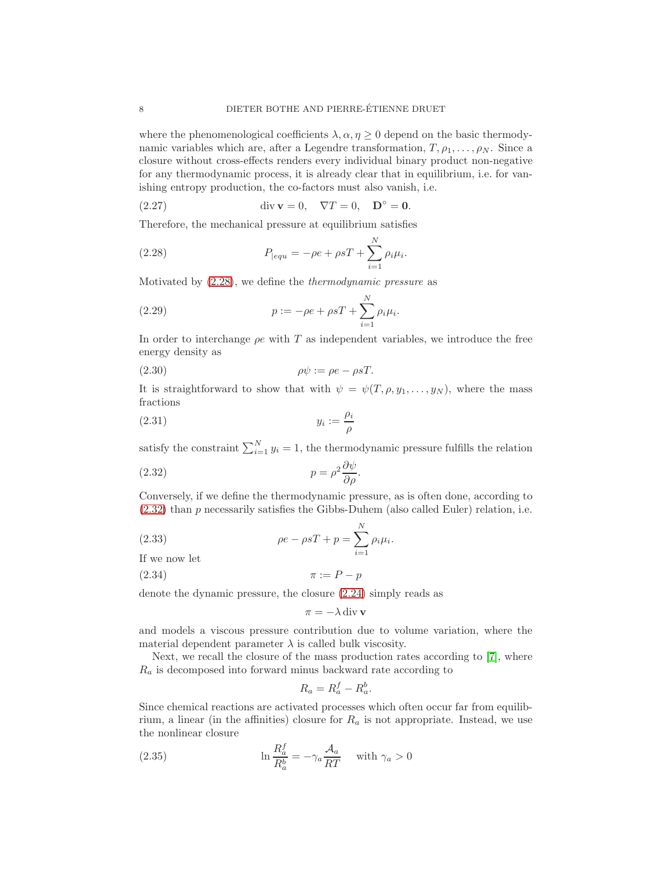where the phenomenological coefficients  $\lambda, \alpha, \eta \geq 0$  depend on the basic thermodynamic variables which are, after a Legendre transformation,  $T, \rho_1, \ldots, \rho_N$ . Since a closure without cross-effects renders every individual binary product non-negative for any thermodynamic process, it is already clear that in equilibrium, i.e. for vanishing entropy production, the co-factors must also vanish, i.e.

(2.27) 
$$
\operatorname{div} \mathbf{v} = 0, \quad \nabla T = 0, \quad \mathbf{D}^{\circ} = \mathbf{0}.
$$

Therefore, the mechanical pressure at equilibrium satisfies

<span id="page-7-0"></span>(2.28) 
$$
P_{|equ} = -\rho e + \rho sT + \sum_{i=1}^{N} \rho_i \mu_i.
$$

Motivated by [\(2.28\)](#page-7-0), we define the thermodynamic pressure as

<span id="page-7-3"></span>(2.29) 
$$
p := -\rho e + \rho s T + \sum_{i=1}^{N} \rho_i \mu_i.
$$

In order to interchange  $\rho e$  with T as independent variables, we introduce the free energy density as

$$
\rho \psi := \rho e - \rho s T.
$$

It is straightforward to show that with  $\psi = \psi(T, \rho, y_1, \ldots, y_N)$ , where the mass fractions

$$
(2.31) \t\t y_i := \frac{\rho_i}{\rho}
$$

satisfy the constraint  $\sum_{i=1}^{N} y_i = 1$ , the thermodynamic pressure fulfills the relation

(2.32) 
$$
p = \rho^2 \frac{\partial \psi}{\partial \rho}.
$$

Conversely, if we define the thermodynamic pressure, as is often done, according to [\(2.32\)](#page-7-1) than p necessarily satisfies the Gibbs-Duhem (also called Euler) relation, i.e.

(2.33) 
$$
\rho e - \rho s T + p = \sum_{i=1}^{N} \rho_i \mu_i.
$$

If we now let

$$
\pi := P - p
$$

denote the dynamic pressure, the closure [\(2.24\)](#page-6-2) simply reads as

<span id="page-7-4"></span><span id="page-7-1"></span>
$$
\pi = -\lambda \operatorname{div} \mathbf{v}
$$

and models a viscous pressure contribution due to volume variation, where the material dependent parameter  $\lambda$  is called bulk viscosity.

Next, we recall the closure of the mass production rates according to [\[7\]](#page-42-10), where  $R_a$  is decomposed into forward minus backward rate according to

<span id="page-7-2"></span>
$$
R_a = R_a^f - R_a^b.
$$

Since chemical reactions are activated processes which often occur far from equilibrium, a linear (in the affinities) closure for  $R_a$  is not appropriate. Instead, we use the nonlinear closure

(2.35) 
$$
\ln \frac{R_a^f}{R_a^b} = -\gamma_a \frac{\mathcal{A}_a}{RT} \quad \text{with } \gamma_a > 0
$$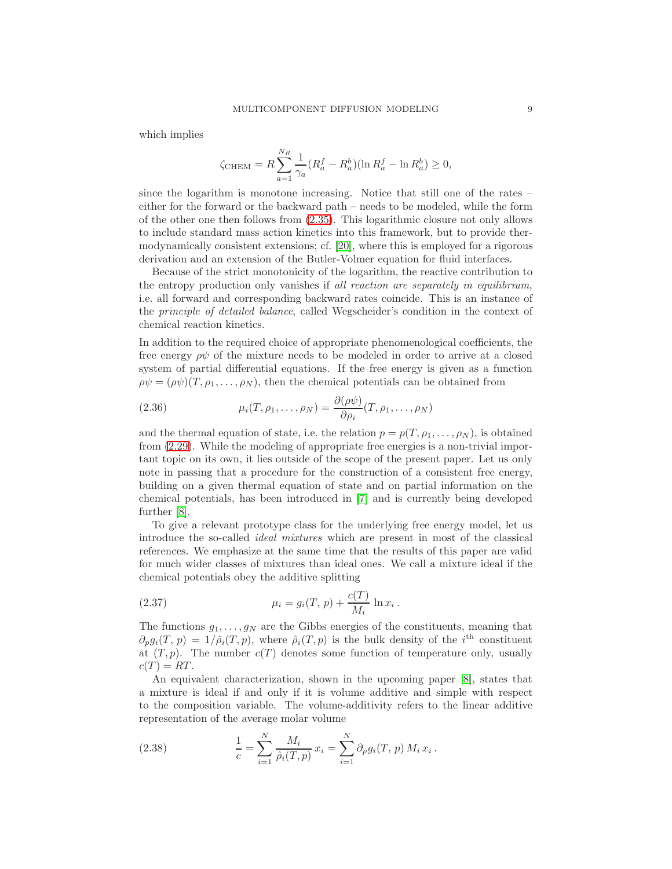which implies

$$
\zeta_{\text{CHEM}} = R \sum_{a=1}^{N_R} \frac{1}{\gamma_a} (R_a^f - R_a^b) (\ln R_a^f - \ln R_a^b) \ge 0,
$$

since the logarithm is monotone increasing. Notice that still one of the rates – either for the forward or the backward path – needs to be modeled, while the form of the other one then follows from [\(2.35\)](#page-7-2). This logarithmic closure not only allows to include standard mass action kinetics into this framework, but to provide thermodynamically consistent extensions; cf. [\[20\]](#page-42-11), where this is employed for a rigorous derivation and an extension of the Butler-Volmer equation for fluid interfaces.

Because of the strict monotonicity of the logarithm, the reactive contribution to the entropy production only vanishes if all reaction are separately in equilibrium, i.e. all forward and corresponding backward rates coincide. This is an instance of the principle of detailed balance, called Wegscheider's condition in the context of chemical reaction kinetics.

In addition to the required choice of appropriate phenomenological coefficients, the free energy  $\rho\psi$  of the mixture needs to be modeled in order to arrive at a closed system of partial differential equations. If the free energy is given as a function  $\rho \psi = (\rho \psi)(T, \rho_1, \ldots, \rho_N)$ , then the chemical potentials can be obtained from

(2.36) 
$$
\mu_i(T, \rho_1, \dots, \rho_N) = \frac{\partial(\rho \psi)}{\partial \rho_i}(T, \rho_1, \dots, \rho_N)
$$

and the thermal equation of state, i.e. the relation  $p = p(T, \rho_1, \ldots, \rho_N)$ , is obtained from [\(2.29\)](#page-7-3). While the modeling of appropriate free energies is a non-trivial important topic on its own, it lies outside of the scope of the present paper. Let us only note in passing that a procedure for the construction of a consistent free energy, building on a given thermal equation of state and on partial information on the chemical potentials, has been introduced in [\[7\]](#page-42-10) and is currently being developed further [\[8\]](#page-42-12).

To give a relevant prototype class for the underlying free energy model, let us introduce the so-called ideal mixtures which are present in most of the classical references. We emphasize at the same time that the results of this paper are valid for much wider classes of mixtures than ideal ones. We call a mixture ideal if the chemical potentials obey the additive splitting

<span id="page-8-0"></span>(2.37) 
$$
\mu_i = g_i(T, p) + \frac{c(T)}{M_i} \ln x_i.
$$

The functions  $g_1, \ldots, g_N$  are the Gibbs energies of the constituents, meaning that  $\partial_p g_i(T, p) = 1/\hat{\rho}_i(T, p)$ , where  $\hat{\rho}_i(T, p)$  is the bulk density of the i<sup>th</sup> constituent at  $(T, p)$ . The number  $c(T)$  denotes some function of temperature only, usually  $c(T) = RT$ .

An equivalent characterization, shown in the upcoming paper [\[8\]](#page-42-12), states that a mixture is ideal if and only if it is volume additive and simple with respect to the composition variable. The volume-additivity refers to the linear additive representation of the average molar volume

(2.38) 
$$
\frac{1}{c} = \sum_{i=1}^{N} \frac{M_i}{\hat{\rho}_i(T, p)} x_i = \sum_{i=1}^{N} \partial_p g_i(T, p) M_i x_i.
$$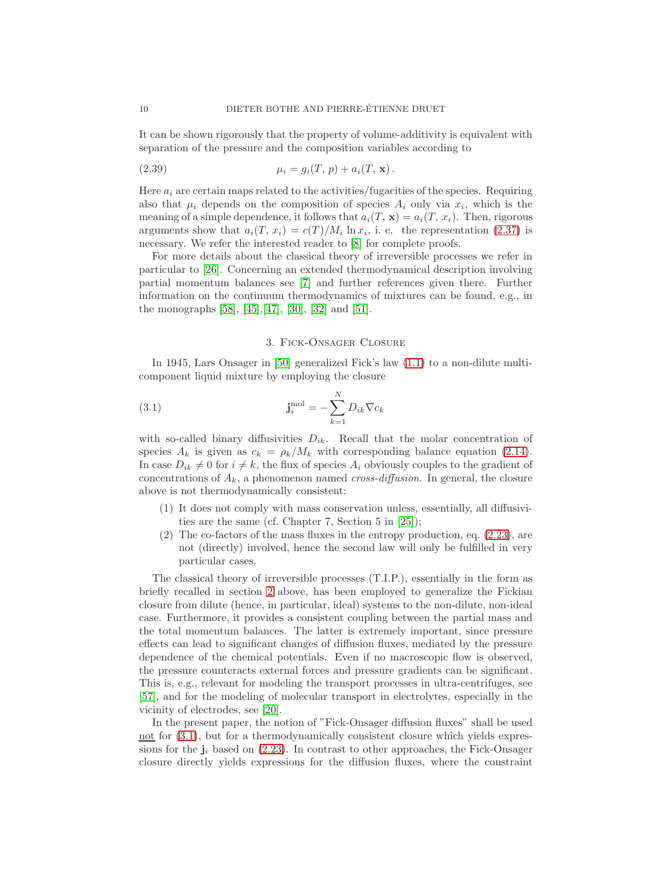It can be shown rigorously that the property of volume-additivity is equivalent with separation of the pressure and the composition variables according to

(2.39) 
$$
\mu_i = g_i(T, p) + a_i(T, x).
$$

Here  $a_i$  are certain maps related to the activities/fugacities of the species. Requiring also that  $\mu_i$  depends on the composition of species  $A_i$  only via  $x_i$ , which is the meaning of a simple dependence, it follows that  $a_i(T, x) = a_i(T, x_i)$ . Then, rigorous arguments show that  $a_i(T, x_i) = c(T)/M_i \ln x_i$ , i. e. the representation [\(2.37\)](#page-8-0) is necessary. We refer the interested reader to [\[8\]](#page-42-12) for complete proofs.

For more details about the classical theory of irreversible processes we refer in particular to [\[26\]](#page-42-1). Concerning an extended thermodynamical description involving partial momentum balances see [\[7\]](#page-42-10) and further references given there. Further information on the continuum thermodynamics of mixtures can be found, e.g., in the monographs [\[58\]](#page-44-3), [\[45\]](#page-43-5),[\[47\]](#page-43-6), [\[30\]](#page-43-7), [\[32\]](#page-43-8) and [\[51\]](#page-43-9).

## <span id="page-9-0"></span>3. Fick-Onsager Closure

<span id="page-9-1"></span>In 1945, Lars Onsager in [\[50\]](#page-43-10) generalized Fick's law [\(1.1\)](#page-1-0) to a non-dilute multicomponent liquid mixture by employing the closure

(3.1) 
$$
\mathbf{j}_i^{\text{mol}} = -\sum_{k=1}^N D_{ik} \nabla c_k
$$

with so-called binary diffusivities  $D_{ik}$ . Recall that the molar concentration of species  $A_k$  is given as  $c_k = \rho_k / M_k$  with corresponding balance equation [\(2.14\)](#page-5-4). In case  $D_{ik} \neq 0$  for  $i \neq k$ , the flux of species  $A_i$  obviously couples to the gradient of concentrations of  $A_k$ , a phenomenon named *cross-diffusion*. In general, the closure above is not thermodynamically consistent:

- (1) It does not comply with mass conservation unless, essentially, all diffusivities are the same (cf. Chapter 7, Section 5 in [\[25\]](#page-42-6));
- (2) The co-factors of the mass fluxes in the entropy production, eq. [\(2.23\)](#page-6-0), are not (directly) involved, hence the second law will only be fulfilled in very particular cases.

The classical theory of irreversible processes (T.I.P.), essentially in the form as briefly recalled in section [2](#page-3-0) above, has been employed to generalize the Fickian closure from dilute (hence, in particular, ideal) systems to the non-dilute, non-ideal case. Furthermore, it provides a consistent coupling between the partial mass and the total momentum balances. The latter is extremely important, since pressure effects can lead to significant changes of diffusion fluxes, mediated by the pressure dependence of the chemical potentials. Even if no macroscopic flow is observed, the pressure counteracts external forces and pressure gradients can be significant. This is, e.g., relevant for modeling the transport processes in ultra-centrifuges, see [\[57\]](#page-44-1), and for the modeling of molecular transport in electrolytes, especially in the vicinity of electrodes, see [\[20\]](#page-42-11).

In the present paper, the notion of "Fick-Onsager diffusion fluxes" shall be used not for  $(3.1)$ , but for a thermodynamically consistent closure which yields expressions for the  $j_i$  based on [\(2.23\)](#page-6-0). In contrast to other approaches, the Fick-Onsager closure directly yields expressions for the diffusion fluxes, where the constraint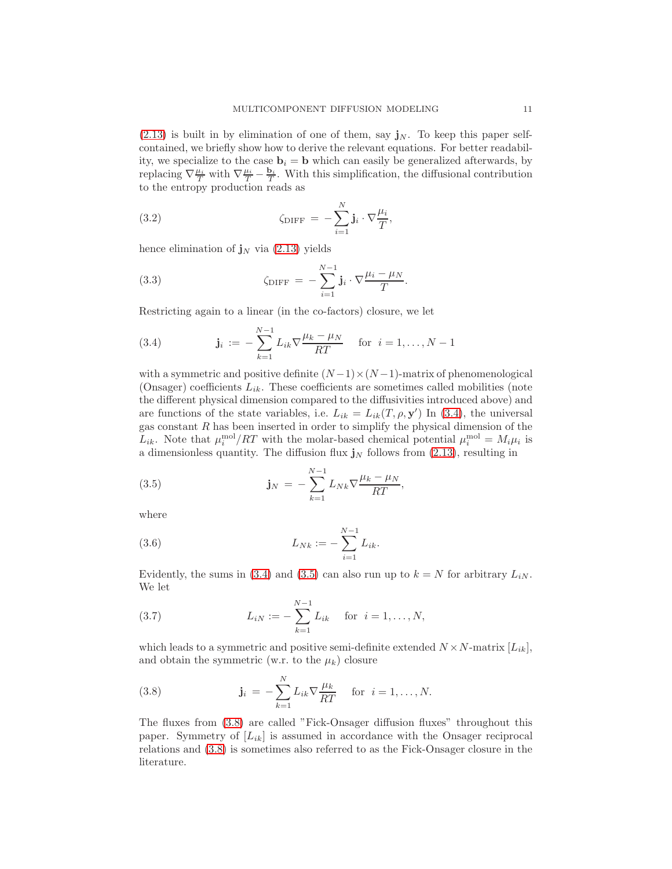$(2.13)$  is built in by elimination of one of them, say  $\mathbf{j}_N$ . To keep this paper selfcontained, we briefly show how to derive the relevant equations. For better readability, we specialize to the case  $\mathbf{b}_i = \mathbf{b}$  which can easily be generalized afterwards, by replacing  $\nabla \frac{\mu_i}{T}$  with  $\nabla \frac{\mu_i}{T} - \frac{\mathbf{b}_i}{T}$  $\frac{\mathbf{b}_i}{T}$ . With this simplification, the diffusional contribution to the entropy production reads as

(3.2) 
$$
\zeta_{\text{DIFF}} = -\sum_{i=1}^{N} \mathbf{j}_i \cdot \nabla \frac{\mu_i}{T},
$$

hence elimination of  $\mathbf{j}_N$  via [\(2.13\)](#page-5-5) yields

(3.3) 
$$
\zeta_{\text{DIFF}} = -\sum_{i=1}^{N-1} \mathbf{j}_i \cdot \nabla \frac{\mu_i - \mu_N}{T}.
$$

Restricting again to a linear (in the co-factors) closure, we let

<span id="page-10-0"></span>(3.4) 
$$
\mathbf{j}_i := -\sum_{k=1}^{N-1} L_{ik} \nabla \frac{\mu_k - \mu_N}{RT} \quad \text{for } i = 1, ..., N-1
$$

with a symmetric and positive definite  $(N-1) \times (N-1)$ -matrix of phenomenological (Onsager) coefficients  $L_{ik}$ . These coefficients are sometimes called mobilities (note the different physical dimension compared to the diffusivities introduced above) and are functions of the state variables, i.e.  $L_{ik} = L_{ik}(T, \rho, \mathbf{y}')$  In [\(3.4\)](#page-10-0), the universal gas constant  $R$  has been inserted in order to simplify the physical dimension of the  $L_{ik}$ . Note that  $\mu_i^{\text{mol}}/RT$  with the molar-based chemical potential  $\mu_i^{\text{mol}} = M_i \mu_i$  is a dimensionless quantity. The diffusion flux  $\mathbf{j}_N$  follows from [\(2.13\)](#page-5-5), resulting in

<span id="page-10-1"></span>(3.5) 
$$
\mathbf{j}_N = -\sum_{k=1}^{N-1} L_{Nk} \nabla \frac{\mu_k - \mu_N}{RT},
$$

where

<span id="page-10-3"></span>(3.6) 
$$
L_{Nk} := -\sum_{i=1}^{N-1} L_{ik}.
$$

Evidently, the sums in [\(3.4\)](#page-10-0) and [\(3.5\)](#page-10-1) can also run up to  $k = N$  for arbitrary  $L_{iN}$ . We let

<span id="page-10-4"></span>(3.7) 
$$
L_{iN} := -\sum_{k=1}^{N-1} L_{ik} \quad \text{for } i = 1, ..., N,
$$

which leads to a symmetric and positive semi-definite extended  $N \times N$ -matrix  $[L_{ik}],$ and obtain the symmetric (w.r. to the  $\mu_k$ ) closure

<span id="page-10-2"></span>(3.8) 
$$
\mathbf{j}_{i} = -\sum_{k=1}^{N} L_{ik} \nabla \frac{\mu_{k}}{RT} \text{ for } i = 1, ..., N.
$$

The fluxes from [\(3.8\)](#page-10-2) are called "Fick-Onsager diffusion fluxes" throughout this paper. Symmetry of  $[L_{ik}]$  is assumed in accordance with the Onsager reciprocal relations and [\(3.8\)](#page-10-2) is sometimes also referred to as the Fick-Onsager closure in the literature.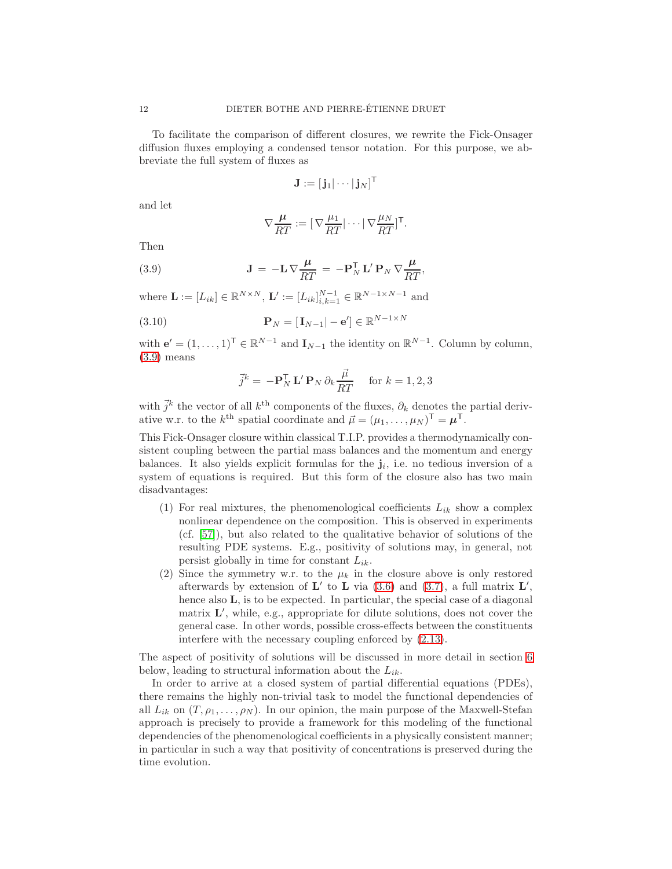To facilitate the comparison of different closures, we rewrite the Fick-Onsager diffusion fluxes employing a condensed tensor notation. For this purpose, we abbreviate the full system of fluxes as

$$
\mathbf{J}:=[\,\mathbf{j}_1|\cdots|\,\mathbf{j}_N]^\mathsf{T}
$$

and let

<span id="page-11-0"></span>
$$
\nabla \frac{\mu}{RT} := [\nabla \frac{\mu_1}{RT} | \cdots | \nabla \frac{\mu_N}{RT}]^{\mathsf{T}}.
$$

Then

(3.9) 
$$
\mathbf{J} = -\mathbf{L}\nabla \frac{\mu}{RT} = -\mathbf{P}_N^{\mathsf{T}}\mathbf{L}'\mathbf{P}_N\nabla \frac{\mu}{RT},
$$

where  $\mathbf{L} := [L_{ik}] \in \mathbb{R}^{N \times N}, \mathbf{L}' := [L_{ik}]_{i,k=1}^{N-1} \in \mathbb{R}^{N-1 \times N-1}$  and

(3.10) 
$$
\mathbf{P}_N = [\mathbf{I}_{N-1} | -\mathbf{e}'] \in \mathbb{R}^{N-1 \times N}
$$

with  $\mathbf{e}' = (1, \ldots, 1)^{\mathsf{T}} \in \mathbb{R}^{N-1}$  and  $\mathbf{I}_{N-1}$  the identity on  $\mathbb{R}^{N-1}$ . Column by column, [\(3.9\)](#page-11-0) means

$$
\vec{j}^k = -\mathbf{P}_N^{\mathsf{T}} \mathbf{L}' \mathbf{P}_N \partial_k \frac{\vec{\mu}}{RT} \quad \text{for } k = 1, 2, 3
$$

with  $\vec{j}^k$  the vector of all  $k^{\text{th}}$  components of the fluxes,  $\partial_k$  denotes the partial derivative w.r. to the  $k^{\text{th}}$  spatial coordinate and  $\vec{\mu} = (\mu_1, \dots, \mu_N)^{\mathsf{T}} = \boldsymbol{\mu}^{\mathsf{T}}$ .

This Fick-Onsager closure within classical T.I.P. provides a thermodynamically consistent coupling between the partial mass balances and the momentum and energy balances. It also yields explicit formulas for the  $\mathbf{j}_i$ , i.e. no tedious inversion of a system of equations is required. But this form of the closure also has two main disadvantages:

- (1) For real mixtures, the phenomenological coefficients  $L_{ik}$  show a complex nonlinear dependence on the composition. This is observed in experiments (cf. [\[57\]](#page-44-1)), but also related to the qualitative behavior of solutions of the resulting PDE systems. E.g., positivity of solutions may, in general, not persist globally in time for constant  $L_{ik}$ .
- (2) Since the symmetry w.r. to the  $\mu_k$  in the closure above is only restored afterwards by extension of  $\mathbf{L}'$  to  $\mathbf{L}$  via [\(3.6\)](#page-10-3) and [\(3.7\)](#page-10-4), a full matrix  $\mathbf{L}'$ , hence also **L**, is to be expected. In particular, the special case of a diagonal matrix L ′ , while, e.g., appropriate for dilute solutions, does not cover the general case. In other words, possible cross-effects between the constituents interfere with the necessary coupling enforced by [\(2.13\)](#page-5-5).

The aspect of positivity of solutions will be discussed in more detail in section [6](#page-20-0) below, leading to structural information about the  $L_{ik}$ .

In order to arrive at a closed system of partial differential equations (PDEs), there remains the highly non-trivial task to model the functional dependencies of all  $L_{ik}$  on  $(T, \rho_1, \ldots, \rho_N)$ . In our opinion, the main purpose of the Maxwell-Stefan approach is precisely to provide a framework for this modeling of the functional dependencies of the phenomenological coefficients in a physically consistent manner; in particular in such a way that positivity of concentrations is preserved during the time evolution.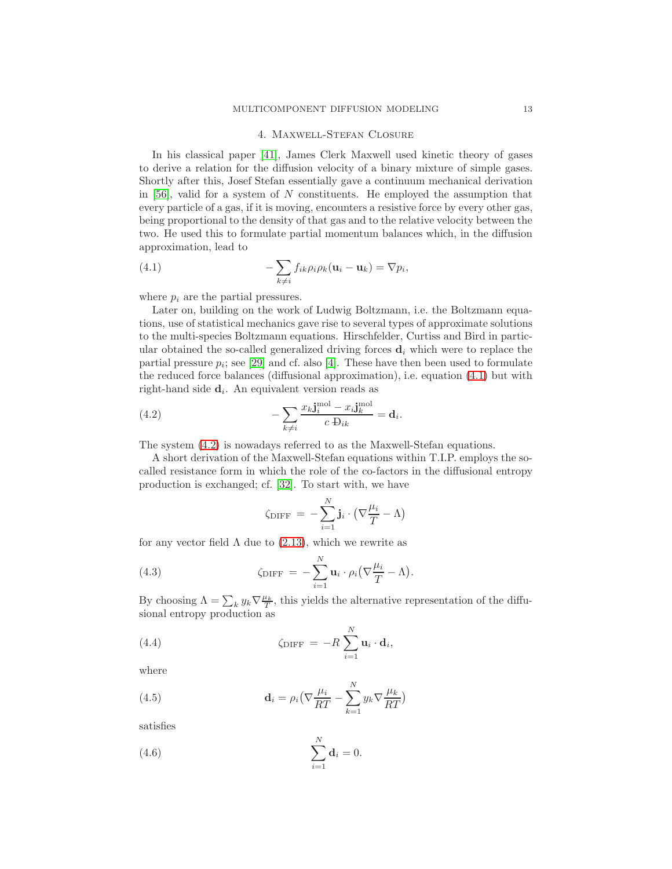#### MULTICOMPONENT DIFFUSION MODELING 13

#### 4. Maxwell-Stefan Closure

<span id="page-12-4"></span>In his classical paper [\[41\]](#page-43-11), James Clerk Maxwell used kinetic theory of gases to derive a relation for the diffusion velocity of a binary mixture of simple gases. Shortly after this, Josef Stefan essentially gave a continuum mechanical derivation in  $[56]$ , valid for a system of N constituents. He employed the assumption that every particle of a gas, if it is moving, encounters a resistive force by every other gas, being proportional to the density of that gas and to the relative velocity between the two. He used this to formulate partial momentum balances which, in the diffusion approximation, lead to

<span id="page-12-0"></span>(4.1) 
$$
-\sum_{k\neq i} f_{ik}\rho_i \rho_k (\mathbf{u}_i - \mathbf{u}_k) = \nabla p_i,
$$

where  $p_i$  are the partial pressures.

Later on, building on the work of Ludwig Boltzmann, i.e. the Boltzmann equations, use of statistical mechanics gave rise to several types of approximate solutions to the multi-species Boltzmann equations. Hirschfelder, Curtiss and Bird in particular obtained the so-called generalized driving forces  $\mathbf{d}_i$  which were to replace the partial pressure  $p_i$ ; see [\[29\]](#page-43-12) and cf. also [\[4\]](#page-41-1). These have then been used to formulate the reduced force balances (diffusional approximation), i.e. equation [\(4.1\)](#page-12-0) but with right-hand side  $\mathbf{d}_i$ . An equivalent version reads as

(4.2) 
$$
-\sum_{k\neq i}\frac{x_k\mathbf{j}_i^{\text{mol}} - x_i\mathbf{j}_k^{\text{mol}}}{c \cdot \mathbf{D}_{ik}} = \mathbf{d}_i.
$$

The system [\(4.2\)](#page-12-1) is nowadays referred to as the Maxwell-Stefan equations.

A short derivation of the Maxwell-Stefan equations within T.I.P. employs the socalled resistance form in which the role of the co-factors in the diffusional entropy production is exchanged; cf. [\[32\]](#page-43-8). To start with, we have

<span id="page-12-1"></span>
$$
\zeta_{\text{DIFF}} = -\sum_{i=1}^{N} \mathbf{j}_{i} \cdot (\nabla \frac{\mu_{i}}{T} - \Lambda)
$$

for any vector field  $\Lambda$  due to [\(2.13\)](#page-5-5), which we rewrite as

(4.3) 
$$
\zeta_{\text{DIFF}} = -\sum_{i=1}^{N} \mathbf{u}_i \cdot \rho_i \left( \nabla \frac{\mu_i}{T} - \Lambda \right).
$$

By choosing  $\Lambda = \sum_k y_k \nabla \frac{\mu_k}{T}$ , this yields the alternative representation of the diffusional entropy production as

(4.4) 
$$
\zeta_{\text{DIFF}} = -R \sum_{i=1}^{N} \mathbf{u}_i \cdot \mathbf{d}_i,
$$

where

<span id="page-12-3"></span>(4.5) 
$$
\mathbf{d}_{i} = \rho_{i} \left( \nabla \frac{\mu_{i}}{RT} - \sum_{k=1}^{N} y_{k} \nabla \frac{\mu_{k}}{RT} \right)
$$

satisfies

<span id="page-12-2"></span>(4.6) 
$$
\sum_{i=1}^{N} \mathbf{d}_i = 0.
$$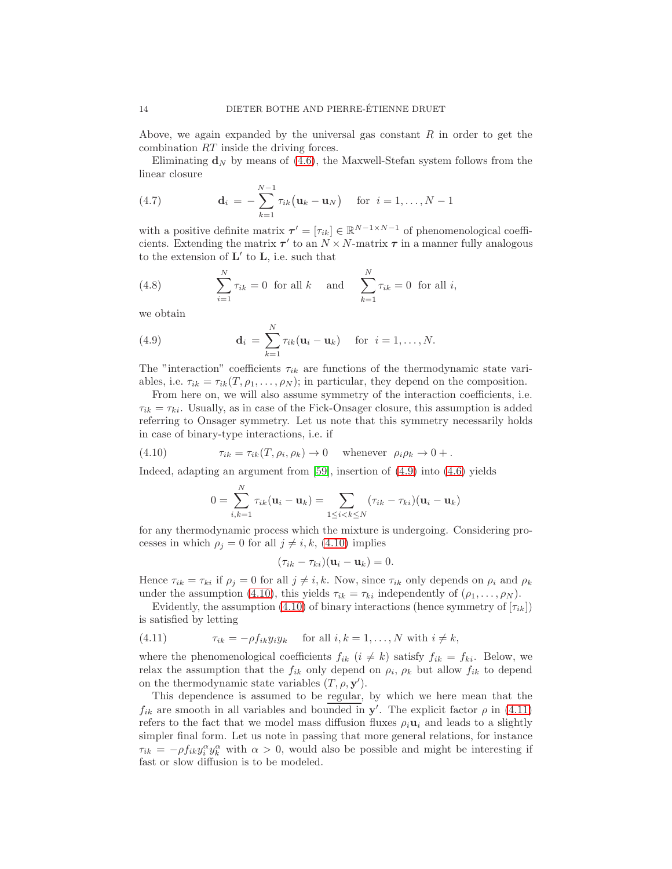Above, we again expanded by the universal gas constant  $R$  in order to get the combination RT inside the driving forces.

Eliminating  $\mathbf{d}_N$  by means of [\(4.6\)](#page-12-2), the Maxwell-Stefan system follows from the linear closure

<span id="page-13-4"></span>(4.7) 
$$
\mathbf{d}_{i} = -\sum_{k=1}^{N-1} \tau_{ik} (\mathbf{u}_{k} - \mathbf{u}_{N}) \text{ for } i = 1, ..., N-1
$$

with a positive definite matrix  $\tau' = [\tau_{ik}] \in \mathbb{R}^{N-1 \times N-1}$  of phenomenological coefficients. Extending the matrix  $\tau'$  to an  $N \times N$ -matrix  $\tau$  in a manner fully analogous to the extension of  $\mathbf{L}'$  to  $\mathbf{L}$ , i.e. such that

<span id="page-13-3"></span>(4.8) 
$$
\sum_{i=1}^{N} \tau_{ik} = 0 \text{ for all } k \text{ and } \sum_{k=1}^{N} \tau_{ik} = 0 \text{ for all } i,
$$

we obtain

<span id="page-13-0"></span>(4.9) 
$$
\mathbf{d}_i = \sum_{k=1}^N \tau_{ik}(\mathbf{u}_i - \mathbf{u}_k) \quad \text{for } i = 1, \dots, N.
$$

The "interaction" coefficients  $\tau_{ik}$  are functions of the thermodynamic state variables, i.e.  $\tau_{ik} = \tau_{ik}(T, \rho_1, \ldots, \rho_N)$ ; in particular, they depend on the composition.

From here on, we will also assume symmetry of the interaction coefficients, i.e.  $\tau_{ik} = \tau_{ki}$ . Usually, as in case of the Fick-Onsager closure, this assumption is added referring to Onsager symmetry. Let us note that this symmetry necessarily holds in case of binary-type interactions, i.e. if

(4.10) 
$$
\tau_{ik} = \tau_{ik}(T, \rho_i, \rho_k) \to 0 \quad \text{whenever} \quad \rho_i \rho_k \to 0 + .
$$

Indeed, adapting an argument from [\[59\]](#page-44-5), insertion of [\(4.9\)](#page-13-0) into [\(4.6\)](#page-12-2) yields

<span id="page-13-1"></span>
$$
0 = \sum_{i,k=1}^N \tau_{ik}(\mathbf{u}_i - \mathbf{u}_k) = \sum_{1 \leq i < k \leq N} (\tau_{ik} - \tau_{ki})(\mathbf{u}_i - \mathbf{u}_k)
$$

for any thermodynamic process which the mixture is undergoing. Considering processes in which  $\rho_i = 0$  for all  $j \neq i, k, (4.10)$  $j \neq i, k, (4.10)$  implies

$$
(\tau_{ik}-\tau_{ki})(\mathbf{u}_i-\mathbf{u}_k)=0.
$$

Hence  $\tau_{ik} = \tau_{ki}$  if  $\rho_i = 0$  for all  $j \neq i, k$ . Now, since  $\tau_{ik}$  only depends on  $\rho_i$  and  $\rho_k$ under the assumption [\(4.10\)](#page-13-1), this yields  $\tau_{ik} = \tau_{ki}$  independently of  $(\rho_1, \ldots, \rho_N)$ .

Evidently, the assumption [\(4.10\)](#page-13-1) of binary interactions (hence symmetry of  $[\tau_{ik}]$ ) is satisfied by letting

<span id="page-13-2"></span>(4.11) 
$$
\tau_{ik} = -\rho f_{ik} y_i y_k \quad \text{for all } i, k = 1, \dots, N \text{ with } i \neq k,
$$

where the phenomenological coefficients  $f_{ik}$  ( $i \neq k$ ) satisfy  $f_{ik} = f_{ki}$ . Below, we relax the assumption that the  $f_{ik}$  only depend on  $\rho_i$ ,  $\rho_k$  but allow  $f_{ik}$  to depend on the thermodynamic state variables  $(T, \rho, \mathbf{y}')$ .

This dependence is assumed to be regular, by which we here mean that the  $f_{ik}$  are smooth in all variables and bounded in  $y'$ . The explicit factor  $\rho$  in [\(4.11\)](#page-13-2) refers to the fact that we model mass diffusion fluxes  $\rho_i \mathbf{u}_i$  and leads to a slightly simpler final form. Let us note in passing that more general relations, for instance  $\tau_{ik} = -\rho f_{ik} y_i^{\alpha} y_k^{\alpha}$  with  $\alpha > 0$ , would also be possible and might be interesting if fast or slow diffusion is to be modeled.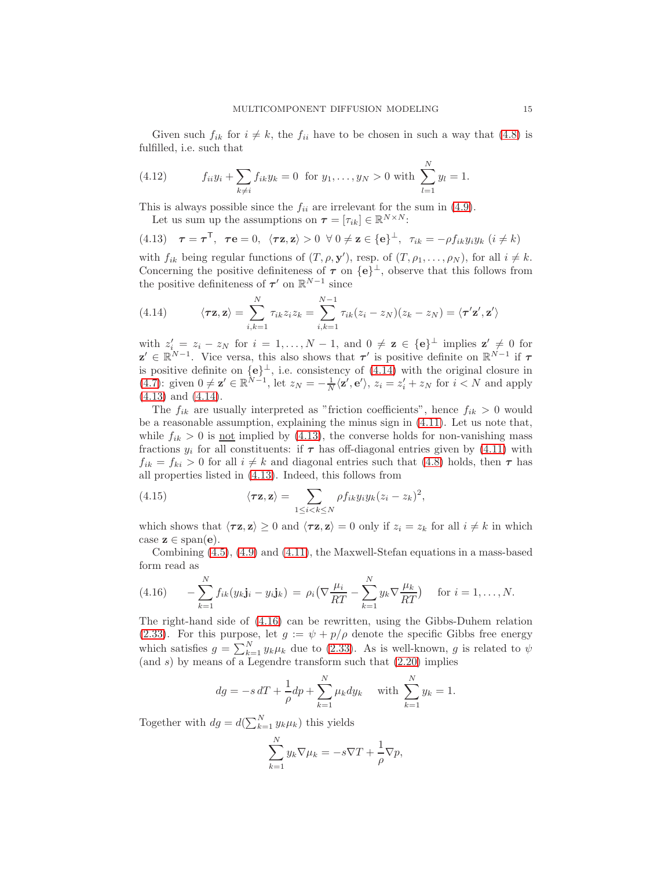Given such  $f_{ik}$  for  $i \neq k$ , the  $f_{ii}$  have to be chosen in such a way that [\(4.8\)](#page-13-3) is fulfilled, i.e. such that

(4.12) 
$$
f_{ii}y_i + \sum_{k \neq i} f_{ik}y_k = 0 \text{ for } y_1, \dots, y_N > 0 \text{ with } \sum_{l=1}^N y_l = 1.
$$

This is always possible since the  $f_{ii}$  are irrelevant for the sum in [\(4.9\)](#page-13-0).

<span id="page-14-1"></span>Let us sum up the assumptions on  $\boldsymbol{\tau} = [\tau_{ik}] \in \mathbb{R}^{N \times N}$ :

(4.13)  $\tau = \tau^{\mathsf{T}}$ ,  $\tau \mathbf{e} = 0$ ,  $\langle \tau \mathbf{z}, \mathbf{z} \rangle > 0 \ \forall \ 0 \neq \mathbf{z} \in {\{\mathbf{e}\}}^{\perp}$ ,  $\tau_{ik} = -\rho f_{ik} y_i y_k$   $(i \neq k)$ 

with  $f_{ik}$  being regular functions of  $(T, \rho, \mathbf{y}')$ , resp. of  $(T, \rho_1, \ldots, \rho_N)$ , for all  $i \neq k$ . Concerning the positive definiteness of  $\tau$  on  $\{e\}^{\perp}$ , observe that this follows from the positive definiteness of  $\tau'$  on  $\mathbb{R}^{N-1}$  since

<span id="page-14-0"></span>(4.14) 
$$
\langle \tau \mathbf{z}, \mathbf{z} \rangle = \sum_{i,k=1}^{N} \tau_{ik} z_i z_k = \sum_{i,k=1}^{N-1} \tau_{ik} (z_i - z_N)(z_k - z_N) = \langle \tau' \mathbf{z}', \mathbf{z}' \rangle
$$

with  $z'_i = z_i - z_N$  for  $i = 1, ..., N - 1$ , and  $0 \neq z \in \{e\}^{\perp}$  implies  $z' \neq 0$  for  $\mathbf{z}' \in \mathbb{R}^{N-1}$ . Vice versa, this also shows that  $\tau'$  is positive definite on  $\mathbb{R}^{N-1}$  if  $\tau$ is positive definite on  $\{e\}^{\perp}$ , i.e. consistency of [\(4.14\)](#page-14-0) with the original closure in [\(4.7\)](#page-13-4): given  $0 \neq \mathbf{z}' \in \mathbb{R}^{N-1}$ , let  $z_N = -\frac{1}{N} \langle \mathbf{z}', \mathbf{e}' \rangle$ ,  $z_i = z'_i + z_N$  for  $i < N$  and apply [\(4.13\)](#page-14-1) and [\(4.14\)](#page-14-0).

The  $f_{ik}$  are usually interpreted as "friction coefficients", hence  $f_{ik} > 0$  would be a reasonable assumption, explaining the minus sign in [\(4.11\)](#page-13-2). Let us note that, while  $f_{ik} > 0$  is <u>not</u> implied by [\(4.13\)](#page-14-1), the converse holds for non-vanishing mass fractions  $y_i$  for all constituents: if  $\tau$  has off-diagonal entries given by [\(4.11\)](#page-13-2) with  $f_{ik} = f_{ki} > 0$  for all  $i \neq k$  and diagonal entries such that [\(4.8\)](#page-13-3) holds, then  $\tau$  has all properties listed in [\(4.13\)](#page-14-1). Indeed, this follows from

<span id="page-14-3"></span>(4.15) 
$$
\langle \tau \mathbf{z}, \mathbf{z} \rangle = \sum_{1 \leq i < k \leq N} \rho f_{ik} y_i y_k (z_i - z_k)^2,
$$

which shows that  $\langle \tau z, z \rangle \ge 0$  and  $\langle \tau z, z \rangle = 0$  only if  $z_i = z_k$  for all  $i \neq k$  in which case  $z \in \text{span}(e)$ .

Combining [\(4.5\)](#page-12-3), [\(4.9\)](#page-13-0) and [\(4.11\)](#page-13-2), the Maxwell-Stefan equations in a mass-based form read as

<span id="page-14-2"></span>
$$
(4.16) \qquad -\sum_{k=1}^N f_{ik}(y_k \mathbf{j}_i - y_i \mathbf{j}_k) \ = \ \rho_i \big( \nabla \frac{\mu_i}{RT} - \sum_{k=1}^N y_k \nabla \frac{\mu_k}{RT} \big) \quad \text{ for } i = 1, \ldots, N.
$$

The right-hand side of [\(4.16\)](#page-14-2) can be rewritten, using the Gibbs-Duhem relation [\(2.33\)](#page-7-4). For this purpose, let  $g := \psi + p/\rho$  denote the specific Gibbs free energy which satisfies  $g = \sum_{k=1}^{N} y_k \mu_k$  due to [\(2.33\)](#page-7-4). As is well-known, g is related to  $\psi$ (and s) by means of a Legendre transform such that  $(2.20)$  implies

$$
dg = -s dT + \frac{1}{\rho} dp + \sum_{k=1}^{N} \mu_k dy_k
$$
 with  $\sum_{k=1}^{N} y_k = 1$ .

Together with  $dg = d(\sum_{k=1}^{N} y_k \mu_k)$  this yields

$$
\sum_{k=1}^{N} y_k \nabla \mu_k = -s \nabla T + \frac{1}{\rho} \nabla p,
$$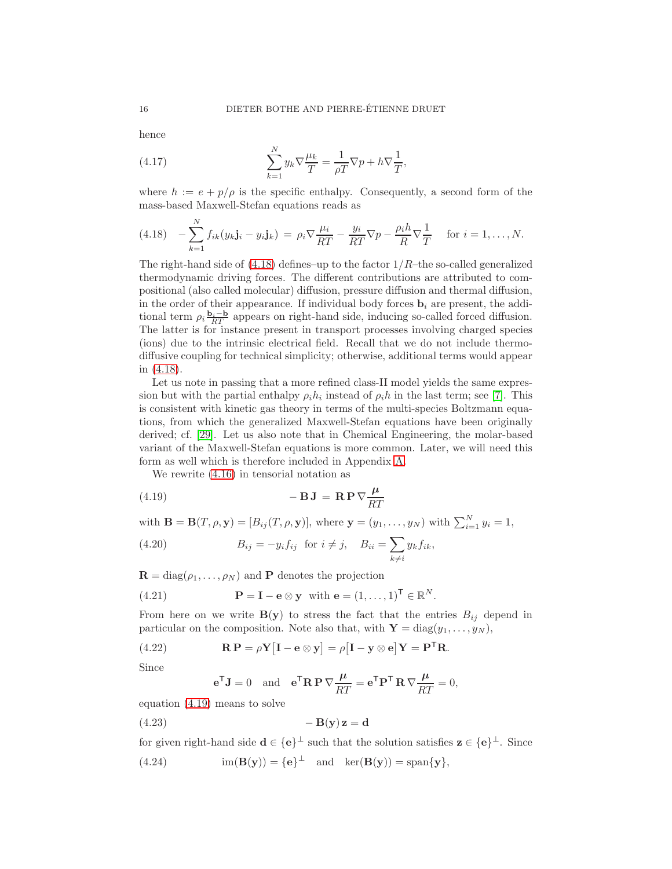hence

<span id="page-15-5"></span>(4.17) 
$$
\sum_{k=1}^{N} y_k \nabla \frac{\mu_k}{T} = \frac{1}{\rho T} \nabla p + h \nabla \frac{1}{T},
$$

where  $h := e + p/\rho$  is the specific enthalpy. Consequently, a second form of the mass-based Maxwell-Stefan equations reads as

<span id="page-15-0"></span>
$$
(4.18) \quad -\sum_{k=1}^N f_{ik}(y_k \mathbf{j}_i - y_i \mathbf{j}_k) \, = \, \rho_i \nabla \frac{\mu_i}{RT} - \frac{y_i}{RT} \nabla p - \frac{\rho_i h}{R} \nabla \frac{1}{T} \quad \text{for } i = 1, \dots, N.
$$

The right-hand side of  $(4.18)$  defines–up to the factor  $1/R$ –the so-called generalized thermodynamic driving forces. The different contributions are attributed to compositional (also called molecular) diffusion, pressure diffusion and thermal diffusion, in the order of their appearance. If individual body forces  $\mathbf{b}_i$  are present, the additional term  $\rho_i \frac{\mathbf{b}_i - \mathbf{b}}{RT}$  appears on right-hand side, inducing so-called forced diffusion. The latter is for instance present in transport processes involving charged species (ions) due to the intrinsic electrical field. Recall that we do not include thermodiffusive coupling for technical simplicity; otherwise, additional terms would appear in [\(4.18\)](#page-15-0).

Let us note in passing that a more refined class-II model yields the same expression but with the partial enthalpy  $\rho_i h_i$  instead of  $\rho_i h$  in the last term; see [\[7\]](#page-42-10). This is consistent with kinetic gas theory in terms of the multi-species Boltzmann equations, from which the generalized Maxwell-Stefan equations have been originally derived; cf. [\[29\]](#page-43-12). Let us also note that in Chemical Engineering, the molar-based variant of the Maxwell-Stefan equations is more common. Later, we will need this form as well which is therefore included in Appendix [A.](#page-45-0)

<span id="page-15-1"></span>We rewrite [\(4.16\)](#page-14-2) in tensorial notation as

(4.19) 
$$
- \mathbf{B} \mathbf{J} = \mathbf{R} \mathbf{P} \nabla \frac{\mu}{RT}
$$

with  $\mathbf{B} = \mathbf{B}(T, \rho, \mathbf{y}) = [B_{ij}(T, \rho, \mathbf{y})]$ , where  $\mathbf{y} = (y_1, \dots, y_N)$  with  $\sum_{i=1}^N y_i = 1$ ,

<span id="page-15-4"></span>(4.20) 
$$
B_{ij} = -y_i f_{ij} \text{ for } i \neq j, \quad B_{ii} = \sum_{k \neq i} y_k f_{ik},
$$

 $\mathbf{R} = \text{diag}(\rho_1, \dots, \rho_N)$  and **P** denotes the projection

(4.21) 
$$
\mathbf{P} = \mathbf{I} - \mathbf{e} \otimes \mathbf{y} \text{ with } \mathbf{e} = (1, ..., 1)^{\mathsf{T}} \in \mathbb{R}^{N}.
$$

From here on we write  $B(y)$  to stress the fact that the entries  $B_{ij}$  depend in particular on the composition. Note also that, with  $\mathbf{Y} = \text{diag}(y_1, \ldots, y_N)$ ,

(4.22) 
$$
\mathbf{R} \mathbf{P} = \rho \mathbf{Y} [\mathbf{I} - \mathbf{e} \otimes \mathbf{y}] = \rho [\mathbf{I} - \mathbf{y} \otimes \mathbf{e}] \mathbf{Y} = \mathbf{P}^\mathsf{T} \mathbf{R}.
$$

Since

<span id="page-15-3"></span><span id="page-15-2"></span>
$$
\mathbf{e}^{\mathsf{T}} \mathbf{J} = 0
$$
 and  $\mathbf{e}^{\mathsf{T}} \mathbf{R} \mathbf{P} \nabla \frac{\mu}{RT} = \mathbf{e}^{\mathsf{T}} \mathbf{P}^{\mathsf{T}} \mathbf{R} \nabla \frac{\mu}{RT} = 0$ ,

equation [\(4.19\)](#page-15-1) means to solve

$$
(4.23) \t\t -\mathbf{B}(\mathbf{y})\mathbf{z} = \mathbf{d}
$$

for given right-hand side  $\mathbf{d} \in {\{\mathbf{e}\}}^{\perp}$  such that the solution satisfies  $\mathbf{z} \in {\{\mathbf{e}\}}^{\perp}$ . Since (4.24)  $\text{im}(\mathbf{B}(\mathbf{y})) = {\mathbf{e}}^{\perp} \text{ and } \text{ker}(\mathbf{B}(\mathbf{y})) = \text{span}\{\mathbf{y}\},\$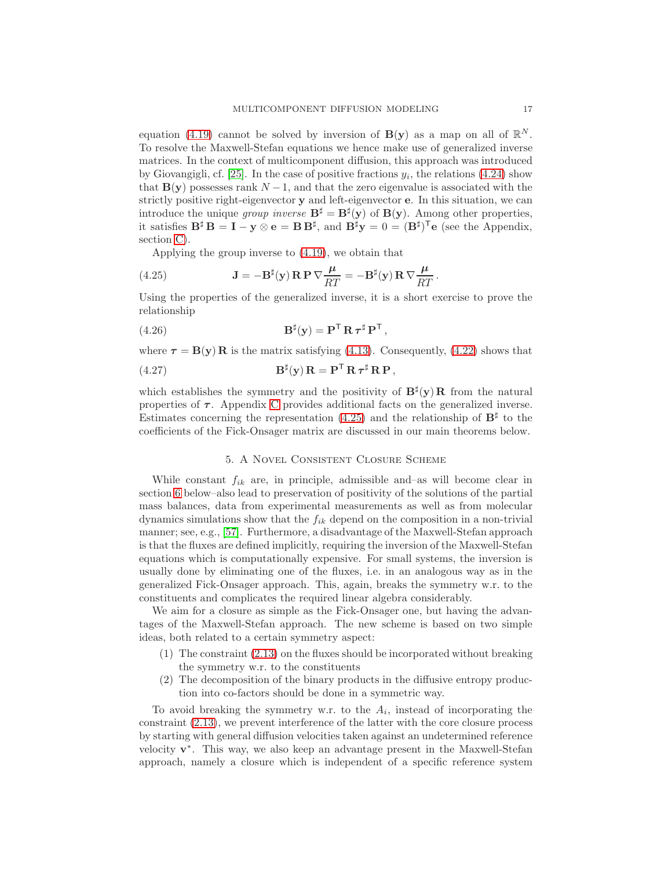equation [\(4.19\)](#page-15-1) cannot be solved by inversion of  $B(y)$  as a map on all of  $\mathbb{R}^N$ . To resolve the Maxwell-Stefan equations we hence make use of generalized inverse matrices. In the context of multicomponent diffusion, this approach was introduced by Giovangigli, cf. [\[25\]](#page-42-6). In the case of positive fractions  $y_i$ , the relations [\(4.24\)](#page-15-2) show that  $\mathbf{B}(\mathbf{y})$  possesses rank  $N-1$ , and that the zero eigenvalue is associated with the strictly positive right-eigenvector y and left-eigenvector e. In this situation, we can introduce the unique group inverse  $\mathbf{B}^{\sharp} = \mathbf{B}^{\sharp}(\mathbf{y})$  of  $\mathbf{B}(\mathbf{y})$ . Among other properties, it satisfies  $\mathbf{B}^{\sharp} \mathbf{B} = \mathbf{I} - \mathbf{y} \otimes \mathbf{e} = \mathbf{B} \mathbf{B}^{\sharp}$ , and  $\mathbf{B}^{\sharp} \mathbf{y} = 0 = (\mathbf{B}^{\sharp})^{\mathsf{T}} \mathbf{e}$  (see the Appendix, section [C\)](#page-47-0).

<span id="page-16-0"></span>Applying the group inverse to [\(4.19\)](#page-15-1), we obtain that

(4.25) 
$$
\mathbf{J} = -\mathbf{B}^{\sharp}(\mathbf{y}) \mathbf{R} \mathbf{P} \nabla \frac{\mu}{RT} = -\mathbf{B}^{\sharp}(\mathbf{y}) \mathbf{R} \nabla \frac{\mu}{RT}.
$$

Using the properties of the generalized inverse, it is a short exercise to prove the relationship

(4.26) 
$$
\mathbf{B}^{\sharp}(\mathbf{y}) = \mathbf{P}^{\mathsf{T}} \mathbf{R} \boldsymbol{\tau}^{\sharp} \mathbf{P}^{\mathsf{T}},
$$

where  $\tau = B(y)R$  is the matrix satisfying [\(4.13\)](#page-14-1). Consequently, [\(4.22\)](#page-15-3) shows that

<span id="page-16-1"></span>(4.27) 
$$
\mathbf{B}^{\sharp}(\mathbf{y})\,\mathbf{R}=\mathbf{P}^{\mathsf{T}}\,\mathbf{R}\,\boldsymbol{\tau}^{\sharp}\,\mathbf{R}\,\mathbf{P}\,,
$$

which establishes the symmetry and the positivity of  $B^{\sharp}(y)R$  from the natural properties of  $\tau$ . Appendix [C](#page-47-0) provides additional facts on the generalized inverse. Estimates concerning the representation [\(4.25\)](#page-16-0) and the relationship of  $\mathbf{B}^{\sharp}$  to the coefficients of the Fick-Onsager matrix are discussed in our main theorems below.

#### 5. A Novel Consistent Closure Scheme

<span id="page-16-2"></span>While constant  $f_{ik}$  are, in principle, admissible and–as will become clear in section [6](#page-20-0) below–also lead to preservation of positivity of the solutions of the partial mass balances, data from experimental measurements as well as from molecular dynamics simulations show that the  $f_{ik}$  depend on the composition in a non-trivial manner; see, e.g., [\[57\]](#page-44-1). Furthermore, a disadvantage of the Maxwell-Stefan approach is that the fluxes are defined implicitly, requiring the inversion of the Maxwell-Stefan equations which is computationally expensive. For small systems, the inversion is usually done by eliminating one of the fluxes, i.e. in an analogous way as in the generalized Fick-Onsager approach. This, again, breaks the symmetry w.r. to the constituents and complicates the required linear algebra considerably.

We aim for a closure as simple as the Fick-Onsager one, but having the advantages of the Maxwell-Stefan approach. The new scheme is based on two simple ideas, both related to a certain symmetry aspect:

- (1) The constraint [\(2.13\)](#page-5-5) on the fluxes should be incorporated without breaking the symmetry w.r. to the constituents
- (2) The decomposition of the binary products in the diffusive entropy production into co-factors should be done in a symmetric way.

To avoid breaking the symmetry w.r. to the  $A_i$ , instead of incorporating the constraint [\(2.13\)](#page-5-5), we prevent interference of the latter with the core closure process by starting with general diffusion velocities taken against an undetermined reference velocity  $v^*$ . This way, we also keep an advantage present in the Maxwell-Stefan approach, namely a closure which is independent of a specific reference system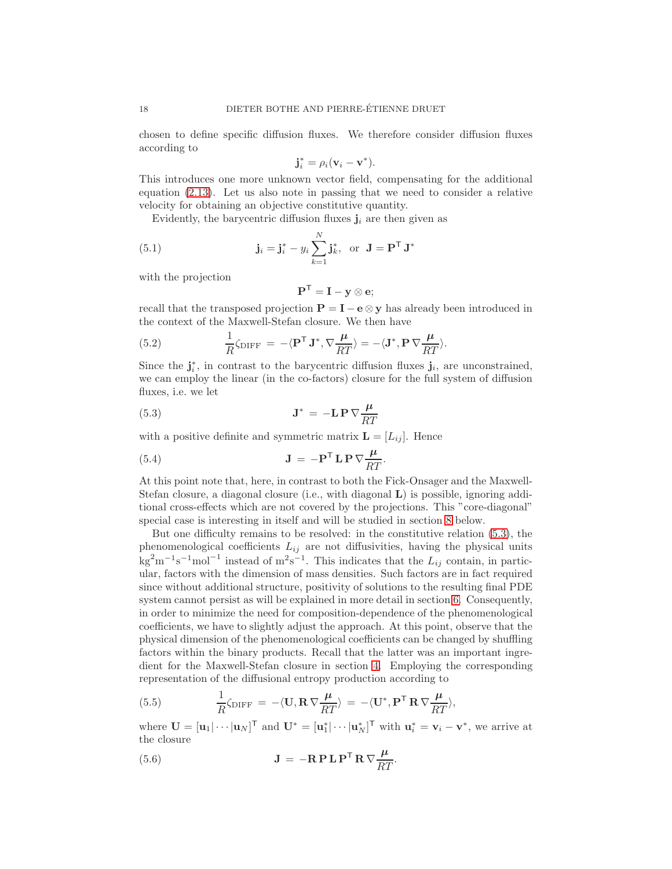chosen to define specific diffusion fluxes. We therefore consider diffusion fluxes according to

$$
\mathbf{j}_i^* = \rho_i(\mathbf{v}_i - \mathbf{v}^*).
$$

This introduces one more unknown vector field, compensating for the additional equation [\(2.13\)](#page-5-5). Let us also note in passing that we need to consider a relative velocity for obtaining an objective constitutive quantity.

Evidently, the barycentric diffusion fluxes  $\mathbf{j}_i$  are then given as

(5.1) 
$$
\mathbf{j}_i = \mathbf{j}_i^* - y_i \sum_{k=1}^N \mathbf{j}_k^*, \text{ or } \mathbf{J} = \mathbf{P}^\mathsf{T} \mathbf{J}^*
$$

with the projection

<span id="page-17-0"></span>
$$
\mathbf{P}^{\mathsf{T}} = \mathbf{I} - \mathbf{y} \otimes \mathbf{e};
$$

recall that the transposed projection  $P = I - e \otimes y$  has already been introduced in the context of the Maxwell-Stefan closure. We then have

(5.2) 
$$
\frac{1}{R}\zeta_{\text{DIFF}} = -\langle \mathbf{P}^{\mathsf{T}} \mathbf{J}^*, \nabla \frac{\boldsymbol{\mu}}{RT} \rangle = -\langle \mathbf{J}^*, \mathbf{P} \nabla \frac{\boldsymbol{\mu}}{RT} \rangle.
$$

Since the  $\mathbf{j}_i^*$ , in contrast to the barycentric diffusion fluxes  $\mathbf{j}_i$ , are unconstrained, we can employ the linear (in the co-factors) closure for the full system of diffusion fluxes, i.e. we let

(5.3) 
$$
\mathbf{J}^* = -\mathbf{L} \mathbf{P} \nabla \frac{\mu}{RT}
$$

with a positive definite and symmetric matrix  $\mathbf{L} = [L_{ij}]$ . Hence

(5.4) 
$$
\mathbf{J} = -\mathbf{P}^{\mathsf{T}} \mathbf{L} \mathbf{P} \nabla \frac{\mu}{RT}.
$$

At this point note that, here, in contrast to both the Fick-Onsager and the Maxwell-Stefan closure, a diagonal closure (i.e., with diagonal L) is possible, ignoring additional cross-effects which are not covered by the projections. This "core-diagonal" special case is interesting in itself and will be studied in section [8](#page-30-0) below.

But one difficulty remains to be resolved: in the constitutive relation [\(5.3\)](#page-17-0), the phenomenological coefficients  $L_{ij}$  are not diffusivities, having the physical units  $\text{kg}^2 \text{m}^{-1} \text{s}^{-1} \text{mol}^{-1}$  instead of  $\text{m}^2 \text{s}^{-1}$ . This indicates that the  $L_{ij}$  contain, in particular, factors with the dimension of mass densities. Such factors are in fact required since without additional structure, positivity of solutions to the resulting final PDE system cannot persist as will be explained in more detail in section [6.](#page-20-0) Consequently, in order to minimize the need for composition-dependence of the phenomenological coefficients, we have to slightly adjust the approach. At this point, observe that the physical dimension of the phenomenological coefficients can be changed by shuffling factors within the binary products. Recall that the latter was an important ingredient for the Maxwell-Stefan closure in section [4.](#page-12-4) Employing the corresponding representation of the diffusional entropy production according to

(5.5) 
$$
\frac{1}{R}\zeta_{\text{DIFF}} = -\langle \mathbf{U}, \mathbf{R} \nabla \frac{\boldsymbol{\mu}}{RT} \rangle = -\langle \mathbf{U}^*, \mathbf{P}^{\mathsf{T}} \mathbf{R} \nabla \frac{\boldsymbol{\mu}}{RT} \rangle,
$$

where  $\mathbf{U} = [\mathbf{u}_1 | \cdots | \mathbf{u}_N]^T$  and  $\mathbf{U}^* = [\mathbf{u}_1^* | \cdots | \mathbf{u}_N^*]^T$  with  $\mathbf{u}_i^* = \mathbf{v}_i - \mathbf{v}^*$ , we arrive at the closure

(5.6) 
$$
\mathbf{J} = -\mathbf{R} \mathbf{P} \mathbf{L} \mathbf{P}^{\mathsf{T}} \mathbf{R} \nabla \frac{\mu}{RT}.
$$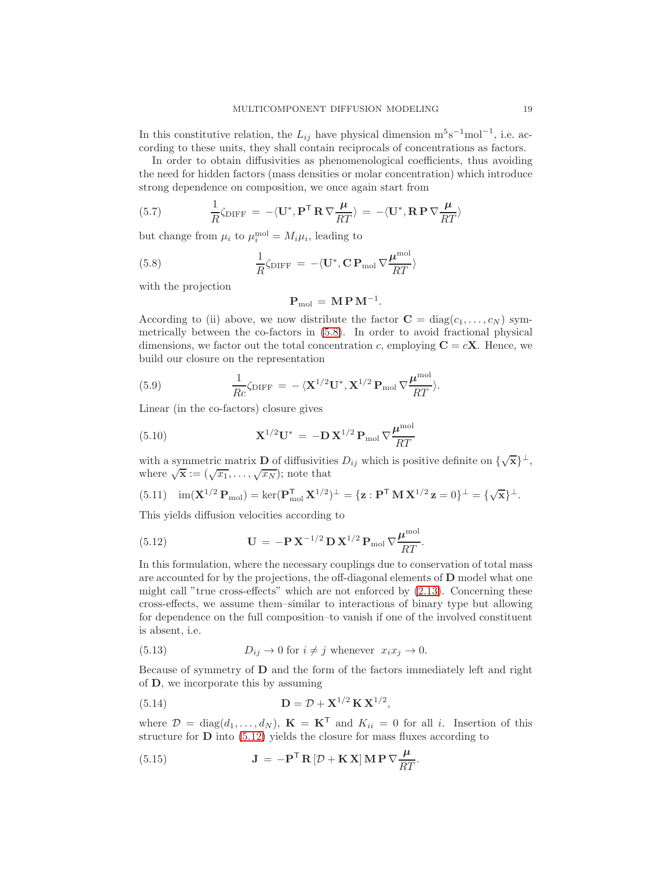In this constitutive relation, the  $L_{ij}$  have physical dimension  $m^5s^{-1}mol^{-1}$ , i.e. according to these units, they shall contain reciprocals of concentrations as factors.

In order to obtain diffusivities as phenomenological coefficients, thus avoiding the need for hidden factors (mass densities or molar concentration) which introduce strong dependence on composition, we once again start from

(5.7) 
$$
\frac{1}{R}\zeta_{\text{DIFF}} = -\langle \mathbf{U}^*, \mathbf{P}^{\mathsf{T}} \mathbf{R} \nabla \frac{\boldsymbol{\mu}}{RT} \rangle = -\langle \mathbf{U}^*, \mathbf{R} \mathbf{P} \nabla \frac{\boldsymbol{\mu}}{RT} \rangle
$$

but change from  $\mu_i$  to  $\mu_i^{\text{mol}} = M_i \mu_i$ , leading to

(5.8) 
$$
\frac{1}{R}\zeta_{\text{DIFF}} = -\langle \mathbf{U}^*, \mathbf{C} \, \mathbf{P}_{\text{mol}} \, \nabla \frac{\boldsymbol{\mu}^{\text{mol}}}{RT} \rangle
$$

with the projection

<span id="page-18-0"></span>
$$
\mathbf{P}_{\mathrm{mol}}\,=\,\mathbf{M}\,\mathbf{P}\,\mathbf{M}^{-1}.
$$

According to (ii) above, we now distribute the factor  $\mathbf{C} = \text{diag}(c_1, \ldots, c_N)$  symmetrically between the co-factors in [\(5.8\)](#page-18-0). In order to avoid fractional physical dimensions, we factor out the total concentration c, employing  $C = cX$ . Hence, we build our closure on the representation

(5.9) 
$$
\frac{1}{Rc}\zeta_{\text{DIFF}} = -\langle \mathbf{X}^{1/2}\mathbf{U}^*, \mathbf{X}^{1/2}\mathbf{P}_{\text{mol}}\nabla\frac{\boldsymbol{\mu}^{\text{mol}}}{RT}\rangle.
$$

Linear (in the co-factors) closure gives

(5.10) 
$$
\mathbf{X}^{1/2}\mathbf{U}^* = -\mathbf{D}\mathbf{X}^{1/2}\mathbf{P}_{\text{mol}}\nabla \frac{\boldsymbol{\mu}^{\text{mol}}}{RT}
$$

with a symmetric matrix **D** of diffusivities  $D_{ij}$  which is positive definite on  $\{\sqrt{\mathbf{x}}\}^{\perp}$ , where  $\sqrt{\mathbf{x}} := (\sqrt{x_1}, \dots, \sqrt{x_N})$ ; note that

$$
(5.11) \quad \text{im}(\mathbf{X}^{1/2}\,\mathbf{P}_{\text{mol}}) = \text{ker}(\mathbf{P}_{\text{mol}}^{\mathsf{T}}\,\mathbf{X}^{1/2})^{\perp} = \{\mathbf{z} : \mathbf{P}^{\mathsf{T}}\,\mathbf{M}\,\mathbf{X}^{1/2}\,\mathbf{z} = 0\}^{\perp} = \{\sqrt{\mathbf{x}}\}^{\perp}.
$$

This yields diffusion velocities according to

<span id="page-18-1"></span>(5.12) 
$$
\qquad \mathbf{U} = -\mathbf{P} \mathbf{X}^{-1/2} \mathbf{D} \mathbf{X}^{1/2} \mathbf{P}_{\text{mol}} \nabla \frac{\boldsymbol{\mu}^{\text{mol}}}{RT}.
$$

In this formulation, where the necessary couplings due to conservation of total mass are accounted for by the projections, the off-diagonal elements of D model what one might call "true cross-effects" which are not enforced by  $(2.13)$ . Concerning these cross-effects, we assume them–similar to interactions of binary type but allowing for dependence on the full composition–to vanish if one of the involved constituent is absent, i.e.

(5.13) 
$$
D_{ij} \to 0 \text{ for } i \neq j \text{ whenever } x_i x_j \to 0.
$$

Because of symmetry of D and the form of the factors immediately left and right of D, we incorporate this by assuming

<span id="page-18-3"></span>(5.14) 
$$
\mathbf{D} = \mathcal{D} + \mathbf{X}^{1/2} \mathbf{K} \mathbf{X}^{1/2},
$$

where  $\mathcal{D} = \text{diag}(d_1, \ldots, d_N)$ ,  $\mathbf{K} = \mathbf{K}^T$  and  $K_{ii} = 0$  for all i. Insertion of this structure for  $D$  into  $(5.12)$  yields the closure for mass fluxes according to

<span id="page-18-2"></span>(5.15) 
$$
\mathbf{J} = -\mathbf{P}^{\mathsf{T}} \mathbf{R} \left[ \mathcal{D} + \mathbf{K} \mathbf{X} \right] \mathbf{M} \mathbf{P} \nabla \frac{\mu}{RT}.
$$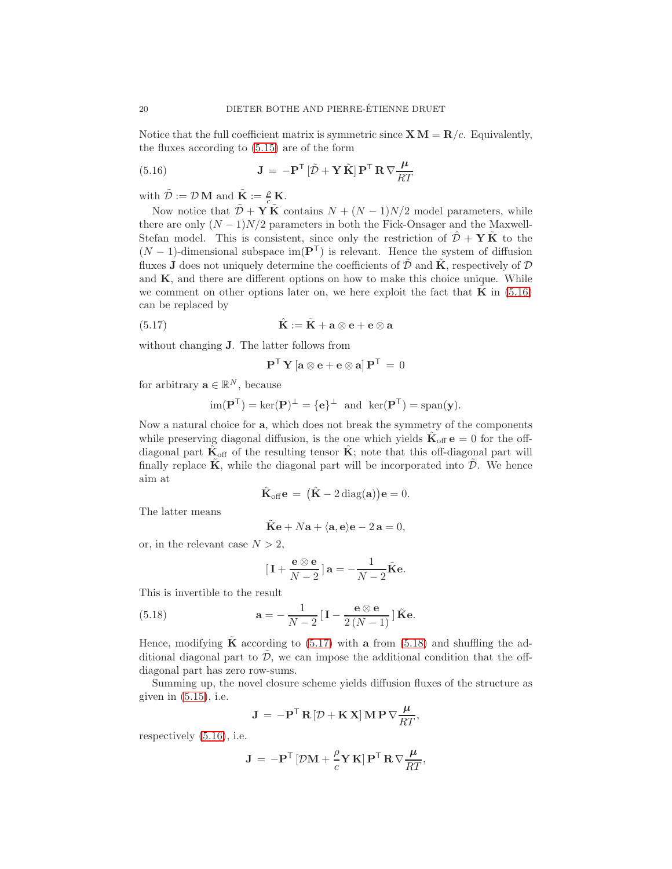Notice that the full coefficient matrix is symmetric since  $X M = R/c$ . Equivalently, the fluxes according to [\(5.15\)](#page-18-2) are of the form

<span id="page-19-0"></span>(5.16) 
$$
\mathbf{J} = -\mathbf{P}^{\mathsf{T}} \left[ \tilde{\mathcal{D}} + \mathbf{Y} \tilde{\mathbf{K}} \right] \mathbf{P}^{\mathsf{T}} \mathbf{R} \nabla \frac{\mu}{RT}
$$

with  $\tilde{\mathcal{D}} := \mathcal{D} \mathbf{M}$  and  $\tilde{\mathbf{K}} := \frac{\rho}{c} \mathbf{K}$ .

Now notice that  $\tilde{\mathcal{D}} + \mathbf{Y} \tilde{\mathbf{K}}$  contains  $N + (N-1)N/2$  model parameters, while there are only  $(N-1)N/2$  parameters in both the Fick-Onsager and the Maxwell-Stefan model. This is consistent, since only the restriction of  $\hat{\mathcal{D}} + Y\tilde{K}$  to the  $(N-1)$ -dimensional subspace im( $\mathbf{P}^{T}$ ) is relevant. Hence the system of diffusion fluxes **J** does not uniquely determine the coefficients of  $\tilde{\mathcal{D}}$  and  $\tilde{\mathbf{K}}$ , respectively of  $\mathcal{D}$ and  $K$ , and there are different options on how to make this choice unique. While we comment on other options later on, we here exploit the fact that  $\bf{K}$  in [\(5.16\)](#page-19-0) can be replaced by

(5.17) 
$$
\hat{\mathbf{K}} := \tilde{\mathbf{K}} + \mathbf{a} \otimes \mathbf{e} + \mathbf{e} \otimes \mathbf{a}
$$

without changing J. The latter follows from

<span id="page-19-1"></span>
$$
\mathbf{P}^\mathsf{T}\,\mathbf{Y}\left[\mathbf{a}\otimes\mathbf{e}+\mathbf{e}\otimes\mathbf{a}\right]\mathbf{P}^\mathsf{T}\,=\,0
$$

for arbitrary  $\mathbf{a} \in \mathbb{R}^N$ , because

$$
\operatorname{im}(\mathbf{P}^{\mathsf{T}}) = \ker(\mathbf{P})^{\perp} = \{e\}^{\perp} \ \ \text{and} \ \ \ker(\mathbf{P}^{\mathsf{T}}) = \operatorname{span}(\mathbf{y}).
$$

Now a natural choice for a, which does not break the symmetry of the components while preserving diagonal diffusion, is the one which yields  $\hat{\mathbf{K}}_{\text{off}} e = 0$  for the offdiagonal part  $\hat{K}_{\text{off}}$  of the resulting tensor  $\hat{K}$ ; note that this off-diagonal part will finally replace  $\tilde{\mathbf{K}}$ , while the diagonal part will be incorporated into  $\tilde{\mathcal{D}}$ . We hence aim at

$$
\hat{\mathbf{K}}_{\text{off}}\mathbf{e} = (\hat{\mathbf{K}} - 2 \operatorname{diag}(\mathbf{a}))\mathbf{e} = 0.
$$

The latter means

$$
\tilde{\mathbf{K}}\mathbf{e} + N\mathbf{a} + \langle \mathbf{a}, \mathbf{e} \rangle \mathbf{e} - 2\mathbf{a} = 0,
$$

or, in the relevant case  $N > 2$ ,

<span id="page-19-2"></span>
$$
[\mathbf{I} + \frac{\mathbf{e} \otimes \mathbf{e}}{N-2}] \mathbf{a} = -\frac{1}{N-2} \tilde{\mathbf{K}} \mathbf{e}.
$$

This is invertible to the result

(5.18) 
$$
\mathbf{a} = -\frac{1}{N-2} \left[ \mathbf{I} - \frac{\mathbf{e} \otimes \mathbf{e}}{2(N-1)} \right] \tilde{\mathbf{K}} \mathbf{e}.
$$

Hence, modifying  $\tilde{K}$  according to [\(5.17\)](#page-19-1) with a from [\(5.18\)](#page-19-2) and shuffling the additional diagonal part to  $\tilde{\mathcal{D}}$ , we can impose the additional condition that the offdiagonal part has zero row-sums.

Summing up, the novel closure scheme yields diffusion fluxes of the structure as given in  $(5.15)$ , i.e.

$$
\mathbf{J} = -\mathbf{P}^{\mathsf{T}} \mathbf{R} \left[ \mathcal{D} + \mathbf{K} \mathbf{X} \right] \mathbf{M} \mathbf{P} \nabla \frac{\mu}{RT},
$$

respectively [\(5.16\)](#page-19-0), i.e.

$$
\mathbf{J} = -\mathbf{P}^{\mathsf{T}} \left[ \mathcal{D}\mathbf{M} + \frac{\rho}{c} \mathbf{Y} \mathbf{K} \right] \mathbf{P}^{\mathsf{T}} \mathbf{R} \nabla \frac{\mu}{RT},
$$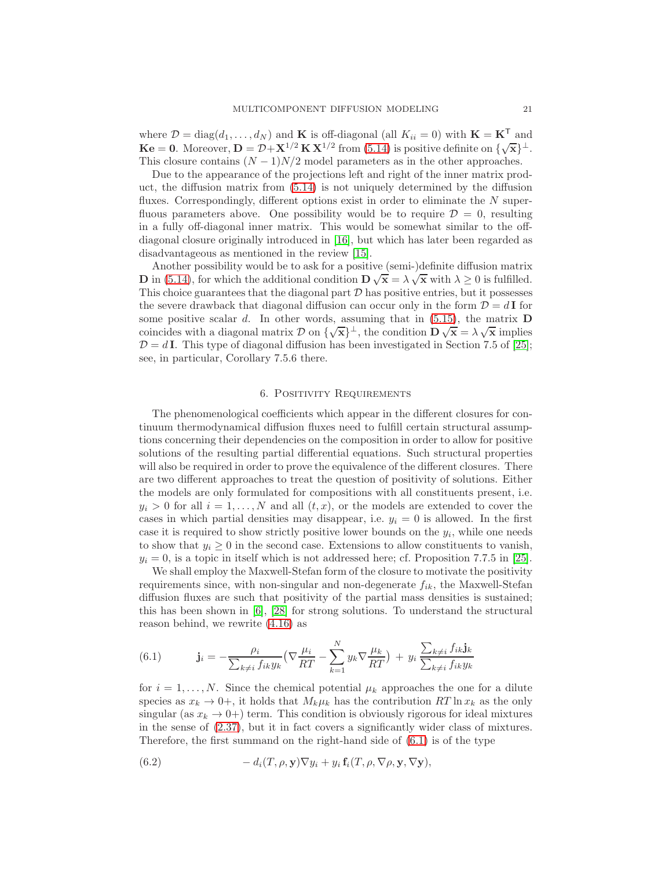where  $\mathcal{D} = \text{diag}(d_1, \ldots, d_N)$  and **K** is off-diagonal (all  $K_{ii} = 0$ ) with  $\mathbf{K} = \mathbf{K}^T$  and  $\mathbf{K}\mathbf{e} = \mathbf{0}$ . Moreover,  $\mathbf{D} = \mathcal{D} + \mathbf{X}^{1/2} \mathbf{K} \mathbf{X}^{1/2}$  from [\(5.14\)](#page-18-3) is positive definite on  $\{\sqrt{\mathbf{x}}\}^{\perp}$ . This closure contains  $(N - 1)N/2$  model parameters as in the other approaches.

Due to the appearance of the projections left and right of the inner matrix product, the diffusion matrix from [\(5.14\)](#page-18-3) is not uniquely determined by the diffusion fluxes. Correspondingly, different options exist in order to eliminate the  $N$  superfluous parameters above. One possibility would be to require  $\mathcal{D} = 0$ , resulting in a fully off-diagonal inner matrix. This would be somewhat similar to the offdiagonal closure originally introduced in [\[16\]](#page-42-13), but which has later been regarded as disadvantageous as mentioned in the review [\[15\]](#page-42-14).

Another possibility would be to ask for a positive (semi-)definite diffusion matrix **D** in [\(5.14\)](#page-18-3), for which the additional condition  $\mathbf{D}\sqrt{\mathbf{x}} = \lambda\sqrt{\mathbf{x}}$  with  $\lambda \geq 0$  is fulfilled. This choice guarantees that the diagonal part  $D$  has positive entries, but it possesses the severe drawback that diagonal diffusion can occur only in the form  $\mathcal{D} = d\mathbf{I}$  for some positive scalar  $d$ . In other words, assuming that in  $(5.15)$ , the matrix **D** coincides with a diagonal matrix  $\mathcal{D}$  on  $\{\sqrt{\mathbf{x}}\}^{\perp}$ , the condition  $\mathbf{D}\sqrt{\mathbf{x}} = \lambda\sqrt{\mathbf{x}}$  implies  $\mathcal{D} = dI$ . This type of diagonal diffusion has been investigated in Section 7.5 of [\[25\]](#page-42-6); see, in particular, Corollary 7.5.6 there.

#### 6. Positivity Requirements

<span id="page-20-0"></span>The phenomenological coefficients which appear in the different closures for continuum thermodynamical diffusion fluxes need to fulfill certain structural assumptions concerning their dependencies on the composition in order to allow for positive solutions of the resulting partial differential equations. Such structural properties will also be required in order to prove the equivalence of the different closures. There are two different approaches to treat the question of positivity of solutions. Either the models are only formulated for compositions with all constituents present, i.e.  $y_i > 0$  for all  $i = 1, ..., N$  and all  $(t, x)$ , or the models are extended to cover the cases in which partial densities may disappear, i.e.  $y_i = 0$  is allowed. In the first case it is required to show strictly positive lower bounds on the  $y_i$ , while one needs to show that  $y_i \geq 0$  in the second case. Extensions to allow constituents to vanish,  $y_i = 0$ , is a topic in itself which is not addressed here; cf. Proposition 7.7.5 in [\[25\]](#page-42-6).

We shall employ the Maxwell-Stefan form of the closure to motivate the positivity requirements since, with non-singular and non-degenerate  $f_{ik}$ , the Maxwell-Stefan diffusion fluxes are such that positivity of the partial mass densities is sustained; this has been shown in [\[6\]](#page-41-2), [\[28\]](#page-42-5) for strong solutions. To understand the structural reason behind, we rewrite [\(4.16\)](#page-14-2) as

<span id="page-20-1"></span>(6.1) 
$$
\mathbf{j}_i = -\frac{\rho_i}{\sum_{k \neq i} f_{ik} y_k} \left( \nabla \frac{\mu_i}{RT} - \sum_{k=1}^N y_k \nabla \frac{\mu_k}{RT} \right) + y_i \frac{\sum_{k \neq i} f_{ik} \mathbf{j}_k}{\sum_{k \neq i} f_{ik} y_k}
$$

for  $i = 1, \ldots, N$ . Since the chemical potential  $\mu_k$  approaches the one for a dilute species as  $x_k \to 0^+$ , it holds that  $M_k\mu_k$  has the contribution  $RT \ln x_k$  as the only singular (as  $x_k \to 0^+$ ) term. This condition is obviously rigorous for ideal mixtures in the sense of [\(2.37\)](#page-8-0), but it in fact covers a significantly wider class of mixtures. Therefore, the first summand on the right-hand side of [\(6.1\)](#page-20-1) is of the type

<span id="page-20-2"></span>(6.2) 
$$
- d_i(T, \rho, \mathbf{y}) \nabla y_i + y_i \mathbf{f}_i(T, \rho, \nabla \rho, \mathbf{y}, \nabla \mathbf{y}),
$$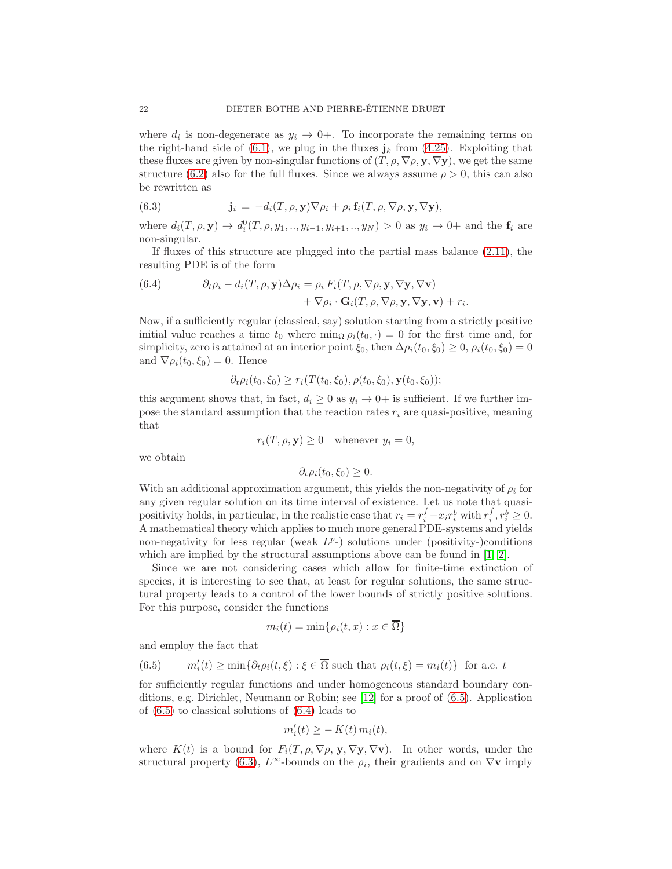where  $d_i$  is non-degenerate as  $y_i \to 0+$ . To incorporate the remaining terms on the right-hand side of [\(6.1\)](#page-20-1), we plug in the fluxes  $\mathbf{j}_k$  from [\(4.25\)](#page-16-0). Exploiting that these fluxes are given by non-singular functions of  $(T, \rho, \nabla \rho, \mathbf{y}, \nabla \mathbf{y})$ , we get the same structure [\(6.2\)](#page-20-2) also for the full fluxes. Since we always assume  $\rho > 0$ , this can also be rewritten as

<span id="page-21-2"></span>(6.3) 
$$
\mathbf{j}_i = -d_i(T, \rho, \mathbf{y}) \nabla \rho_i + \rho_i \mathbf{f}_i(T, \rho, \nabla \rho, \mathbf{y}, \nabla \mathbf{y}),
$$

where  $d_i(T, \rho, \mathbf{y}) \to d_i^0(T, \rho, y_1, ..., y_{i-1}, y_{i+1}, ..., y_N) > 0$  as  $y_i \to 0+$  and the  $\mathbf{f}_i$  are non-singular.

If fluxes of this structure are plugged into the partial mass balance [\(2.11\)](#page-5-6), the resulting PDE is of the form

<span id="page-21-1"></span>(6.4) 
$$
\partial_t \rho_i - d_i(T, \rho, \mathbf{y}) \Delta \rho_i = \rho_i F_i(T, \rho, \nabla \rho, \mathbf{y}, \nabla \mathbf{y}, \nabla \mathbf{v}) + \nabla \rho_i \cdot \mathbf{G}_i(T, \rho, \nabla \rho, \mathbf{y}, \nabla \mathbf{y}, \mathbf{v}) + r_i.
$$

Now, if a sufficiently regular (classical, say) solution starting from a strictly positive initial value reaches a time  $t_0$  where  $\min_{\Omega} \rho_i(t_0, \cdot) = 0$  for the first time and, for simplicity, zero is attained at an interior point  $\xi_0$ , then  $\Delta \rho_i(t_0, \xi_0) \geq 0$ ,  $\rho_i(t_0, \xi_0) = 0$ and  $\nabla \rho_i(t_0, \xi_0) = 0$ . Hence

$$
\partial_t \rho_i(t_0, \xi_0) \ge r_i(T(t_0, \xi_0), \rho(t_0, \xi_0), \mathbf{y}(t_0, \xi_0));
$$

this argument shows that, in fact,  $d_i \geq 0$  as  $y_i \to 0^+$  is sufficient. If we further impose the standard assumption that the reaction rates  $r_i$  are quasi-positive, meaning that

$$
r_i(T, \rho, \mathbf{y}) \ge 0 \quad \text{whenever } y_i = 0,
$$

we obtain

$$
\partial_t \rho_i(t_0, \xi_0) \ge 0.
$$

With an additional approximation argument, this yields the non-negativity of  $\rho_i$  for any given regular solution on its time interval of existence. Let us note that quasipositivity holds, in particular, in the realistic case that  $r_i = r_i^f - x_i r_i^b$  with  $r_i^f, r_i^b \ge 0$ . A mathematical theory which applies to much more general PDE-systems and yields non-negativity for less regular (weak  $L^p$ -) solutions under (positivity-)conditions which are implied by the structural assumptions above can be found in [\[1,](#page-41-3) [2\]](#page-41-4).

Since we are not considering cases which allow for finite-time extinction of species, it is interesting to see that, at least for regular solutions, the same structural property leads to a control of the lower bounds of strictly positive solutions. For this purpose, consider the functions

$$
m_i(t) = \min\{\rho_i(t, x) : x \in \overline{\Omega}\}\
$$

and employ the fact that

<span id="page-21-0"></span>(6.5) 
$$
m'_i(t) \ge \min\{\partial_t \rho_i(t,\xi) : \xi \in \overline{\Omega} \text{ such that } \rho_i(t,\xi) = m_i(t)\} \text{ for a.e. } t
$$

for sufficiently regular functions and under homogeneous standard boundary conditions, e.g. Dirichlet, Neumann or Robin; see [\[12\]](#page-42-15) for a proof of [\(6.5\)](#page-21-0). Application of [\(6.5\)](#page-21-0) to classical solutions of [\(6.4\)](#page-21-1) leads to

$$
m_i'(t) \geq -K(t) m_i(t),
$$

where  $K(t)$  is a bound for  $F_i(T, \rho, \nabla \rho, \mathbf{y}, \nabla \mathbf{y}, \nabla \mathbf{v})$ . In other words, under the structural property [\(6.3\)](#page-21-2),  $L^{\infty}$ -bounds on the  $\rho_i$ , their gradients and on  $\nabla$ **v** imply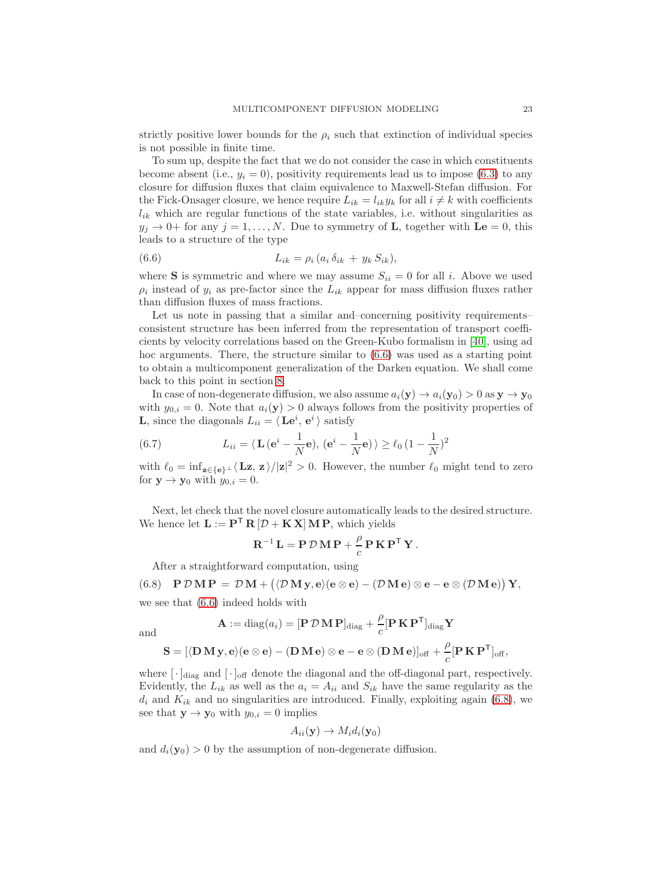strictly positive lower bounds for the  $\rho_i$  such that extinction of individual species is not possible in finite time.

To sum up, despite the fact that we do not consider the case in which constituents become absent (i.e.,  $y_i = 0$ ), positivity requirements lead us to impose [\(6.3\)](#page-21-2) to any closure for diffusion fluxes that claim equivalence to Maxwell-Stefan diffusion. For the Fick-Onsager closure, we hence require  $L_{ik} = l_{ik}y_k$  for all  $i \neq k$  with coefficients  $l_{ik}$  which are regular functions of the state variables, i.e. without singularities as  $y_j \to 0^+$  for any  $j = 1, \ldots, N$ . Due to symmetry of **L**, together with  $\mathbf{Le} = 0$ , this leads to a structure of the type

<span id="page-22-0"></span>(6.6) 
$$
L_{ik} = \rho_i (a_i \, \delta_{ik} + y_k S_{ik}),
$$

where S is symmetric and where we may assume  $S_{ii} = 0$  for all i. Above we used  $\rho_i$  instead of  $y_i$  as pre-factor since the  $L_{ik}$  appear for mass diffusion fluxes rather than diffusion fluxes of mass fractions.

Let us note in passing that a similar and–concerning positivity requirements– consistent structure has been inferred from the representation of transport coefficients by velocity correlations based on the Green-Kubo formalism in [\[40\]](#page-43-1), using ad hoc arguments. There, the structure similar to [\(6.6\)](#page-22-0) was used as a starting point to obtain a multicomponent generalization of the Darken equation. We shall come back to this point in section [8.](#page-30-0)

In case of non-degenerate diffusion, we also assume  $a_i(\mathbf{y}) \to a_i(\mathbf{y}_0) > 0$  as  $\mathbf{y} \to \mathbf{y}_0$ with  $y_{0,i} = 0$ . Note that  $a_i(\mathbf{y}) > 0$  always follows from the positivity properties of **L**, since the diagonals  $L_{ii} = \langle \mathbf{Le}^i, \mathbf{e}^i \rangle$  satisfy

<span id="page-22-2"></span>(6.7) 
$$
L_{ii} = \langle \mathbf{L} (\mathbf{e}^i - \frac{1}{N} \mathbf{e}), (\mathbf{e}^i - \frac{1}{N} \mathbf{e}) \rangle \ge \ell_0 (1 - \frac{1}{N})^2
$$

with  $\ell_0 = \inf_{\mathbf{z} \in \{\mathbf{e}\}^{\perp}} \langle \mathbf{L} \mathbf{z}, \mathbf{z} \rangle / |\mathbf{z}|^2 > 0$ . However, the number  $\ell_0$  might tend to zero for  $y \to y_0$  with  $y_{0,i} = 0$ .

Next, let check that the novel closure automatically leads to the desired structure. We hence let  $\mathbf{L} := \mathbf{P}^{\mathsf{T}} \mathbf{R} [\mathcal{D} + \mathbf{K} \mathbf{X}] \mathbf{M} \mathbf{P}$ , which yields

$$
\mathbf{R}^{-1}\mathbf{L} = \mathbf{P} \, \mathcal{D} \, \mathbf{M} \, \mathbf{P} + \frac{\rho}{c} \, \mathbf{P} \, \mathbf{K} \, \mathbf{P}^{\mathsf{T}} \, \mathbf{Y} \, .
$$

<span id="page-22-1"></span>After a straightforward computation, using

(6.8) 
$$
\mathbf{P}\mathcal{D}\mathbf{M}\mathbf{P} = \mathcal{D}\mathbf{M} + (\langle \mathcal{D}\mathbf{M}\mathbf{y}, \mathbf{e} \rangle (\mathbf{e} \otimes \mathbf{e}) - (\mathcal{D}\mathbf{M}\mathbf{e}) \otimes \mathbf{e} - \mathbf{e} \otimes (\mathcal{D}\mathbf{M}\mathbf{e})) \mathbf{Y},
$$

we see that [\(6.6\)](#page-22-0) indeed holds with

$$
\mathbf{A} := \text{diag}(a_i) = [\mathbf{P} \, \mathcal{D} \, \mathbf{M} \, \mathbf{P}]_{\text{diag}} + \frac{\rho}{c} [\mathbf{P} \, \mathbf{K} \, \mathbf{P}^{\mathsf{T}}]_{\text{diag}} \mathbf{Y}
$$

and

$$
\mathbf{S} = [\langle \mathbf{D}\, \mathbf{M}\, \mathbf{y}, \mathbf{e} \rangle (\mathbf{e} \otimes \mathbf{e}) - (\mathbf{D}\, \mathbf{M}\, \mathbf{e}) \otimes \mathbf{e} - \mathbf{e} \otimes (\mathbf{D}\, \mathbf{M}\, \mathbf{e})]_{\text{off}} + \frac{\rho}{c} [\mathbf{P}\, \mathbf{K}\, \mathbf{P}^{\mathsf{T}}]_{\text{off}},
$$

where  $[\cdot]_{\text{diag}}$  and  $[\cdot]_{\text{off}}$  denote the diagonal and the off-diagonal part, respectively. Evidently, the  $L_{ik}$  as well as the  $a_i = A_{ii}$  and  $S_{ik}$  have the same regularity as the  $d_i$  and  $K_{ik}$  and no singularities are introduced. Finally, exploiting again [\(6.8\)](#page-22-1), we see that  $y \rightarrow y_0$  with  $y_{0,i} = 0$  implies

$$
A_{ii}(\mathbf{y}) \to M_i d_i(\mathbf{y}_0)
$$

and  $d_i(\mathbf{y}_0) > 0$  by the assumption of non-degenerate diffusion.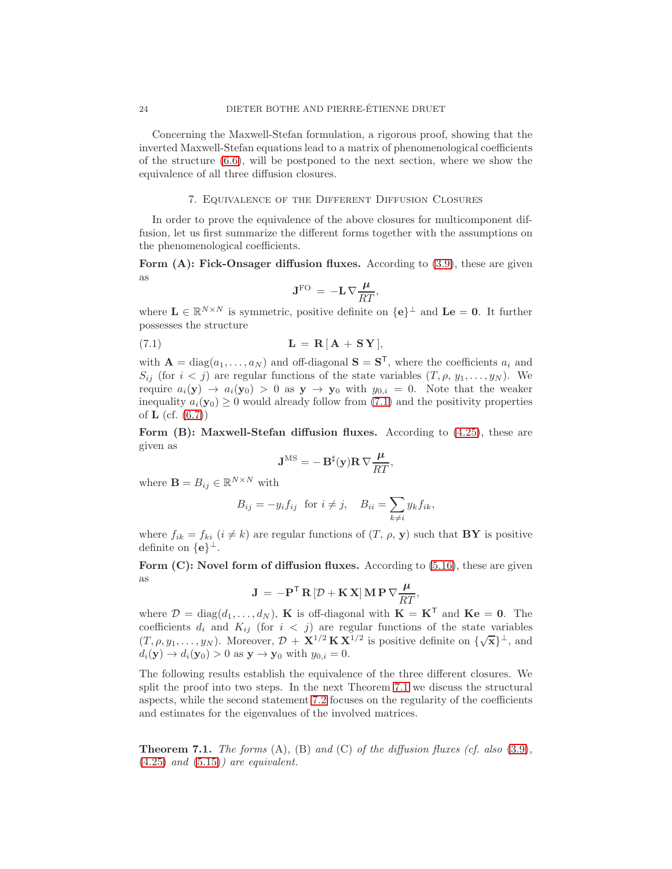Concerning the Maxwell-Stefan formulation, a rigorous proof, showing that the inverted Maxwell-Stefan equations lead to a matrix of phenomenological coefficients of the structure  $(6.6)$ , will be postponed to the next section, where we show the equivalence of all three diffusion closures.

#### 7. Equivalence of the Different Diffusion Closures

In order to prove the equivalence of the above closures for multicomponent diffusion, let us first summarize the different forms together with the assumptions on the phenomenological coefficients.

Form  $(A)$ : Fick-Onsager diffusion fluxes. According to  $(3.9)$ , these are given as

<span id="page-23-0"></span>
$$
\mathbf{J}^{\rm FO} \,=\, -\mathbf{L}\, \nabla \frac{\mu}{RT},
$$

where  $\mathbf{L} \in \mathbb{R}^{N \times N}$  is symmetric, positive definite on  $\{\mathbf{e}\}^{\perp}$  and  $\mathbf{L}\mathbf{e} = \mathbf{0}$ . It further possesses the structure

$$
L = R[A + SY],
$$

with  $\mathbf{A} = \text{diag}(a_1, \dots, a_N)$  and off-diagonal  $\mathbf{S} = \mathbf{S}^T$ , where the coefficients  $a_i$  and  $S_{ij}$  (for  $i < j$ ) are regular functions of the state variables  $(T, \rho, y_1, \ldots, y_N)$ . We require  $a_i(\mathbf{y}) \to a_i(\mathbf{y}_0) > 0$  as  $\mathbf{y} \to \mathbf{y}_0$  with  $y_{0,i} = 0$ . Note that the weaker inequality  $a_i(\mathbf{y}_0) \geq 0$  would already follow from [\(7.1\)](#page-23-0) and the positivity properties of  $L$  (cf.  $(6.7)$ )

Form  $(B)$ : Maxwell-Stefan diffusion fluxes. According to  $(4.25)$ , these are given as

$$
\mathbf{J}^{\rm MS} = -\,\mathbf{B}^\sharp(\mathbf{y})\mathbf{R}\,\nabla\frac{\mu}{RT},
$$

where  $\mathbf{B} = B_{ij} \in \mathbb{R}^{N \times N}$  with

$$
B_{ij} = -y_i f_{ij} \text{ for } i \neq j, \quad B_{ii} = \sum_{k \neq i} y_k f_{ik},
$$

where  $f_{ik} = f_{ki}$   $(i \neq k)$  are regular functions of  $(T, \rho, \mathbf{y})$  such that **BY** is positive definite on  $\{e\}^{\perp}$ .

Form  $(C)$ : Novel form of diffusion fluxes. According to  $(5.16)$ , these are given as

$$
\mathbf{J} = -\mathbf{P}^{\mathsf{T}} \mathbf{R} \left[ \mathcal{D} + \mathbf{K} \mathbf{X} \right] \mathbf{M} \mathbf{P} \nabla \frac{\mu}{RT},
$$

where  $\mathcal{D} = \text{diag}(d_1, \dots, d_N)$ , **K** is off-diagonal with  $\mathbf{K} = \mathbf{K}^T$  and  $\mathbf{K} \mathbf{e} = \mathbf{0}$ . The coefficients  $d_i$  and  $K_{ij}$  (for  $i < j$ ) are regular functions of the state variables  $(T, \rho, y_1, \ldots, y_N)$ . Moreover,  $\mathcal{D} + \mathbf{X}^{1/2} \mathbf{K} \mathbf{X}^{1/2}$  is positive definite on  $\{\sqrt{\mathbf{x}}\}^{\perp}$ , and  $d_i(\mathbf{y}) \to d_i(\mathbf{y}_0) > 0$  as  $\mathbf{y} \to \mathbf{y}_0$  with  $y_{0,i} = 0$ .

The following results establish the equivalence of the three different closures. We split the proof into two steps. In the next Theorem [7.1](#page-23-1) we discuss the structural aspects, while the second statement [7.2](#page-26-0) focuses on the regularity of the coefficients and estimates for the eigenvalues of the involved matrices.

<span id="page-23-1"></span>**Theorem 7.1.** The forms  $(A)$ ,  $(B)$  and  $(C)$  of the diffusion fluxes (cf. also  $(3.9)$ ,  $(4.25)$  and  $(5.15)$ ) are equivalent.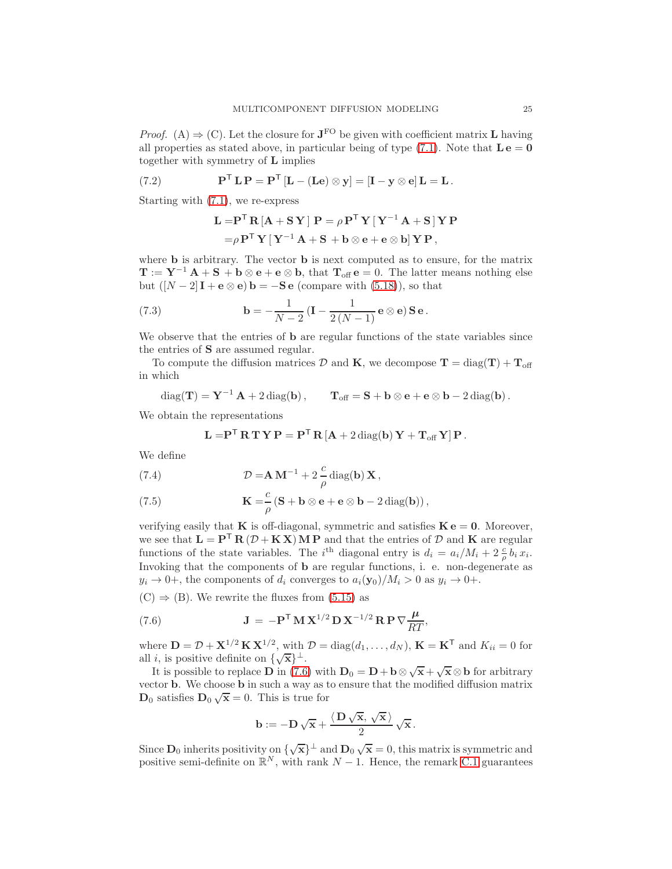*Proof.* (A)  $\Rightarrow$  (C). Let the closure for **J**<sup>FO</sup> be given with coefficient matrix **L** having all properties as stated above, in particular being of type  $(7.1)$ . Note that  $\mathbf{L} \mathbf{e} = \mathbf{0}$ together with symmetry of L implies

(7.2) 
$$
\mathbf{P}^{\mathsf{T}} \mathbf{L} \mathbf{P} = \mathbf{P}^{\mathsf{T}} \left[ \mathbf{L} - (\mathbf{L} \mathbf{e}) \otimes \mathbf{y} \right] = \left[ \mathbf{I} - \mathbf{y} \otimes \mathbf{e} \right] \mathbf{L} = \mathbf{L}.
$$

Starting with [\(7.1\)](#page-23-0), we re-express

$$
\begin{aligned} \mathbf{L} = & \mathbf{P}^\mathsf{T} \, \mathbf{R} \left[ \mathbf{A} + \mathbf{S} \, \mathbf{Y} \, \right] \, \mathbf{P} = \rho \, \mathbf{P}^\mathsf{T} \, \mathbf{Y} \left[ \, \mathbf{Y}^{-1} \, \mathbf{A} + \mathbf{S} \, \right] \mathbf{Y} \, \mathbf{P} \\ = & \rho \, \mathbf{P}^\mathsf{T} \, \mathbf{Y} \left[ \, \mathbf{Y}^{-1} \, \mathbf{A} + \mathbf{S} + \mathbf{b} \otimes \mathbf{e} + \mathbf{e} \otimes \mathbf{b} \right] \mathbf{Y} \, \mathbf{P} \,, \end{aligned}
$$

where **b** is arbitrary. The vector **b** is next computed as to ensure, for the matrix  $\mathbf{T} := \mathbf{Y}^{-1} \mathbf{A} + \mathbf{S} + \mathbf{b} \otimes \mathbf{e} + \mathbf{e} \otimes \mathbf{b}$ , that  $\mathbf{T}_{\text{off}} \mathbf{e} = 0$ . The latter means nothing else but  $([N-2]\mathbf{I} + \mathbf{e} \otimes \mathbf{e})\mathbf{b} = -\mathbf{S}\mathbf{e}$  (compare with [\(5.18\)](#page-19-2)), so that

(7.3) 
$$
\mathbf{b} = -\frac{1}{N-2} (\mathbf{I} - \frac{1}{2(N-1)} \mathbf{e} \otimes \mathbf{e}) \mathbf{S} \mathbf{e}.
$$

We observe that the entries of **b** are regular functions of the state variables since the entries of S are assumed regular.

To compute the diffusion matrices D and K, we decompose  $T = diag(T) + T_{off}$ in which

 $diag(\mathbf{T}) = \mathbf{Y}^{-1} \mathbf{A} + 2 \operatorname{diag}(\mathbf{b}), \qquad \mathbf{T}_{\text{off}} = \mathbf{S} + \mathbf{b} \otimes \mathbf{e} + \mathbf{e} \otimes \mathbf{b} - 2 \operatorname{diag}(\mathbf{b}).$ 

We obtain the representations

$$
\mathbf{L} = \mathbf{P}^\mathsf{T} \, \mathbf{R} \, \mathbf{T} \, \mathbf{Y} \, \mathbf{P} = \mathbf{P}^\mathsf{T} \, \mathbf{R} \left[ \mathbf{A} + 2 \, \text{diag}(\mathbf{b}) \, \mathbf{Y} + \mathbf{T}_{\text{off}} \, \mathbf{Y} \right] \mathbf{P} \, .
$$

We define

<span id="page-24-1"></span>(7.4) 
$$
\mathcal{D} = \mathbf{A} \mathbf{M}^{-1} + 2 \frac{c}{\rho} \operatorname{diag}(\mathbf{b}) \mathbf{X},
$$

<span id="page-24-2"></span>(7.5) 
$$
\mathbf{K} = \frac{c}{\rho} \left( \mathbf{S} + \mathbf{b} \otimes \mathbf{e} + \mathbf{e} \otimes \mathbf{b} - 2 \operatorname{diag}(\mathbf{b}) \right),
$$

verifying easily that **K** is off-diagonal, symmetric and satisfies  $\mathbf{K} \cdot \mathbf{e} = \mathbf{0}$ . Moreover, we see that  $\mathbf{L} = \mathbf{P}^{\mathsf{T}} \mathbf{R} (\mathcal{D} + \mathbf{K} \mathbf{X}) \mathbf{M} \mathbf{P}$  and that the entries of  $\mathcal{D}$  and  $\mathbf{K}$  are regular functions of the state variables. The *i*<sup>th</sup> diagonal entry is  $d_i = a_i/M_i + 2\frac{c}{\rho}b_i x_i$ . Invoking that the components of b are regular functions, i. e. non-degenerate as  $y_i \rightarrow 0^+$ , the components of  $d_i$  converges to  $a_i(\mathbf{y}_0)/M_i > 0$  as  $y_i \rightarrow 0^+$ .

 $(C) \Rightarrow (B)$ . We rewrite the fluxes from  $(5.15)$  as

(7.6) 
$$
\mathbf{J} = -\mathbf{P}^{\mathsf{T}} \mathbf{M} \mathbf{X}^{1/2} \mathbf{D} \mathbf{X}^{-1/2} \mathbf{R} \mathbf{P} \nabla \frac{\mu}{RT},
$$

where  $\mathbf{D} = \mathcal{D} + \mathbf{X}^{1/2} \mathbf{K} \mathbf{X}^{1/2}$ , with  $\mathcal{D} = \text{diag}(d_1, \dots, d_N)$ ,  $\mathbf{K} = \mathbf{K}^T$  and  $K_{ii} = 0$  for all *i*, is positive definite on  $\{\sqrt{\mathbf{x}}\}^{\perp}$ .

It is possible to replace **D** in [\(7.6\)](#page-24-0) with  $D_0 = D + b \otimes \sqrt{x} + \sqrt{x} \otimes b$  for arbitrary vector b. We choose b in such a way as to ensure that the modified diffusion matrix  $\mathbf{D}_0$  satisfies  $\mathbf{D}_0 \sqrt{\mathbf{x}} = 0$ . This is true for

<span id="page-24-0"></span>
$$
\mathbf{b} := -\mathbf{D}\sqrt{\mathbf{x}} + \frac{\langle \mathbf{D}\sqrt{\mathbf{x}}, \sqrt{\mathbf{x}} \rangle}{2} \sqrt{\mathbf{x}}.
$$

Since  $\mathbf{D}_0$  inherits positivity on  $\{\sqrt{\mathbf{x}}\}^{\perp}$  and  $\mathbf{D}_0 \sqrt{\mathbf{x}} = 0$ , this matrix is symmetric and positive semi-definite on  $\mathbb{R}^N$ , with rank  $N-1$ . Hence, the remark [C.1](#page-47-1) guarantees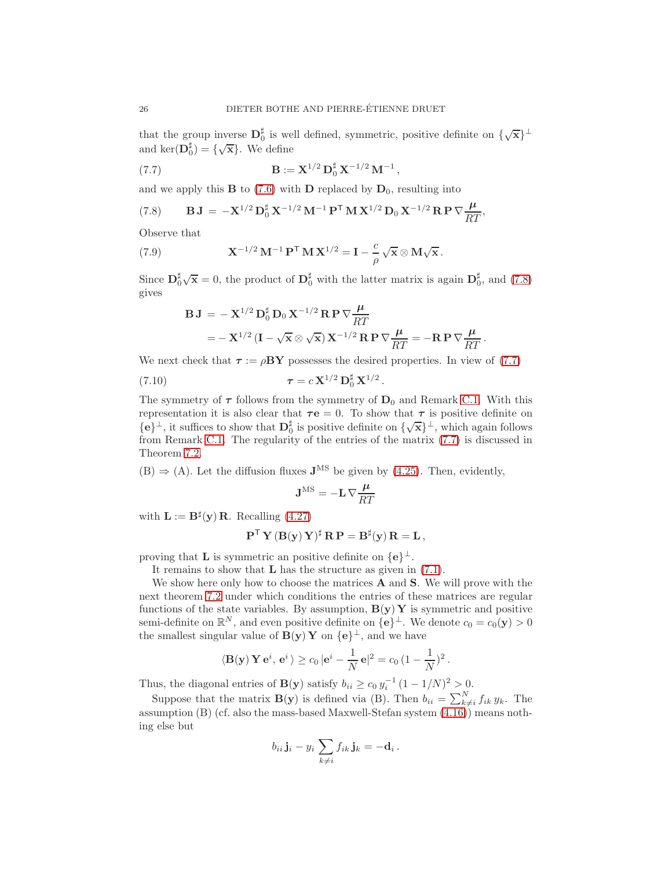that the group inverse  $D_0^{\sharp}$  is well defined, symmetric, positive definite on  $\{\sqrt{\mathbf{x}}\}^{\perp}$ and  $\ker(\mathbf{D}_0^{\sharp}) = {\{\sqrt{\mathbf{x}}\}}$ . We define

<span id="page-25-1"></span>(7.7) 
$$
\mathbf{B} := \mathbf{X}^{1/2} \mathbf{D}_0^{\sharp} \mathbf{X}^{-1/2} \mathbf{M}^{-1},
$$

and we apply this **B** to [\(7.6\)](#page-24-0) with **D** replaced by  $D_0$ , resulting into

<span id="page-25-0"></span>(7.8) 
$$
\mathbf{B} \mathbf{J} = -\mathbf{X}^{1/2} \mathbf{D}_0^{\sharp} \mathbf{X}^{-1/2} \mathbf{M}^{-1} \mathbf{P}^{\mathsf{T}} \mathbf{M} \mathbf{X}^{1/2} \mathbf{D}_0 \mathbf{X}^{-1/2} \mathbf{R} \mathbf{P} \nabla \frac{\mu}{RT},
$$

Observe that

(7.9) 
$$
\mathbf{X}^{-1/2} \mathbf{M}^{-1} \mathbf{P}^{\mathsf{T}} \mathbf{M} \mathbf{X}^{1/2} = \mathbf{I} - \frac{c}{\rho} \sqrt{\mathbf{x}} \otimes \mathbf{M} \sqrt{\mathbf{x}}.
$$

Since  $\mathbf{D}_0^{\sharp}\sqrt{\mathbf{x}}=0$ , the product of  $\mathbf{D}_0^{\sharp}$  with the latter matrix is again  $\mathbf{D}_0^{\sharp}$ , and [\(7.8\)](#page-25-0) gives

$$
B J = -X^{1/2} D_0^{\dagger} D_0 X^{-1/2} R P \nabla \frac{\mu}{RT}
$$
  
= -X<sup>1/2</sup> (I -  $\sqrt{x} \otimes \sqrt{x}$ ) X<sup>-1/2</sup> R P  $\nabla \frac{\mu}{RT}$  = -R P  $\nabla \frac{\mu}{RT}$ .

We next check that  $\tau := \rho BY$  possesses the desired properties. In view of [\(7.7\)](#page-25-1)

(7.10) 
$$
\tau = c \, \mathbf{X}^{1/2} \, \mathbf{D}_0^{\sharp} \, \mathbf{X}^{1/2} \, .
$$

The symmetry of  $\tau$  follows from the symmetry of  $D_0$  and Remark [C.1.](#page-47-1) With this representation it is also clear that  $\tau e = 0$ . To show that  $\tau$  is positive definite on  $\{e\}^{\perp}$ , it suffices to show that  $D_0^{\sharp}$  is positive definite on  $\{\sqrt{x}\}^{\perp}$ , which again follows from Remark [C.1.](#page-47-1) The regularity of the entries of the matrix [\(7.7\)](#page-25-1) is discussed in Theorem [7.2.](#page-26-0)

 $(B) \Rightarrow (A)$ . Let the diffusion fluxes  $J<sup>MS</sup>$  be given by [\(4.25\)](#page-16-0). Then, evidently,

$$
\mathbf{J}^{\rm MS} = -\mathbf{L}\,\nabla \frac{\boldsymbol{\mu}}{RT}
$$

with  $\mathbf{L} := \mathbf{B}^{\sharp}(\mathbf{y})\mathbf{R}$ . Recalling [\(4.27\)](#page-16-1)

$$
\mathbf{P}^{\mathsf{T}} \, \mathbf{Y} \, (\mathbf{B}(\mathbf{y}) \, \mathbf{Y})^{\sharp} \, \mathbf{R} \, \mathbf{P} = \mathbf{B}^{\sharp}(\mathbf{y}) \, \mathbf{R} = \mathbf{L} \,,
$$

proving that **L** is symmetric an positive definite on  $\{e\}^{\perp}$ .

It remains to show that  $L$  has the structure as given in  $(7.1)$ .

We show here only how to choose the matrices  $A$  and  $S$ . We will prove with the next theorem [7.2](#page-26-0) under which conditions the entries of these matrices are regular functions of the state variables. By assumption,  $B(y) Y$  is symmetric and positive semi-definite on  $\mathbb{R}^N$ , and even positive definite on  $\{e\}^{\perp}$ . We denote  $c_0 = c_0(\mathbf{y}) > 0$ the smallest singular value of  $B(y) Y$  on  $\{e\}^{\perp}$ , and we have

$$
\langle \mathbf{B}(\mathbf{y}) \mathbf{Y} \mathbf{e}^i, \mathbf{e}^i \rangle \ge c_0 |\mathbf{e}^i - \frac{1}{N} \mathbf{e}|^2 = c_0 (1 - \frac{1}{N})^2.
$$

Thus, the diagonal entries of **B**(y) satisfy  $b_{ii} \ge c_0 y_i^{-1} (1 - 1/N)^2 > 0$ .

Suppose that the matrix  $\mathbf{B}(\mathbf{y})$  is defined via (B). Then  $b_{ii} = \sum_{k \neq i}^{N} f_{ik} y_k$ . Then assumption (B) (cf. also the mass-based Maxwell-Stefan system [\(4.16\)](#page-14-2)) means nothing else but

$$
b_{ii}\mathbf{j}_i - y_i\sum_{k\neq i} f_{ik}\mathbf{j}_k = -\mathbf{d}_i.
$$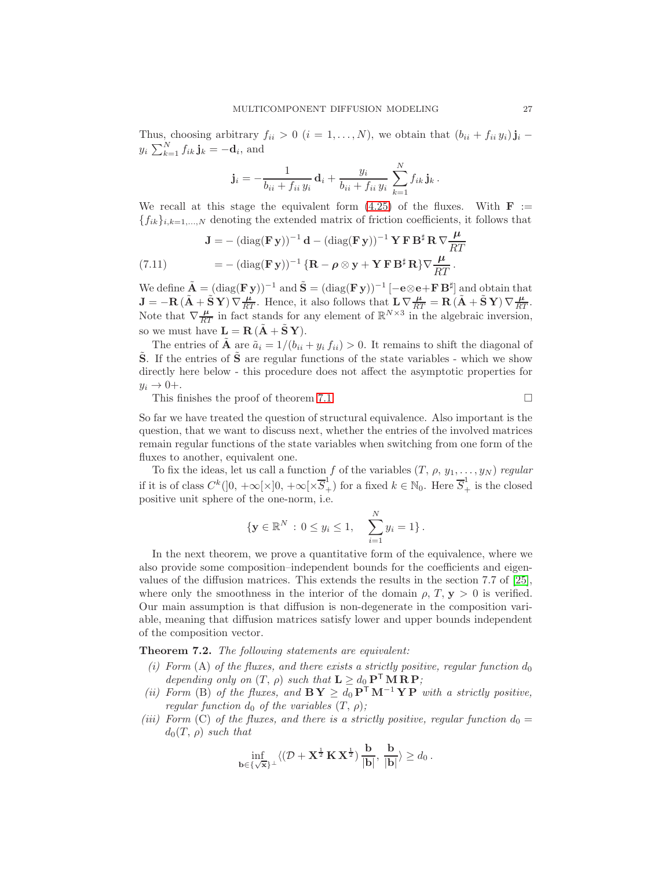Thus, choosing arbitrary  $f_{ii} > 0$   $(i = 1, ..., N)$ , we obtain that  $(b_{ii} + f_{ii} y_i) \mathbf{j}_i$  –  $y_i \sum_{k=1}^{N} f_{ik} \mathbf{j}_k = -\mathbf{d}_i$ , and

$$
\mathbf{j}_{i} = -\frac{1}{b_{ii} + f_{ii} y_{i}} \mathbf{d}_{i} + \frac{y_{i}}{b_{ii} + f_{ii} y_{i}} \sum_{k=1}^{N} f_{ik} \mathbf{j}_{k}.
$$

We recall at this stage the equivalent form  $(4.25)$  of the fluxes. With  $\mathbf{F}$  :=  ${f_{ik}}_{i,k=1,...,N}$  denoting the extended matrix of friction coefficients, it follows that

<span id="page-26-4"></span>(7.11) 
$$
\mathbf{J} = -(\text{diag}(\mathbf{F}\,\mathbf{y}))^{-1}\,\mathbf{d} - (\text{diag}(\mathbf{F}\,\mathbf{y}))^{-1}\,\mathbf{Y}\,\mathbf{F}\,\mathbf{B}^{\sharp}\,\mathbf{R}\,\nabla\frac{\mu}{RT}
$$

$$
= -(\text{diag}(\mathbf{F}\,\mathbf{y}))^{-1}\,\{\mathbf{R} - \boldsymbol{\rho}\otimes\mathbf{y} + \mathbf{Y}\,\mathbf{F}\,\mathbf{B}^{\sharp}\,\mathbf{R}\}\nabla\frac{\mu}{RT}.
$$

We define  $\tilde{A} = (diag(\mathbf{F} \mathbf{y}))^{-1}$  and  $\tilde{S} = (diag(\mathbf{F} \mathbf{y}))^{-1} [-\mathbf{e} \otimes \mathbf{e} + \mathbf{F} \mathbf{B}^{\sharp}]$  and obtain that  $\mathbf{J} = -\mathbf{R} \left( \tilde{\mathbf{A}} + \tilde{\mathbf{S}} \mathbf{Y} \right) \nabla \frac{\mu}{RT}$ . Hence, it also follows that  $\mathbf{L} \nabla \frac{\mu}{RT} = \mathbf{R} \left( \tilde{\mathbf{A}} + \tilde{\mathbf{S}} \mathbf{Y} \right) \nabla \frac{\mu}{RT}$ . Note that  $\nabla \frac{\mu}{RT}$  in fact stands for any element of  $\mathbb{R}^{N \times 3}$  in the algebraic inversion, so we must have  $\mathbf{L} = \mathbf{R} (\mathbf{A} + \mathbf{S} \mathbf{Y}).$ 

The entries of  $\tilde{A}$  are  $\tilde{a}_i = 1/(b_{ii} + y_i f_{ii}) > 0$ . It remains to shift the diagonal of  $\tilde{\mathbf{S}}$ . If the entries of  $\tilde{\mathbf{S}}$  are regular functions of the state variables - which we show directly here below - this procedure does not affect the asymptotic properties for  $y_i \rightarrow 0+$ .

This finishes the proof of theorem [7.1.](#page-23-1)  $\Box$ 

So far we have treated the question of structural equivalence. Also important is the question, that we want to discuss next, whether the entries of the involved matrices remain regular functions of the state variables when switching from one form of the fluxes to another, equivalent one.

To fix the ideas, let us call a function f of the variables  $(T, \rho, y_1, \ldots, y_N)$  regular if it is of class  $C^k(]0, +\infty[\times]0, +\infty[\times \overline{S}_+^1)$  for a fixed  $k \in \mathbb{N}_0$ . Here  $\overline{S}_+^1$  is the closed positive unit sphere of the one-norm, i.e.

$$
\{ \mathbf{y} \in \mathbb{R}^N : 0 \le y_i \le 1, \quad \sum_{i=1}^N y_i = 1 \}.
$$

In the next theorem, we prove a quantitative form of the equivalence, where we also provide some composition–independent bounds for the coefficients and eigenvalues of the diffusion matrices. This extends the results in the section 7.7 of [\[25\]](#page-42-6), where only the smoothness in the interior of the domain  $\rho$ ,  $T$ ,  $\mathbf{v} > 0$  is verified. Our main assumption is that diffusion is non-degenerate in the composition variable, meaning that diffusion matrices satisfy lower and upper bounds independent of the composition vector.

<span id="page-26-1"></span><span id="page-26-0"></span>Theorem 7.2. The following statements are equivalent:

- (i) Form (A) of the fluxes, and there exists a strictly positive, regular function  $d_0$ depending only on  $(T, \rho)$  such that  $\mathbf{L} \geq d_0 \mathbf{P}^{\mathsf{T}} \mathbf{M} \mathbf{R} \mathbf{P}$ ;
- <span id="page-26-3"></span>(ii) Form (B) of the fluxes, and  $\mathbf{B} \mathbf{Y} \geq d_0 \mathbf{P}^{\mathsf{T}} \mathbf{M}^{-1} \mathbf{Y} \mathbf{P}$  with a strictly positive, regular function  $d_0$  of the variables  $(T, \rho)$ ;
- <span id="page-26-2"></span>(iii) Form (C) of the fluxes, and there is a strictly positive, regular function  $d_0 =$  $d_0(T, \rho)$  such that

$$
\inf_{\mathbf{b}\in\{\sqrt{\mathbf{x}}\}^{\perp}}\langle(\mathcal{D}+\mathbf{X}^{\frac{1}{2}}\,\mathbf{K}\,\mathbf{X}^{\frac{1}{2}})\,\frac{\mathbf{b}}{|\mathbf{b}|},\,\frac{\mathbf{b}}{|\mathbf{b}|}\rangle\geq d_0\,.
$$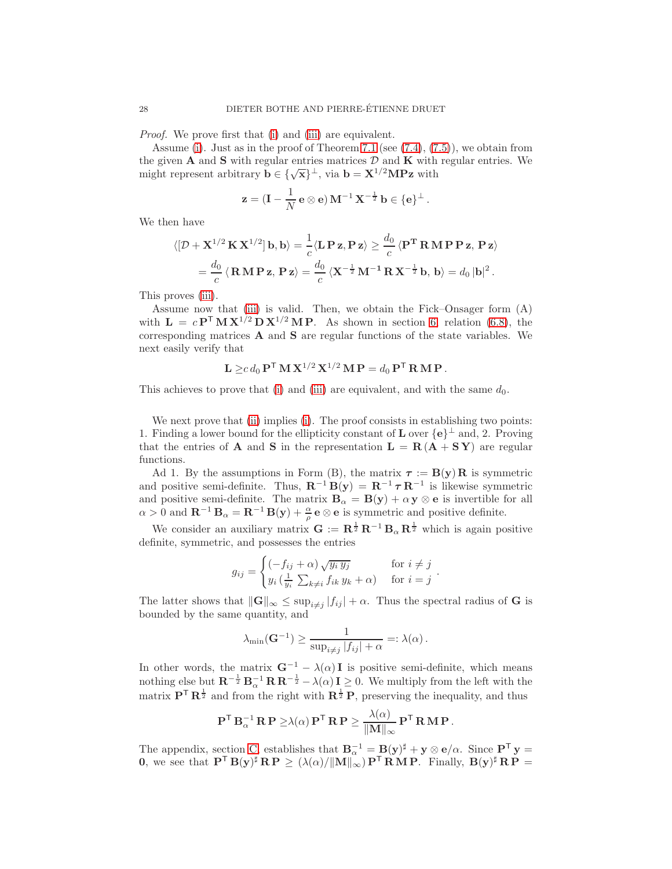Proof. We prove first that [\(i\)](#page-26-1) and [\(iii\)](#page-26-2) are equivalent.

Assume [\(i\)](#page-26-1). Just as in the proof of Theorem [7.1](#page-23-1) (see  $(7.4)$ ,  $(7.5)$ ), we obtain from the given  $A$  and  $S$  with regular entries matrices  $D$  and  $K$  with regular entries. We might represent arbitrary  $\mathbf{b} \in {\{\sqrt{\mathbf{x}}\}}^{\perp}$ , via  $\mathbf{b} = {\mathbf{X}}^{1/2} {\mathbf{M}} {\mathbf{P}} {\mathbf{z}}$  with

$$
\mathbf{z} = (\mathbf{I} - \frac{1}{N} \mathbf{e} \otimes \mathbf{e}) \mathbf{M}^{-1} \mathbf{X}^{-\frac{1}{2}} \mathbf{b} \in \{\mathbf{e}\}^{\perp}.
$$

We then have

$$
\langle [\mathcal{D} + \mathbf{X}^{1/2} \mathbf{K} \mathbf{X}^{1/2}] \mathbf{b}, \mathbf{b} \rangle = \frac{1}{c} \langle \mathbf{L} \mathbf{P} \mathbf{z}, \mathbf{P} \mathbf{z} \rangle \ge \frac{d_0}{c} \langle \mathbf{P}^{\mathbf{T}} \mathbf{R} \mathbf{M} \mathbf{P} \mathbf{P} \mathbf{z}, \mathbf{P} \mathbf{z} \rangle
$$
  
=  $\frac{d_0}{c} \langle \mathbf{R} \mathbf{M} \mathbf{P} \mathbf{z}, \mathbf{P} \mathbf{z} \rangle = \frac{d_0}{c} \langle \mathbf{X}^{-\frac{1}{2}} \mathbf{M}^{-1} \mathbf{R} \mathbf{X}^{-\frac{1}{2}} \mathbf{b}, \mathbf{b} \rangle = d_0 |\mathbf{b}|^2.$ 

This proves [\(iii\)](#page-26-2).

Assume now that [\(iii\)](#page-26-2) is valid. Then, we obtain the Fick–Onsager form (A) with  $L = cP^{T} M X^{1/2} D X^{1/2} M P$ . As shown in section [6,](#page-20-0) relation [\(6.8\)](#page-22-1), the corresponding matrices A and S are regular functions of the state variables. We next easily verify that

$$
\mathbf{L} \geq c d_0 \mathbf{P}^\mathsf{T} \mathbf{M} \mathbf{X}^{1/2} \mathbf{X}^{1/2} \mathbf{M} \mathbf{P} = d_0 \mathbf{P}^\mathsf{T} \mathbf{R} \mathbf{M} \mathbf{P}.
$$

This achieves to prove that [\(i\)](#page-26-1) and [\(iii\)](#page-26-2) are equivalent, and with the same  $d_0$ .

We next prove that [\(ii\)](#page-26-3) implies [\(i\)](#page-26-1). The proof consists in establishing two points: 1. Finding a lower bound for the ellipticity constant of **L** over  $\{e\}^{\perp}$  and, 2. Proving that the entries of **A** and **S** in the representation  $L = R(A + SY)$  are regular functions.

Ad 1. By the assumptions in Form (B), the matrix  $\tau := B(y)R$  is symmetric and positive semi-definite. Thus,  $\mathbf{R}^{-1} \mathbf{B}(\mathbf{y}) = \mathbf{R}^{-1} \boldsymbol{\tau} \mathbf{R}^{-1}$  is likewise symmetric and positive semi-definite. The matrix  $\mathbf{B}_{\alpha} = \mathbf{B}(\mathbf{y}) + \alpha \mathbf{y} \otimes \mathbf{e}$  is invertible for all  $\alpha > 0$  and  $\mathbf{R}^{-1} \mathbf{B}_{\alpha} = \mathbf{R}^{-1} \mathbf{B}(\mathbf{y}) + \frac{\alpha}{\rho} \mathbf{e} \otimes \mathbf{e}$  is symmetric and positive definite.

We consider an auxiliary matrix  $G := \mathbb{R}^{\frac{1}{2}} \mathbb{R}^{-1} \mathbb{B}_{\alpha} \mathbb{R}^{\frac{1}{2}}$  which is again positive definite, symmetric, and possesses the entries

$$
g_{ij} = \begin{cases} (-f_{ij} + \alpha) \sqrt{y_i y_j} & \text{for } i \neq j \\ y_i \left(\frac{1}{y_i} \sum_{k \neq i} f_{ik} y_k + \alpha \right) & \text{for } i = j \end{cases}.
$$

The latter shows that  $\|\mathbf{G}\|_{\infty} \leq \sup_{i \neq j} |f_{ij}| + \alpha$ . Thus the spectral radius of **G** is bounded by the same quantity, and

$$
\lambda_{\min}(\mathbf{G}^{-1}) \ge \frac{1}{\sup_{i \ne j} |f_{ij}| + \alpha} =: \lambda(\alpha).
$$

In other words, the matrix  $G^{-1} - \lambda(\alpha)I$  is positive semi-definite, which means nothing else but  $\mathbf{R}^{-\frac{1}{2}} \mathbf{B}_{\alpha}^{-1} \mathbf{R} \mathbf{R}^{-\frac{1}{2}} - \lambda(\alpha) \mathbf{I} \geq 0$ . We multiply from the left with the matrix  $\mathbf{P}^{\mathsf{T}} \mathbf{R}^{\frac{1}{2}}$  and from the right with  $\mathbf{R}^{\frac{1}{2}} \mathbf{P}$ , preserving the inequality, and thus

$$
\mathbf{P}^{\mathsf{T}} \mathbf{B}_{\alpha}^{-1} \mathbf{R} \mathbf{P} \geq \lambda(\alpha) \mathbf{P}^{\mathsf{T}} \mathbf{R} \mathbf{P} \geq \frac{\lambda(\alpha)}{\|\mathbf{M}\|_{\infty}} \mathbf{P}^{\mathsf{T}} \mathbf{R} \mathbf{M} \mathbf{P}.
$$

The appendix, section [C,](#page-47-0) establishes that  $\mathbf{B}_{\alpha}^{-1} = \mathbf{B}(\mathbf{y})^{\sharp} + \mathbf{y} \otimes \mathbf{e}/\alpha$ . Since  $\mathbf{P}^{\mathsf{T}} \mathbf{y} =$ **0**, we see that  $\mathbf{P}^{\mathsf{T}} \mathbf{B}(\mathbf{y})^{\sharp} \mathbf{R} \mathbf{P} \geq (\lambda(\alpha)/||\mathbf{M}||_{\infty}^{\alpha}) \mathbf{P}^{\mathsf{T}} \mathbf{R} \mathbf{M} \mathbf{P}$ . Finally,  $\mathbf{B}(\mathbf{y})^{\sharp} \mathbf{R} \mathbf{P} =$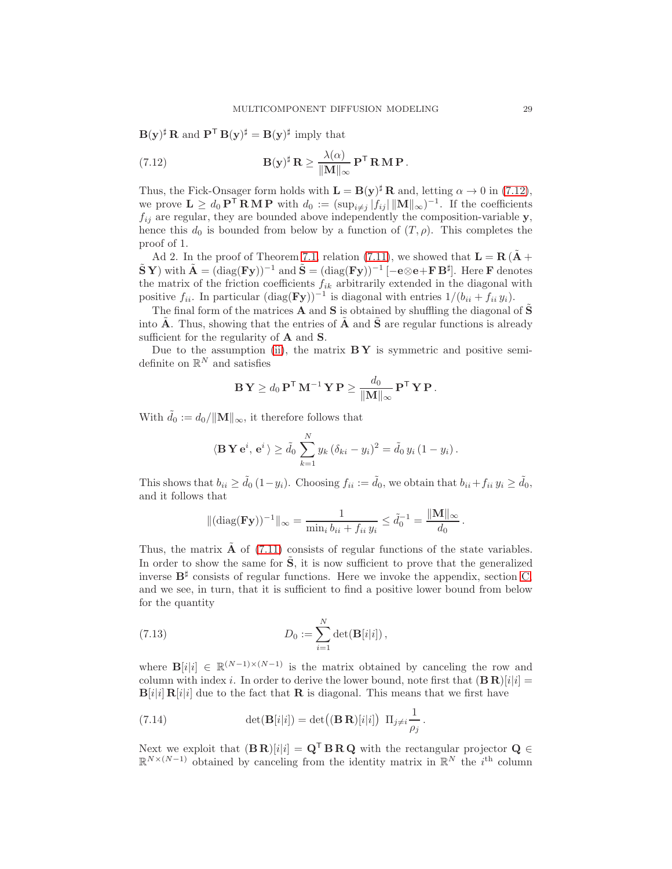$\mathbf{B}(\mathbf{y})^{\sharp} \mathbf{R}$  and  $\mathbf{P}^{\mathsf{T}} \mathbf{B}(\mathbf{y})^{\sharp} = \mathbf{B}(\mathbf{y})^{\sharp}$  imply that

<span id="page-28-0"></span>(7.12) 
$$
\mathbf{B}(\mathbf{y})^{\sharp} \mathbf{R} \geq \frac{\lambda(\alpha)}{\|\mathbf{M}\|_{\infty}} \mathbf{P}^{\mathsf{T}} \mathbf{R} \mathbf{M} \mathbf{P}.
$$

Thus, the Fick-Onsager form holds with  $\mathbf{L} = \mathbf{B}(\mathbf{y})^{\sharp} \mathbf{R}$  and, letting  $\alpha \to 0$  in [\(7.12\)](#page-28-0), we prove  $\mathbf{L} \geq d_0 \mathbf{P}^{\mathsf{T}} \mathbf{R} \mathbf{M} \mathbf{P}$  with  $d_0 := (\sup_{i \neq j} |f_{ij}| ||\mathbf{M}||_{\infty})^{-1}$ . If the coefficients  $f_{ij}$  are regular, they are bounded above independently the composition-variable y, hence this  $d_0$  is bounded from below by a function of  $(T, \rho)$ . This completes the proof of 1.

Ad 2. In the proof of Theorem [7.1,](#page-23-1) relation [\(7.11\)](#page-26-4), we showed that  $\mathbf{L} = \mathbf{R} \cdot \tilde{\mathbf{A}} + \tilde{\mathbf{A}}$  $\tilde{\mathbf{S}} \mathbf{Y}$ ) with  $\tilde{\mathbf{A}} = (\text{diag}(\mathbf{F}\mathbf{y}))^{-1}$  and  $\tilde{\mathbf{S}} = (\text{diag}(\mathbf{F}\mathbf{y}))^{-1}$   $[-\mathbf{e} \otimes \mathbf{e} + \mathbf{F} \mathbf{B}^{\sharp}]$ . Here  $\mathbf{F}$  denotes the matrix of the friction coefficients  $f_{ik}$  arbitrarily extended in the diagonal with positive  $f_{ii}$ . In particular  $(\text{diag}(\mathbf{F}\mathbf{y}))^{-1}$  is diagonal with entries  $1/(b_{ii} + f_{ii} y_i)$ .

The final form of the matrices **A** and **S** is obtained by shuffling the diagonal of  $\tilde{\mathbf{S}}$ into A. Thus, showing that the entries of  $A$  and  $S$  are regular functions is already sufficient for the regularity of **A** and **S**.

Due to the assumption [\(ii\)](#page-26-3), the matrix  $B Y$  is symmetric and positive semidefinite on  $\mathbb{R}^N$  and satisfies

$$
\mathbf{B}\mathbf{Y} \geq d_0 \mathbf{P}^{\mathsf{T}} \mathbf{M}^{-1} \mathbf{Y} \mathbf{P} \geq \frac{d_0}{\|\mathbf{M}\|_{\infty}} \mathbf{P}^{\mathsf{T}} \mathbf{Y} \mathbf{P}.
$$

With  $\tilde{d}_0 := d_0 / ||\mathbf{M}||_{\infty}$ , it therefore follows that

$$
\langle \mathbf{B} \mathbf{Y} \mathbf{e}^i, \mathbf{e}^i \rangle \ge \tilde{d}_0 \sum_{k=1}^N y_k (\delta_{ki} - y_i)^2 = \tilde{d}_0 y_i (1 - y_i).
$$

This shows that  $b_{ii} \geq \tilde{d}_0 (1-y_i)$ . Choosing  $f_{ii} := \tilde{d}_0$ , we obtain that  $b_{ii} + f_{ii} y_i \geq \tilde{d}_0$ , and it follows that

$$
\|(\mathrm{diag}(\mathbf{F}\mathbf{y}))^{-1}\|_{\infty} = \frac{1}{\min_i b_{ii} + f_{ii} y_i} \le \tilde{d}_0^{-1} = \frac{\|\mathbf{M}\|_{\infty}}{d_0}.
$$

Thus, the matrix  $\bf{A}$  of [\(7.11\)](#page-26-4) consists of regular functions of the state variables. In order to show the same for  $\tilde{S}$ , it is now sufficient to prove that the generalized inverse  $B^{\sharp}$  consists of regular functions. Here we invoke the appendix, section [C,](#page-47-0) and we see, in turn, that it is sufficient to find a positive lower bound from below for the quantity

<span id="page-28-2"></span>(7.13) 
$$
D_0 := \sum_{i=1}^N \det(\mathbf{B}[i|i]),
$$

where  $\mathbf{B}[i|i] \in \mathbb{R}^{(N-1)\times(N-1)}$  is the matrix obtained by canceling the row and column with index i. In order to derive the lower bound, note first that  $(B \mathbf{R})[i|i] =$  $B[i|i] R[i|i]$  due to the fact that **R** is diagonal. This means that we first have

<span id="page-28-1"></span>(7.14) 
$$
\det(\mathbf{B}[i|i]) = \det((\mathbf{B}\mathbf{R})[i|i]) \Pi_{j\neq i} \frac{1}{\rho_j}.
$$

Next we exploit that  $(B R)[i|i] = Q^{\mathsf{T}} B R Q$  with the rectangular projector  $Q \in$  $\mathbb{R}^{N\times(N-1)}$  obtained by canceling from the identity matrix in  $\mathbb{R}^N$  the i<sup>th</sup> column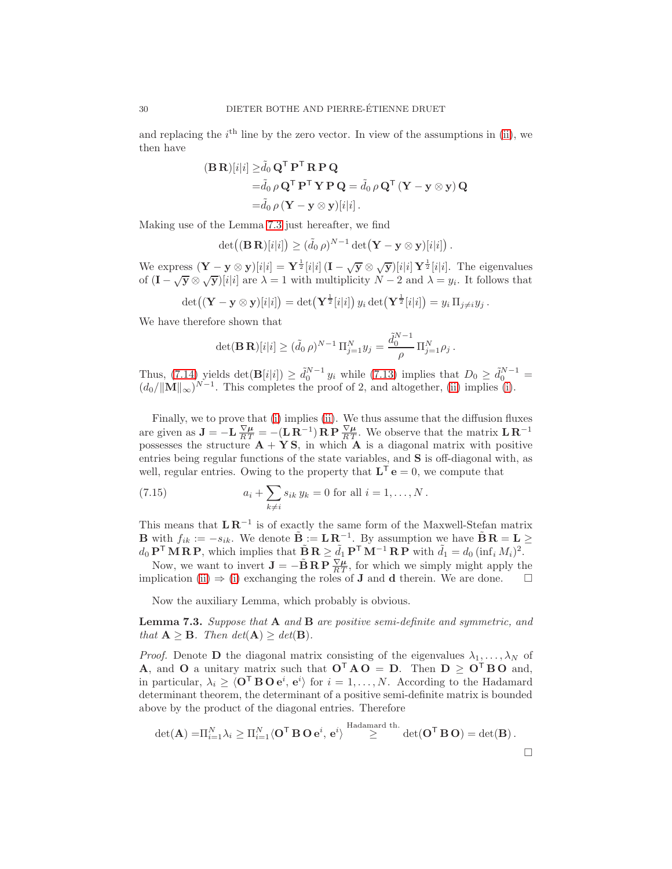and replacing the  $i<sup>th</sup>$  line by the zero vector. In view of the assumptions in [\(ii\)](#page-26-3), we then have

$$
(\mathbf{B}\,\mathbf{R})[i|i] \geq \tilde{d}_0 \mathbf{Q}^{\mathsf{T}} \mathbf{P}^{\mathsf{T}} \mathbf{R} \mathbf{P} \mathbf{Q}
$$
  
= $\tilde{d}_0 \rho \mathbf{Q}^{\mathsf{T}} \mathbf{P}^{\mathsf{T}} \mathbf{Y} \mathbf{P} \mathbf{Q} = \tilde{d}_0 \rho \mathbf{Q}^{\mathsf{T}} (\mathbf{Y} - \mathbf{y} \otimes \mathbf{y}) \mathbf{Q}$   
= $\tilde{d}_0 \rho (\mathbf{Y} - \mathbf{y} \otimes \mathbf{y})[i|i].$ 

Making use of the Lemma [7.3](#page-29-0) just hereafter, we find

$$
\det((\mathbf{B}\,\mathbf{R})[i|i]) \geq (\tilde{d}_0 \,\rho)^{N-1} \det(\mathbf{Y}-\mathbf{y}\otimes \mathbf{y})[i|i]).
$$

We express  $(\mathbf{Y} - \mathbf{y} \otimes \mathbf{y})[i|i] = \mathbf{Y}^{\frac{1}{2}}[i|i] (\mathbf{I} - \sqrt{\mathbf{y}} \otimes \sqrt{\mathbf{y}})[i|i] \mathbf{Y}^{\frac{1}{2}}[i|i]$ . The eigenvalues of  $(I - \sqrt{y} \otimes \sqrt{y})[i|i]$  are  $\lambda = 1$  with multiplicity  $N - 2$  and  $\lambda = y_i$ . It follows that

$$
\det((\mathbf{Y}-\mathbf{y}\otimes\mathbf{y})[i|i])=\det(\mathbf{Y}^{\frac{1}{2}}[i|i])y_i\det(\mathbf{Y}^{\frac{1}{2}}[i|i])=y_i\,\Pi_{j\neq i}y_j.
$$

We have therefore shown that

$$
\det(\mathbf{B}\,\mathbf{R})[i|i] \ge (\tilde{d}_0 \,\rho)^{N-1} \Pi_{j=1}^N y_j = \frac{\tilde{d}_0^{N-1}}{\rho} \Pi_{j=1}^N \rho_j.
$$

Thus,  $(7.14)$  yields  $\det(\mathbf{B}[i|i]) \geq \tilde{d}_0^{N-1} y_i$  while  $(7.13)$  implies that  $D_0 \geq \tilde{d}_0^{N-1} =$  $(d_0/||\mathbf{M}||_{\infty})^{N-1}$ . This completes the proof of 2, and altogether, [\(ii\)](#page-26-3) implies [\(i\)](#page-26-1).

Finally, we to prove that [\(i\)](#page-26-1) implies [\(ii\)](#page-26-3). We thus assume that the diffusion fluxes are given as  $\mathbf{J} = -\mathbf{L}\frac{\nabla \mu}{RT} = -(\mathbf{L}\mathbf{R}^{-1})\mathbf{R}\mathbf{P}\frac{\nabla \mu}{RT}$ . We observe that the matrix  $\mathbf{L}\mathbf{R}^{-1}$ possesses the structure  $A + YS$ , in which A is a diagonal matrix with positive entries being regular functions of the state variables, and S is off-diagonal with, as well, regular entries. Owing to the property that  $\mathbf{L}^{\mathsf{T}} \mathbf{e} = 0$ , we compute that

<span id="page-29-1"></span>(7.15) 
$$
a_i + \sum_{k \neq i} s_{ik} y_k = 0 \text{ for all } i = 1, ..., N.
$$

This means that  $\mathbf{L} \mathbf{R}^{-1}$  is of exactly the same form of the Maxwell-Stefan matrix **B** with  $f_{ik} := -s_{ik}$ . We denote  $\tilde{\mathbf{B}} := \mathbf{L} \mathbf{R}^{-1}$ . By assumption we have  $\tilde{\mathbf{B}} \mathbf{R} = \mathbf{L} \geq$  $d_0 \mathbf{P}^{\mathsf{T}} \mathbf{M} \mathbf{R} \mathbf{P}$ , which implies that  $\tilde{\mathbf{B}} \mathbf{R} \geq \tilde{d}_1 \mathbf{P}^{\mathsf{T}} \mathbf{M}^{-1} \mathbf{R} \mathbf{P}$  with  $\tilde{d}_1 = d_0 (\inf_i M_i)^2$ .

Now, we want to invert  $\mathbf{J} = -\tilde{\mathbf{B}} \mathbf{R} \mathbf{P} \frac{\nabla \mu}{RT}$ , for which we simply might apply the implication [\(ii\)](#page-26-3)  $\Rightarrow$  [\(i\)](#page-26-1) exchanging the roles of **J** and **d** therein. We are done.  $\Box$ 

Now the auxiliary Lemma, which probably is obvious.

<span id="page-29-0"></span>**Lemma 7.3.** Suppose that  $A$  and  $B$  are positive semi-definite and symmetric, and that  $\mathbf{A} \geq \mathbf{B}$ . Then  $det(\mathbf{A}) \geq det(\mathbf{B})$ .

*Proof.* Denote **D** the diagonal matrix consisting of the eigenvalues  $\lambda_1, \ldots, \lambda_N$  of **A**, and **O** a unitary matrix such that  $O^T A O = D$ . Then  $D \ge O^T B O$  and, in particular,  $\lambda_i \geq \langle \mathbf{O}^\mathsf{T} \, \mathbf{B} \, \mathbf{O} \, \mathbf{e}^i, \, \mathbf{e}^i \rangle$  for  $i = 1, \dots, N$ . According to the Hadamard determinant theorem, the determinant of a positive semi-definite matrix is bounded above by the product of the diagonal entries. Therefore

$$
\det(\mathbf{A}) = \Pi_{i=1}^N \lambda_i \geq \Pi_{i=1}^N \langle \mathbf{O}^\mathsf{T} \, \mathbf{B} \, \mathbf{O} \, \mathbf{e}^i, \, \mathbf{e}^i \rangle \stackrel{\text{Hadamard th.}}{\geq} \det(\mathbf{O}^\mathsf{T} \, \mathbf{B} \, \mathbf{O}) = \det(\mathbf{B}) \, .
$$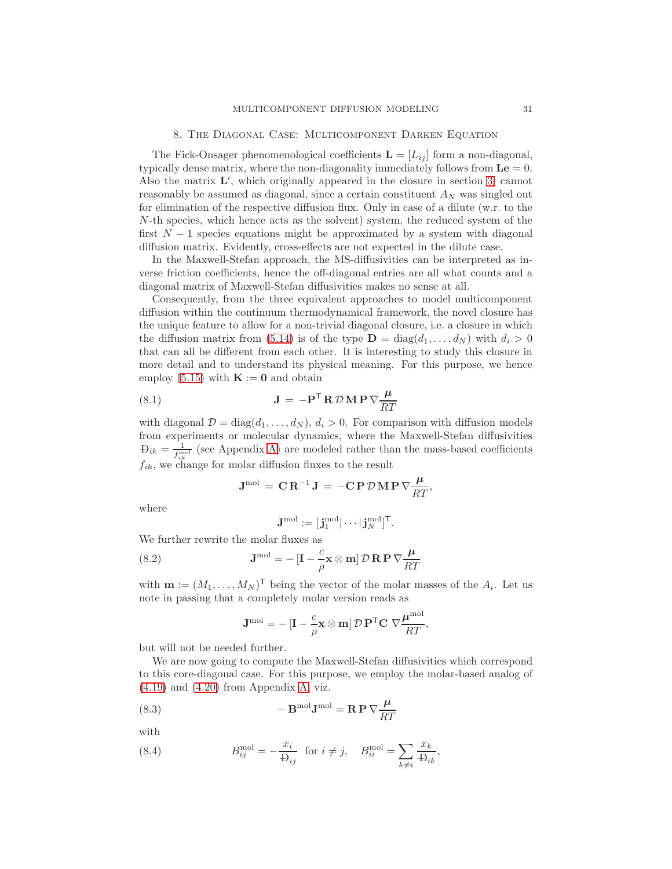<span id="page-30-0"></span>The Fick-Onsager phenomenological coefficients  $\mathbf{L} = [L_{ij}]$  form a non-diagonal, typically dense matrix, where the non-diagonality immediately follows from  $\mathbf{Le} = 0$ . Also the matrix  $\mathbf{L}'$ , which originally appeared in the closure in section [3,](#page-9-1) cannot reasonably be assumed as diagonal, since a certain constituent  $A_N$  was singled out for elimination of the respective diffusion flux. Only in case of a dilute (w.r. to the N-th species, which hence acts as the solvent) system, the reduced system of the first  $N-1$  species equations might be approximated by a system with diagonal diffusion matrix. Evidently, cross-effects are not expected in the dilute case.

In the Maxwell-Stefan approach, the MS-diffusivities can be interpreted as inverse friction coefficients, hence the off-diagonal entries are all what counts and a diagonal matrix of Maxwell-Stefan diffusivities makes no sense at all.

Consequently, from the three equivalent approaches to model multicomponent diffusion within the continuum thermodynamical framework, the novel closure has the unique feature to allow for a non-trivial diagonal closure, i.e. a closure in which the diffusion matrix from [\(5.14\)](#page-18-3) is of the type  $\mathbf{D} = \text{diag}(d_1, \ldots, d_N)$  with  $d_i > 0$ that can all be different from each other. It is interesting to study this closure in more detail and to understand its physical meaning. For this purpose, we hence employ [\(5.15\)](#page-18-2) with  $\mathbf{K} := \mathbf{0}$  and obtain

(8.1) 
$$
\mathbf{J} = -\mathbf{P}^{\mathsf{T}} \mathbf{R} \mathcal{D} \mathbf{M} \mathbf{P} \nabla \frac{\mu}{RT}
$$

with diagonal  $\mathcal{D} = \text{diag}(d_1, \ldots, d_N), d_i > 0$ . For comparison with diffusion models from experiments or molecular dynamics, where the Maxwell-Stefan diffusivities  $\mathcal{D}_{ik} = \frac{1}{f_{ik}^{\text{mol}}}$  (see Appendix [A\)](#page-45-0) are modeled rather than the mass-based coefficients  $f_{ik}$ , we change for molar diffusion fluxes to the result

<span id="page-30-2"></span>
$$
\mathbf{J}^{\mathrm{mol}} = \mathbf{C} \mathbf{R}^{-1} \mathbf{J} = -\mathbf{C} \mathbf{P} \mathcal{D} \mathbf{M} \mathbf{P} \nabla \frac{\mu}{RT},
$$

where

<span id="page-30-1"></span>
$$
\mathbf{J}^{\mathrm{mol}} := [\mathbf{j}_1^{\mathrm{mol}}| \cdots| \mathbf{j}_N^{\mathrm{mol}}]^{\mathsf{T}}.
$$

We further rewrite the molar fluxes as

(8.2) 
$$
\mathbf{J}^{\text{mol}} = -\left[\mathbf{I} - \frac{c}{\rho} \mathbf{x} \otimes \mathbf{m}\right] \mathcal{D} \mathbf{R} \mathbf{P} \nabla \frac{\mu}{RT}
$$

with  $\mathbf{m} := (M_1, \ldots, M_N)^\mathsf{T}$  being the vector of the molar masses of the  $A_i$ . Let us note in passing that a completely molar version reads as

$$
\mathbf{J}^{\text{mol}} = -\left[\mathbf{I} - \frac{c}{\rho} \mathbf{x} \otimes \mathbf{m}\right] \mathcal{D} \mathbf{P}^{\mathsf{T}} \mathbf{C} \nabla \frac{\boldsymbol{\mu}^{\text{mol}}}{RT},
$$

but will not be needed further.

We are now going to compute the Maxwell-Stefan diffusivities which correspond to this core-diagonal case. For this purpose, we employ the molar-based analog of [\(4.19\)](#page-15-1) and [\(4.20\)](#page-15-4) from Appendix [A,](#page-45-0) viz.

(8.3) 
$$
-\mathbf{B}^{\text{mol}}\mathbf{J}^{\text{mol}} = \mathbf{R}\,\mathbf{P}\,\nabla\frac{\mu}{RT}
$$

with

(8.4) 
$$
B_{ij}^{\text{mol}} = -\frac{x_i}{\mathbf{D}_{ij}} \text{ for } i \neq j, \quad B_{ii}^{\text{mol}} = \sum_{k \neq i} \frac{x_k}{\mathbf{D}_{ik}},
$$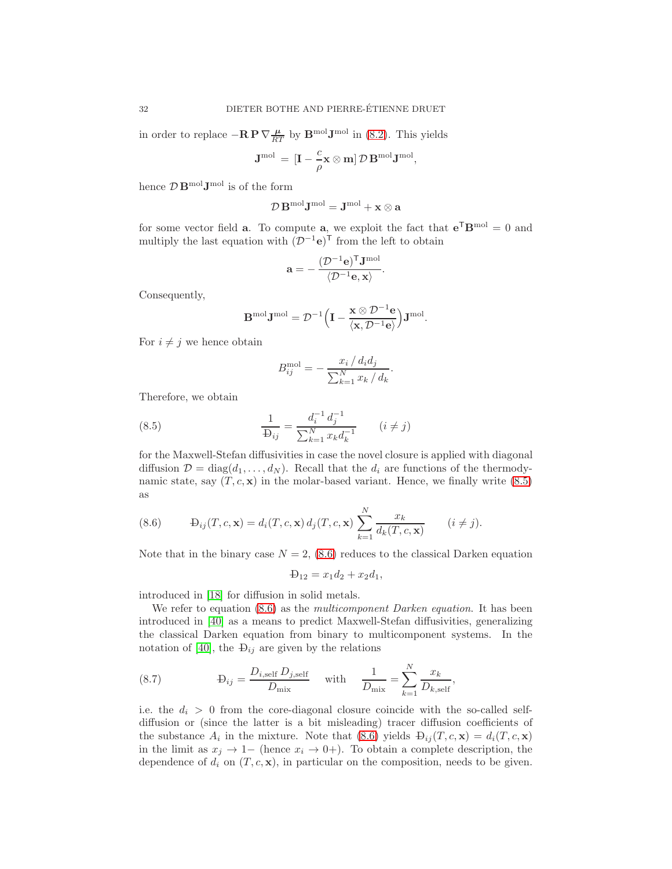in order to replace  $-{\bf R} {\bf P} \nabla \frac{\mu}{RT}$  by  ${\bf B}^{\text{mol}} {\bf J}^{\text{mol}}$  in [\(8.2\)](#page-30-1). This yields

$$
\mathbf{J}^{\mathrm{mol}}\,=\,[\mathbf{I}-\frac{c}{\rho}\mathbf{x}\otimes\mathbf{m}]\,\mathcal{D}\,\mathbf{B}^{\mathrm{mol}}\mathbf{J}^{\mathrm{mol}},
$$

hence  $\mathcal{D} \mathbf{B}^{\text{mol}} \mathbf{J}^{\text{mol}}$  is of the form

$$
\mathcal{D}\, \mathbf{B}^{\mathrm{mol}} \mathbf{J}^{\mathrm{mol}} = \mathbf{J}^{\mathrm{mol}} + \mathbf{x} \otimes \mathbf{a}
$$

for some vector field **a**. To compute **a**, we exploit the fact that  $e^T B^{mol} = 0$  and multiply the last equation with  $(\mathcal{D}^{-1}e)^{\mathsf{T}}$  from the left to obtain

$$
\mathbf{a}=-\frac{(\mathcal{D}^{-1}\mathbf{e})^{\mathsf{T}}\mathbf{J}^{\mathrm{mol}}}{\langle \mathcal{D}^{-1}\mathbf{e},\mathbf{x}\rangle}.
$$

Consequently,

$$
\mathbf{B}^{\mathrm{mol}}\mathbf{J}^{\mathrm{mol}} = \mathcal{D}^{-1}\Big(\mathbf{I}-\frac{\mathbf{x}\otimes\mathcal{D}^{-1}\mathbf{e}}{\langle\mathbf{x},\mathcal{D}^{-1}\mathbf{e}\rangle}\Big)\mathbf{J}^{\mathrm{mol}}.
$$

For  $i \neq j$  we hence obtain

<span id="page-31-0"></span>
$$
B_{ij}^{\text{mol}} = -\frac{x_i / d_i d_j}{\sum_{k=1}^{N} x_k / d_k}.
$$

Therefore, we obtain

(8.5) 
$$
\frac{1}{\text{D}_{ij}} = \frac{d_i^{-1} d_j^{-1}}{\sum_{k=1}^{N} x_k d_k^{-1}} \qquad (i \neq j)
$$

for the Maxwell-Stefan diffusivities in case the novel closure is applied with diagonal diffusion  $\mathcal{D} = \text{diag}(d_1, \ldots, d_N)$ . Recall that the  $d_i$  are functions of the thermodynamic state, say  $(T, c, \mathbf{x})$  in the molar-based variant. Hence, we finally write [\(8.5\)](#page-31-0) as

<span id="page-31-1"></span>(8.6) 
$$
\qquad \mathcal{L}_{ij}(T,c,\mathbf{x}) = d_i(T,c,\mathbf{x}) \, d_j(T,c,\mathbf{x}) \sum_{k=1}^N \frac{x_k}{d_k(T,c,\mathbf{x})} \qquad (i \neq j).
$$

Note that in the binary case  $N = 2$ , [\(8.6\)](#page-31-1) reduces to the classical Darken equation

$$
\Phi_{12} = x_1 d_2 + x_2 d_1,
$$

introduced in [\[18\]](#page-42-16) for diffusion in solid metals.

We refer to equation [\(8.6\)](#page-31-1) as the *multicomponent Darken equation*. It has been introduced in [\[40\]](#page-43-1) as a means to predict Maxwell-Stefan diffusivities, generalizing the classical Darken equation from binary to multicomponent systems. In the notation of [\[40\]](#page-43-1), the  $\Theta_{ij}$  are given by the relations

(8.7) 
$$
\mathbf{D}_{ij} = \frac{D_{i,\text{self}} D_{j,\text{self}}}{D_{\text{mix}}} \quad \text{with} \quad \frac{1}{D_{\text{mix}}} = \sum_{k=1}^{N} \frac{x_k}{D_{k,\text{self}}},
$$

i.e. the  $d_i > 0$  from the core-diagonal closure coincide with the so-called selfdiffusion or (since the latter is a bit misleading) tracer diffusion coefficients of the substance  $A_i$  in the mixture. Note that [\(8.6\)](#page-31-1) yields  $\mathbf{D}_{ij}(T, c, \mathbf{x}) = d_i(T, c, \mathbf{x})$ in the limit as  $x_i \to 1-$  (hence  $x_i \to 0+$ ). To obtain a complete description, the dependence of  $d_i$  on  $(T, c, \mathbf{x})$ , in particular on the composition, needs to be given.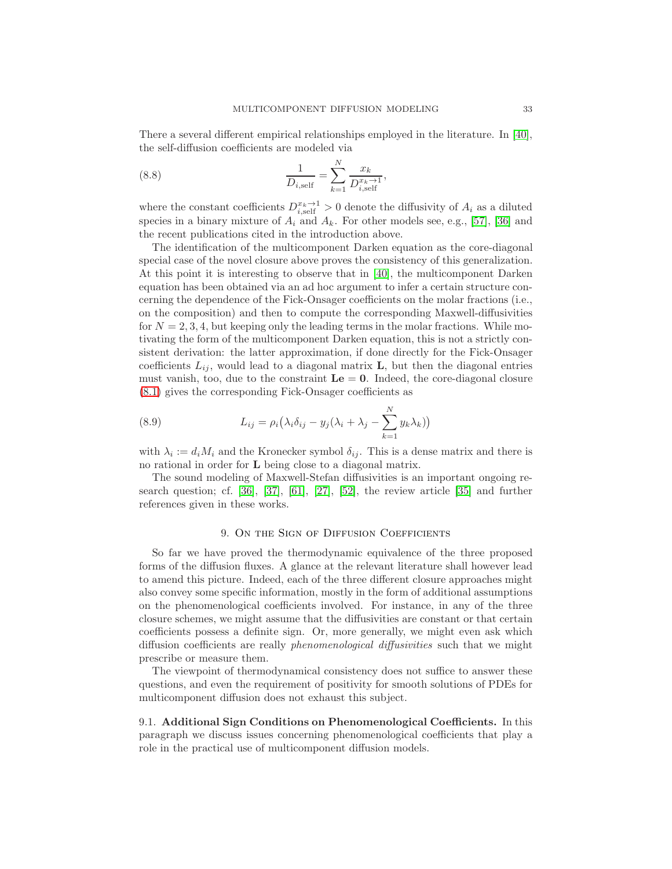There a several different empirical relationships employed in the literature. In [\[40\]](#page-43-1), the self-diffusion coefficients are modeled via

(8.8) 
$$
\frac{1}{D_{i,\text{self}}} = \sum_{k=1}^{N} \frac{x_k}{D_{i,\text{self}}^{x_k \to 1}},
$$

where the constant coefficients  $D_{i,\text{self}}^{x_k \to 1} > 0$  denote the diffusivity of  $A_i$  as a diluted species in a binary mixture of  $A_i$  and  $A_k$ . For other models see, e.g., [\[57\]](#page-44-1), [\[36\]](#page-43-0) and the recent publications cited in the introduction above.

The identification of the multicomponent Darken equation as the core-diagonal special case of the novel closure above proves the consistency of this generalization. At this point it is interesting to observe that in [\[40\]](#page-43-1), the multicomponent Darken equation has been obtained via an ad hoc argument to infer a certain structure concerning the dependence of the Fick-Onsager coefficients on the molar fractions (i.e., on the composition) and then to compute the corresponding Maxwell-diffusivities for  $N = 2, 3, 4$ , but keeping only the leading terms in the molar fractions. While motivating the form of the multicomponent Darken equation, this is not a strictly consistent derivation: the latter approximation, if done directly for the Fick-Onsager coefficients  $L_{ij}$ , would lead to a diagonal matrix **L**, but then the diagonal entries must vanish, too, due to the constraint  $\mathbf{L}\mathbf{e} = \mathbf{0}$ . Indeed, the core-diagonal closure [\(8.1\)](#page-30-2) gives the corresponding Fick-Onsager coefficients as

(8.9) 
$$
L_{ij} = \rho_i \left( \lambda_i \delta_{ij} - y_j (\lambda_i + \lambda_j - \sum_{k=1}^N y_k \lambda_k) \right)
$$

with  $\lambda_i := d_i M_i$  and the Kronecker symbol  $\delta_{ij}$ . This is a dense matrix and there is no rational in order for L being close to a diagonal matrix.

The sound modeling of Maxwell-Stefan diffusivities is an important ongoing research question; cf. [\[36\]](#page-43-0), [\[37\]](#page-43-13), [\[61\]](#page-44-6), [\[27\]](#page-42-17), [\[52\]](#page-44-7), the review article [\[35\]](#page-43-14) and further references given in these works.

#### 9. On the Sign of Diffusion Coefficients

So far we have proved the thermodynamic equivalence of the three proposed forms of the diffusion fluxes. A glance at the relevant literature shall however lead to amend this picture. Indeed, each of the three different closure approaches might also convey some specific information, mostly in the form of additional assumptions on the phenomenological coefficients involved. For instance, in any of the three closure schemes, we might assume that the diffusivities are constant or that certain coefficients possess a definite sign. Or, more generally, we might even ask which diffusion coefficients are really phenomenological diffusivities such that we might prescribe or measure them.

The viewpoint of thermodynamical consistency does not suffice to answer these questions, and even the requirement of positivity for smooth solutions of PDEs for multicomponent diffusion does not exhaust this subject.

9.1. Additional Sign Conditions on Phenomenological Coefficients. In this paragraph we discuss issues concerning phenomenological coefficients that play a role in the practical use of multicomponent diffusion models.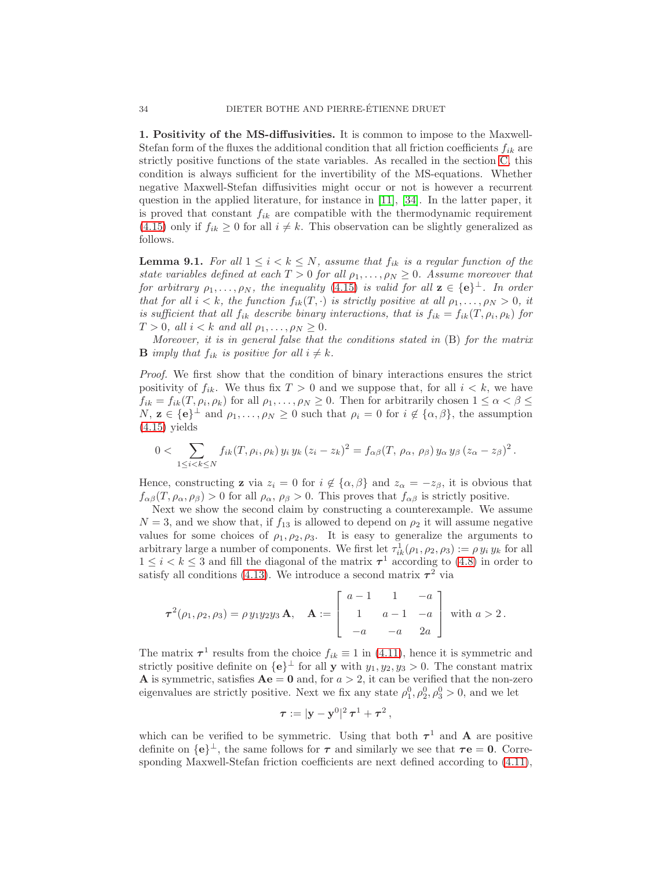1. Positivity of the MS-diffusivities. It is common to impose to the Maxwell-Stefan form of the fluxes the additional condition that all friction coefficients  $f_{ik}$  are strictly positive functions of the state variables. As recalled in the section [C,](#page-47-0) this condition is always sufficient for the invertibility of the MS-equations. Whether negative Maxwell-Stefan diffusivities might occur or not is however a recurrent question in the applied literature, for instance in [\[11\]](#page-42-4), [\[34\]](#page-43-2). In the latter paper, it is proved that constant  $f_{ik}$  are compatible with the thermodynamic requirement [\(4.15\)](#page-14-3) only if  $f_{ik} \geq 0$  for all  $i \neq k$ . This observation can be slightly generalized as follows.

<span id="page-33-0"></span>**Lemma 9.1.** For all  $1 \leq i \leq k \leq N$ , assume that  $f_{ik}$  is a regular function of the state variables defined at each  $T > 0$  for all  $\rho_1, \ldots, \rho_N \geq 0$ . Assume moreover that for arbitrary  $\rho_1, \ldots, \rho_N$ , the inequality [\(4.15\)](#page-14-3) is valid for all  $z \in \{e\}^{\perp}$ . In order that for all  $i < k$ , the function  $f_{ik}(T, \cdot)$  is strictly positive at all  $\rho_1, \ldots, \rho_N > 0$ , it is sufficient that all  $f_{ik}$  describe binary interactions, that is  $f_{ik} = f_{ik}(T, \rho_i, \rho_k)$  for  $T > 0$ , all  $i < k$  and all  $\rho_1, \ldots, \rho_N \geq 0$ .

Moreover, it is in general false that the conditions stated in (B) for the matrix **B** imply that  $f_{ik}$  is positive for all  $i \neq k$ .

Proof. We first show that the condition of binary interactions ensures the strict positivity of  $f_{ik}$ . We thus fix  $T > 0$  and we suppose that, for all  $i < k$ , we have  $f_{ik} = f_{ik}(T, \rho_i, \rho_k)$  for all  $\rho_1, \ldots, \rho_N \geq 0$ . Then for arbitrarily chosen  $1 \leq \alpha < \beta \leq$  $N, \mathbf{z} \in {\{\mathbf{e}\}}^{\perp}$  and  $\rho_1, \ldots, \rho_N \geq 0$  such that  $\rho_i = 0$  for  $i \notin {\{\alpha, \beta\}}$ , the assumption  $(4.15)$  yields

$$
0<\sum_{1\leq i
$$

Hence, constructing **z** via  $z_i = 0$  for  $i \notin {\alpha, \beta}$  and  $z_\alpha = -z_\beta$ , it is obvious that  $f_{\alpha\beta}(T,\rho_{\alpha},\rho_{\beta})>0$  for all  $\rho_{\alpha},\rho_{\beta}>0$ . This proves that  $f_{\alpha\beta}$  is strictly positive.

Next we show the second claim by constructing a counterexample. We assume  $N = 3$ , and we show that, if  $f_{13}$  is allowed to depend on  $\rho_2$  it will assume negative values for some choices of  $\rho_1, \rho_2, \rho_3$ . It is easy to generalize the arguments to arbitrary large a number of components. We first let  $\tau_{ik}^1(\rho_1, \rho_2, \rho_3) := \rho y_i y_k$  for all  $1 \leq i \leq k \leq 3$  and fill the diagonal of the matrix  $\tau^1$  according to [\(4.8\)](#page-13-3) in order to satisfy all conditions [\(4.13\)](#page-14-1). We introduce a second matrix  $\tau^2$  via

$$
\tau^{2}(\rho_{1}, \rho_{2}, \rho_{3}) = \rho y_{1} y_{2} y_{3} \mathbf{A}, \quad \mathbf{A} := \begin{bmatrix} a-1 & 1 & -a \\ 1 & a-1 & -a \\ -a & -a & 2a \end{bmatrix} \text{ with } a > 2.
$$

The matrix  $\tau^1$  results from the choice  $f_{ik} \equiv 1$  in [\(4.11\)](#page-13-2), hence it is symmetric and strictly positive definite on  $\{e\}^{\perp}$  for all **y** with  $y_1, y_2, y_3 > 0$ . The constant matrix **A** is symmetric, satisfies  $Ae = 0$  and, for  $a > 2$ , it can be verified that the non-zero eigenvalues are strictly positive. Next we fix any state  $\rho_1^0, \rho_2^0, \rho_3^0 > 0$ , and we let

$$
\boldsymbol{\tau} := |\mathbf{y} - \mathbf{y}^0|^2 \, \boldsymbol{\tau}^1 + \boldsymbol{\tau}^2 \,,
$$

which can be verified to be symmetric. Using that both  $\tau^1$  and **A** are positive definite on  $\{e\}^{\perp}$ , the same follows for  $\tau$  and similarly we see that  $\tau e = 0$ . Corresponding Maxwell-Stefan friction coefficients are next defined according to [\(4.11\)](#page-13-2),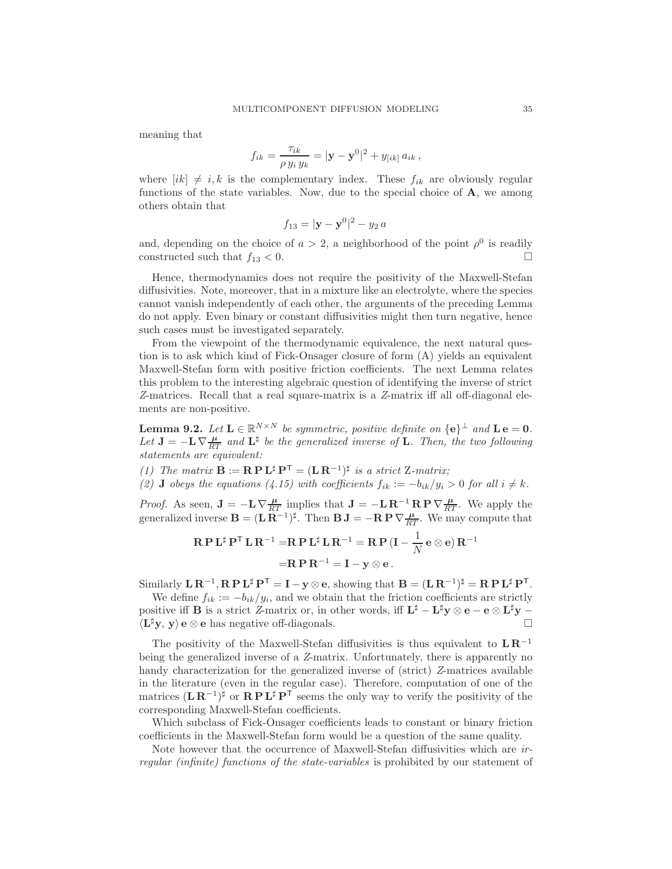meaning that

$$
f_{ik} = \frac{\tau_{ik}}{\rho \, y_i \, y_k} = |\mathbf{y} - \mathbf{y}^0|^2 + y_{[ik]} \, a_{ik} \,,
$$

where  $[ik] \neq i, k$  is the complementary index. These  $f_{ik}$  are obviously regular functions of the state variables. Now, due to the special choice of  $A$ , we among others obtain that

$$
f_{13} = |\mathbf{y} - \mathbf{y}^0|^2 - y_2 a
$$

and, depending on the choice of  $a > 2$ , a neighborhood of the point  $\rho^0$  is readily constructed such that  $f_{13} < 0$ .

Hence, thermodynamics does not require the positivity of the Maxwell-Stefan diffusivities. Note, moreover, that in a mixture like an electrolyte, where the species cannot vanish independently of each other, the arguments of the preceding Lemma do not apply. Even binary or constant diffusivities might then turn negative, hence such cases must be investigated separately.

From the viewpoint of the thermodynamic equivalence, the next natural question is to ask which kind of Fick-Onsager closure of form (A) yields an equivalent Maxwell-Stefan form with positive friction coefficients. The next Lemma relates this problem to the interesting algebraic question of identifying the inverse of strict Z-matrices. Recall that a real square-matrix is a Z-matrix iff all off-diagonal elements are non-positive.

<span id="page-34-0"></span>**Lemma 9.2.** Let  $\mathbf{L} \in \mathbb{R}^{N \times N}$  be symmetric, positive definite on  $\{\mathbf{e}\}^{\perp}$  and  $\mathbf{L} \mathbf{e} = \mathbf{0}$ . Let  $J = -L \nabla \frac{\mu}{RT}$  and  $L^{\sharp}$  be the generalized inverse of L. Then, the two following statements are equivalent:

- (1) The matrix  $\mathbf{B} := \mathbf{R} \mathbf{P} \mathbf{L}^{\sharp} \mathbf{P}^{\mathsf{T}} = (\mathbf{L} \mathbf{R}^{-1})^{\sharp}$  is a strict Z-matrix;
- (2) **J** obeys the equations (4.15) with coefficients  $f_{ik} := -b_{ik}/y_i > 0$  for all  $i \neq k$ .

*Proof.* As seen,  $\mathbf{J} = -\mathbf{L}\nabla \frac{\mu}{RT}$  implies that  $\mathbf{J} = -\mathbf{L}\mathbf{R}^{-1}\mathbf{R}\mathbf{P}\nabla \frac{\mu}{RT}$ . We apply the generalized inverse  $\mathbf{B} = (\mathbf{L}\,\mathbf{R}^{-1})^{\sharp}$ . Then  $\mathbf{B}\,\mathbf{J} = -\mathbf{R}\,\mathbf{P}\,\nabla\frac{\mu}{RT}$ . We may compute that

$$
\mathbf{R} \mathbf{P} \mathbf{L}^{\sharp} \mathbf{P}^{\mathsf{T}} \mathbf{L} \mathbf{R}^{-1} = \mathbf{R} \mathbf{P} \mathbf{L}^{\sharp} \mathbf{L} \mathbf{R}^{-1} = \mathbf{R} \mathbf{P} (\mathbf{I} - \frac{1}{N} \mathbf{e} \otimes \mathbf{e}) \mathbf{R}^{-1}
$$

$$
= \mathbf{R} \mathbf{P} \mathbf{R}^{-1} = \mathbf{I} - \mathbf{y} \otimes \mathbf{e}.
$$

Similarly  $\mathbf{L} \mathbf{R}^{-1}$ ,  $\mathbf{R} \mathbf{P} \mathbf{L}^{\sharp} \mathbf{P}^{\mathsf{T}} = \mathbf{I} - \mathbf{y} \otimes \mathbf{e}$ , showing that  $\mathbf{B} = (\mathbf{L} \mathbf{R}^{-1})^{\sharp} = \mathbf{R} \mathbf{P} \mathbf{L}^{\sharp} \mathbf{P}^{\mathsf{T}}$ .

We define  $f_{ik} := -b_{ik}/y_i$ , and we obtain that the friction coefficients are strictly positive iff **B** is a strict Z-matrix or, in other words, iff  $\mathbf{L}^{\sharp} - \mathbf{L}^{\sharp} \mathbf{y} \otimes \mathbf{e} - \mathbf{e} \otimes \mathbf{L}^{\sharp} \mathbf{y} - \mathbf{E} \otimes \mathbf{E} \otimes \mathbf{E} \otimes \mathbf{E} \otimes \mathbf{E} \otimes \mathbf{E} \otimes \mathbf{E} \otimes \mathbf{E} \otimes \mathbf{E} \otimes \mathbf{E} \otimes \mathbf{E$  $\langle L^{\sharp}y, y \rangle$  e ⊗ e has negative off-diagonals.  $\Box$ 

The positivity of the Maxwell-Stefan diffusivities is thus equivalent to  $LR^{-1}$ being the generalized inverse of a Z-matrix. Unfortunately, there is apparently no handy characterization for the generalized inverse of (strict) Z-matrices available in the literature (even in the regular case). Therefore, computation of one of the matrices  $(\mathbf{L}\mathbf{R}^{-1})^{\sharp}$  or  $\mathbf{R}\mathbf{P}\mathbf{L}^{\sharp}\mathbf{P}^{\top}$  seems the only way to verify the positivity of the corresponding Maxwell-Stefan coefficients.

Which subclass of Fick-Onsager coefficients leads to constant or binary friction coefficients in the Maxwell-Stefan form would be a question of the same quality.

Note however that the occurrence of Maxwell-Stefan diffusivities which are irregular (infinite) functions of the state-variables is prohibited by our statement of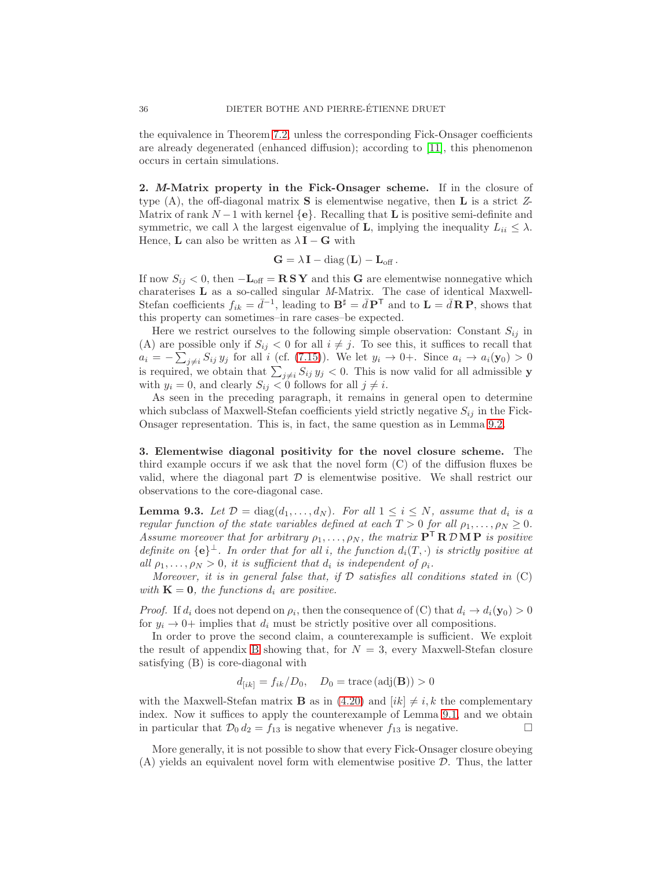the equivalence in Theorem [7.2,](#page-26-0) unless the corresponding Fick-Onsager coefficients are already degenerated (enhanced diffusion); according to [\[11\]](#page-42-4), this phenomenon occurs in certain simulations.

2. M-Matrix property in the Fick-Onsager scheme. If in the closure of type  $(A)$ , the off-diagonal matrix **S** is elementwise negative, then **L** is a strict Z-Matrix of rank  $N-1$  with kernel  $\{e\}$ . Recalling that **L** is positive semi-definite and symmetric, we call  $\lambda$  the largest eigenvalue of **L**, implying the inequality  $L_{ii} \leq \lambda$ . Hence, **L** can also be written as  $\lambda \mathbf{I} - \mathbf{G}$  with

$$
\mathbf{G} = \lambda \, \mathbf{I} - \text{diag} \left( \mathbf{L} \right) - \mathbf{L}_{\text{off}} \, .
$$

If now  $S_{ij} < 0$ , then  $-\mathbf{L}_{off} = \mathbf{R} S \mathbf{Y}$  and this G are elementwise nonnegative which charaterises L as a so-called singular M-Matrix. The case of identical Maxwell-Stefan coefficients  $f_{ik} = \bar{d}^{-1}$ , leading to  $\mathbf{B}^{\sharp} = \bar{d} \mathbf{P}^{\mathsf{T}}$  and to  $\mathbf{L} = \bar{d} \mathbf{R} \mathbf{P}$ , shows that this property can sometimes–in rare cases–be expected.

Here we restrict ourselves to the following simple observation: Constant  $S_{ij}$  in (A) are possible only if  $S_{ij} < 0$  for all  $i \neq j$ . To see this, it suffices to recall that  $a_i = -\sum_{j \neq i} S_{ij} y_j$  for all i (cf. [\(7.15\)](#page-29-1)). We let  $y_i \to 0+$ . Since  $a_i \to a_i(\mathbf{y}_0) > 0$ is required, we obtain that  $\sum_{j\neq i} S_{ij} y_j < 0$ . This is now valid for all admissible y with  $y_i = 0$ , and clearly  $S_{ij} < 0$  follows for all  $j \neq i$ .

As seen in the preceding paragraph, it remains in general open to determine which subclass of Maxwell-Stefan coefficients yield strictly negative  $S_{ij}$  in the Fick-Onsager representation. This is, in fact, the same question as in Lemma [9.2.](#page-34-0)

3. Elementwise diagonal positivity for the novel closure scheme. The third example occurs if we ask that the novel form (C) of the diffusion fluxes be valid, where the diagonal part  $\mathcal D$  is elementwise positive. We shall restrict our observations to the core-diagonal case.

**Lemma 9.3.** Let  $\mathcal{D} = \text{diag}(d_1, \ldots, d_N)$ . For all  $1 \leq i \leq N$ , assume that  $d_i$  is a regular function of the state variables defined at each  $T > 0$  for all  $\rho_1, \ldots, \rho_N \geq 0$ . Assume moreover that for arbitrary  $\rho_1, \ldots, \rho_N$ , the matrix  $P^{\mathsf{T}} R \mathcal{D} M P$  is positive definite on  $\{e\}^{\perp}$ . In order that for all i, the function  $d_i(T, \cdot)$  is strictly positive at all  $\rho_1, \ldots, \rho_N > 0$ , it is sufficient that  $d_i$  is independent of  $\rho_i$ .

Moreover, it is in general false that, if  $D$  satisfies all conditions stated in  $(C)$ with  $\mathbf{K} = \mathbf{0}$ , the functions  $d_i$  are positive.

*Proof.* If  $d_i$  does not depend on  $\rho_i$ , then the consequence of (C) that  $d_i \to d_i(\mathbf{y}_0) > 0$ for  $y_i \rightarrow 0+$  implies that  $d_i$  must be strictly positive over all compositions.

In order to prove the second claim, a counterexample is sufficient. We exploit the result of appendix [B](#page-46-0) showing that, for  $N = 3$ , every Maxwell-Stefan closure satisfying (B) is core-diagonal with

$$
d_{[ik]} = f_{ik}/D_0, \quad D_0 = \text{trace}(\text{adj}(\mathbf{B})) > 0
$$

with the Maxwell-Stefan matrix **B** as in [\(4.20\)](#page-15-4) and  $|ik| \neq i, k$  the complementary index. Now it suffices to apply the counterexample of Lemma [9.1,](#page-33-0) and we obtain in particular that  $\mathcal{D}_0 d_2 = f_{13}$  is negative whenever  $f_{13}$  is negative.

More generally, it is not possible to show that every Fick-Onsager closure obeying (A) yields an equivalent novel form with elementwise positive D. Thus, the latter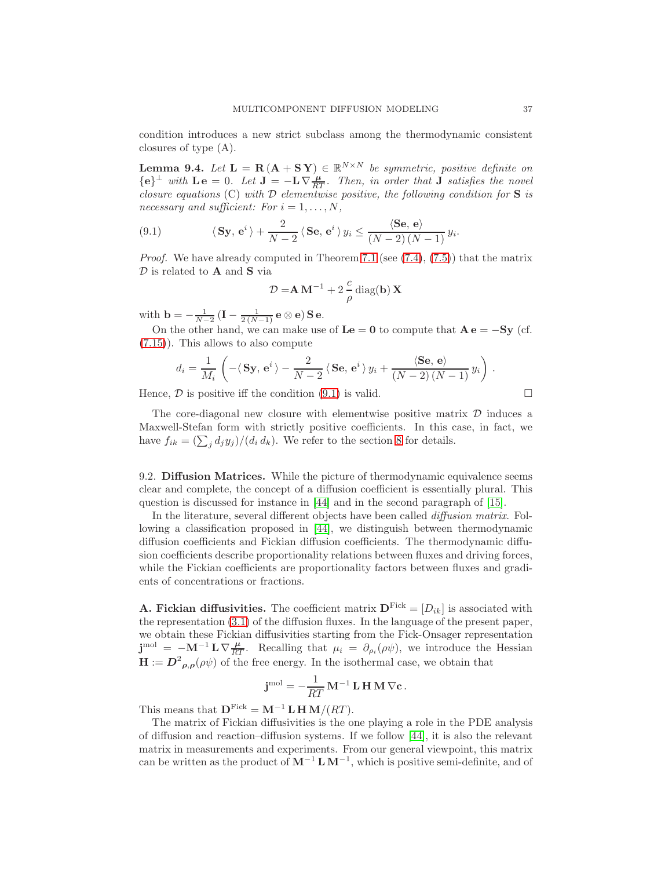condition introduces a new strict subclass among the thermodynamic consistent closures of type (A).

**Lemma 9.4.** Let  $\mathbf{L} = \mathbf{R} (\mathbf{A} + \mathbf{S} \mathbf{Y}) \in \mathbb{R}^{N \times N}$  be symmetric, positive definite on  ${e}^{\perp}$  with  $\mathbf{L}\mathbf{e} = 0$ . Let  $\mathbf{J} = -\mathbf{L}\nabla \frac{\mu}{RT}$ . Then, in order that  $\mathbf{J}$  satisfies the novel closure equations (C) with  $\mathcal D$  elementwise positive, the following condition for **S** is necessary and sufficient: For  $i = 1, \ldots, N$ ,

<span id="page-36-0"></span>(9.1) 
$$
\langle \mathbf{Sy}, \mathbf{e}^i \rangle + \frac{2}{N-2} \langle \mathbf{Se}, \mathbf{e}^i \rangle y_i \le \frac{\langle \mathbf{Se}, \mathbf{e} \rangle}{(N-2)(N-1)} y_i.
$$

*Proof.* We have already computed in Theorem [7.1](#page-23-1) (see  $(7.4)$ ,  $(7.5)$ ) that the matrix  $D$  is related to  $A$  and  $S$  via

$$
\mathcal{D} = \mathbf{A} \mathbf{M}^{-1} + 2\frac{c}{\rho} \operatorname{diag}(\mathbf{b}) \mathbf{X}
$$

with  $\mathbf{b} = -\frac{1}{N-2} (\mathbf{I} - \frac{1}{2(N-1)} \mathbf{e} \otimes \mathbf{e}) \mathbf{S} \mathbf{e}.$ 

On the other hand, we can make use of  $\mathbf{L}\mathbf{e} = \mathbf{0}$  to compute that  $\mathbf{A}\mathbf{e} = -\mathbf{S}\mathbf{y}$  (cf. [\(7.15\)](#page-29-1)). This allows to also compute

$$
d_i = \frac{1}{M_i} \left( -\langle S\mathbf{y}, \mathbf{e}^i \rangle - \frac{2}{N-2} \langle S\mathbf{e}, \mathbf{e}^i \rangle y_i + \frac{\langle S\mathbf{e}, \mathbf{e} \rangle}{(N-2)(N-1)} y_i \right).
$$

Hence,  $\mathcal D$  is positive iff the condition [\(9.1\)](#page-36-0) is valid.  $\square$ 

The core-diagonal new closure with elementwise positive matrix  $\mathcal D$  induces a Maxwell-Stefan form with strictly positive coefficients. In this case, in fact, we have  $f_{ik} = \left(\sum_j d_j y_j\right) / (d_i d_k)$ . We refer to the section [8](#page-30-0) for details.

9.2. Diffusion Matrices. While the picture of thermodynamic equivalence seems clear and complete, the concept of a diffusion coefficient is essentially plural. This question is discussed for instance in [\[44\]](#page-43-15) and in the second paragraph of [\[15\]](#page-42-14).

In the literature, several different objects have been called *diffusion matrix*. Following a classification proposed in [\[44\]](#page-43-15), we distinguish between thermodynamic diffusion coefficients and Fickian diffusion coefficients. The thermodynamic diffusion coefficients describe proportionality relations between fluxes and driving forces, while the Fickian coefficients are proportionality factors between fluxes and gradients of concentrations or fractions.

**A. Fickian diffusivities.** The coefficient matrix  $\mathbf{D}^{\text{Fick}} = [D_{ik}]$  is associated with the representation [\(3.1\)](#page-9-0) of the diffusion fluxes. In the language of the present paper, we obtain these Fickian diffusivities starting from the Fick-Onsager representation  $\mathbf{j}^{\text{mol}} = -\mathbf{M}^{-1} \mathbf{L} \nabla \frac{\mu}{RT}$ . Recalling that  $\mu_i = \partial_{\rho_i}(\rho \psi)$ , we introduce the Hessian  $H := D^2_{\rho,\rho}(\rho\psi)$  of the free energy. In the isothermal case, we obtain that

$$
\mathbf{j}^{\text{mol}} = -\frac{1}{RT} \mathbf{M}^{-1} \mathbf{L} \mathbf{H} \mathbf{M} \nabla \mathbf{c}.
$$

This means that  $\mathbf{D}^{\text{Fick}} = \mathbf{M}^{-1} \mathbf{L} \mathbf{H} \mathbf{M} / (RT)$ .

The matrix of Fickian diffusivities is the one playing a role in the PDE analysis of diffusion and reaction–diffusion systems. If we follow [\[44\]](#page-43-15), it is also the relevant matrix in measurements and experiments. From our general viewpoint, this matrix can be written as the product of  $M^{-1} L M^{-1}$ , which is positive semi-definite, and of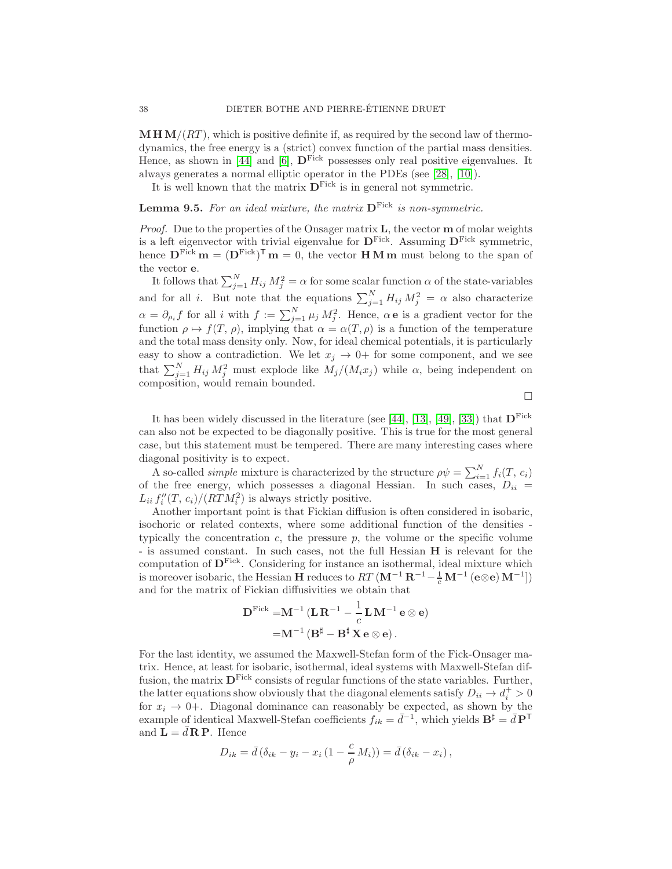$\mathbf{M} \mathbf{H} \mathbf{M}/(RT)$ , which is positive definite if, as required by the second law of thermodynamics, the free energy is a (strict) convex function of the partial mass densities. Hence, as shown in [\[44\]](#page-43-15) and [\[6\]](#page-41-2),  $\mathbf{D}^{\text{Fick}}$  possesses only real positive eigenvalues. It always generates a normal elliptic operator in the PDEs (see [\[28\]](#page-42-5), [\[10\]](#page-42-18)).

It is well known that the matrix  $\mathbf{D}^{\text{Fick}}$  is in general not symmetric.

# **Lemma 9.5.** For an ideal mixture, the matrix  $D<sup>Fick</sup>$  is non-symmetric.

*Proof.* Due to the properties of the Onsager matrix  $\bf{L}$ , the vector  $\bf{m}$  of molar weights is a left eigenvector with trivial eigenvalue for  $D<sup>Fick</sup>$ . Assuming  $D<sup>Fick</sup>$  symmetric, hence  $\mathbf{D}^{\text{Fick}}\mathbf{m} = (\mathbf{D}^{\text{Fick}})^{\mathsf{T}}\mathbf{m} = 0$ , the vector **HMm** must belong to the span of the vector e.

It follows that  $\sum_{j=1}^{N} H_{ij} M_j^2 = \alpha$  for some scalar function  $\alpha$  of the state-variables and for all *i*. But note that the equations  $\sum_{j=1}^{N} H_{ij} M_j^2 = \alpha$  also characterize  $\alpha = \partial_{\rho_i} f$  for all i with  $f := \sum_{j=1}^N \mu_j M_j^2$ . Hence,  $\alpha e$  is a gradient vector for the function  $\rho \mapsto f(T, \rho)$ , implying that  $\alpha = \alpha(T, \rho)$  is a function of the temperature and the total mass density only. Now, for ideal chemical potentials, it is particularly easy to show a contradiction. We let  $x_j \to 0+$  for some component, and we see that  $\sum_{j=1}^{N} H_{ij} M_j^2$  must explode like  $M_j/(M_i x_j)$  while  $\alpha$ , being independent on composition, would remain bounded.

 $\Box$ 

It has been widely discussed in the literature (see [\[44\]](#page-43-15), [\[13\]](#page-42-19), [\[49\]](#page-43-16), [\[33\]](#page-43-17)) that  $D<sup>Fick</sup>$ can also not be expected to be diagonally positive. This is true for the most general case, but this statement must be tempered. There are many interesting cases where diagonal positivity is to expect.

A so-called *simple* mixture is characterized by the structure  $\rho \psi = \sum_{i=1}^{N} f_i(T, c_i)$ of the free energy, which possesses a diagonal Hessian. In such cases,  $D_{ii}$  =  $L_{ii} f''_i(T, c_i)/(RTM_i^2)$  is always strictly positive.

Another important point is that Fickian diffusion is often considered in isobaric, isochoric or related contexts, where some additional function of the densities typically the concentration  $c$ , the pressure  $p$ , the volume or the specific volume - is assumed constant. In such cases, not the full Hessian H is relevant for the computation of  $\mathbf{D}^{\text{Fick}}$ . Considering for instance an isothermal, ideal mixture which is moreover isobaric, the Hessian H reduces to  $RT(\mathbf{M}^{-1}\mathbf{R}^{-1}-\frac{1}{c}\mathbf{M}^{-1}(\mathbf{e}\otimes\mathbf{e})\mathbf{M}^{-1}]$ and for the matrix of Fickian diffusivities we obtain that

$$
\mathbf{D}^{\mathrm{Fick}} = \mathbf{M}^{-1} (\mathbf{L} \mathbf{R}^{-1} - \frac{1}{c} \mathbf{L} \mathbf{M}^{-1} \mathbf{e} \otimes \mathbf{e})
$$

$$
= \mathbf{M}^{-1} (\mathbf{B}^{\sharp} - \mathbf{B}^{\sharp} \mathbf{X} \mathbf{e} \otimes \mathbf{e}).
$$

For the last identity, we assumed the Maxwell-Stefan form of the Fick-Onsager matrix. Hence, at least for isobaric, isothermal, ideal systems with Maxwell-Stefan diffusion, the matrix  $D<sup>Fick</sup>$  consists of regular functions of the state variables. Further, the latter equations show obviously that the diagonal elements satisfy  $D_{ii} \to d_i^+ > 0$ for  $x_i \rightarrow 0+$ . Diagonal dominance can reasonably be expected, as shown by the example of identical Maxwell-Stefan coefficients  $f_{ik} = \bar{d}^{-1}$ , which yields  $\mathbf{B}^{\sharp} = \bar{d} \mathbf{P}^{\mathsf{T}}$ and  $\mathbf{L} = d \mathbf{R} \mathbf{P}$ . Hence

$$
D_{ik} = \bar{d} (\delta_{ik} - y_i - x_i (1 - \frac{c}{\rho} M_i)) = \bar{d} (\delta_{ik} - x_i),
$$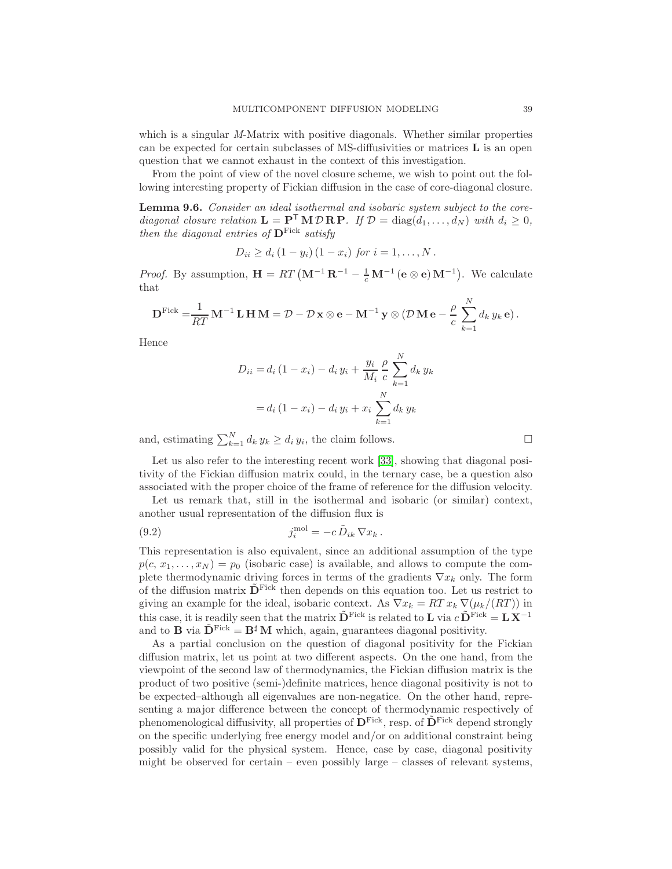which is a singular M-Matrix with positive diagonals. Whether similar properties can be expected for certain subclasses of MS-diffusivities or matrices L is an open question that we cannot exhaust in the context of this investigation.

From the point of view of the novel closure scheme, we wish to point out the following interesting property of Fickian diffusion in the case of core-diagonal closure.

Lemma 9.6. Consider an ideal isothermal and isobaric system subject to the corediagonal closure relation  $\mathbf{L} = \mathbf{P}^{\mathsf{T}} \mathbf{M} \mathcal{D} \mathbf{R} \mathbf{P}$ . If  $\mathcal{D} = \text{diag}(d_1, \dots, d_N)$  with  $d_i \geq 0$ , then the diagonal entries of  $\mathbf{D}^{\text{Fick}}$  satisfy

$$
D_{ii} \ge d_i (1 - y_i) (1 - x_i)
$$
 for  $i = 1, ..., N$ .

*Proof.* By assumption,  $\mathbf{H} = RT (\mathbf{M}^{-1} \mathbf{R}^{-1} - \frac{1}{c} \mathbf{M}^{-1} (\mathbf{e} \otimes \mathbf{e}) \mathbf{M}^{-1})$ . We calculate that

$$
\mathbf{D}^{\text{Fick}} = \frac{1}{RT} \mathbf{M}^{-1} \mathbf{L} \mathbf{H} \mathbf{M} = \mathcal{D} - \mathcal{D} \mathbf{x} \otimes \mathbf{e} - \mathbf{M}^{-1} \mathbf{y} \otimes (\mathcal{D} \mathbf{M} \mathbf{e} - \frac{\rho}{c} \sum_{k=1}^{N} d_k y_k \mathbf{e}).
$$

Hence

$$
D_{ii} = d_i (1 - x_i) - d_i y_i + \frac{y_i}{M_i} \frac{\rho}{c} \sum_{k=1}^{N} d_k y_k
$$
  
=  $d_i (1 - x_i) - d_i y_i + x_i \sum_{k=1}^{N} d_k y_k$ 

and, estimating  $\sum_{k=1}^{N} d_k y_k \ge d_i y_i$ , the claim follows.

Let us also refer to the interesting recent work [\[33\]](#page-43-17), showing that diagonal positivity of the Fickian diffusion matrix could, in the ternary case, be a question also associated with the proper choice of the frame of reference for the diffusion velocity.

Let us remark that, still in the isothermal and isobaric (or similar) context, another usual representation of the diffusion flux is

(9.2) 
$$
j_i^{\text{mol}} = -c \,\tilde{D}_{ik} \,\nabla x_k \,.
$$

This representation is also equivalent, since an additional assumption of the type  $p(c, x_1, \ldots, x_N) = p_0$  (isobaric case) is available, and allows to compute the complete thermodynamic driving forces in terms of the gradients  $\nabla x_k$  only. The form of the diffusion matrix  $\tilde{\mathbf{D}}^{\text{Fick}}$  then depends on this equation too. Let us restrict to giving an example for the ideal, isobaric context. As  $\nabla x_k = RT x_k \nabla(\mu_k/(RT))$  in this case, it is readily seen that the matrix  $\tilde{\mathbf{D}}^{\text{Fick}}$  is related to **L** via  $c \tilde{\mathbf{D}}^{\text{Fick}} = \mathbf{L} \tilde{\mathbf{X}}^{-1}$ and to **B** via  $\tilde{\mathbf{D}}^{\text{Fick}} = \mathbf{B}^{\sharp} \mathbf{M}$  which, again, guarantees diagonal positivity.

As a partial conclusion on the question of diagonal positivity for the Fickian diffusion matrix, let us point at two different aspects. On the one hand, from the viewpoint of the second law of thermodynamics, the Fickian diffusion matrix is the product of two positive (semi-)definite matrices, hence diagonal positivity is not to be expected–although all eigenvalues are non-negatice. On the other hand, representing a major difference between the concept of thermodynamic respectively of phenomenological diffusivity, all properties of  $\mathbf{D}^{\text{Fick}}$ , resp. of  $\tilde{\mathbf{D}}^{\text{Fick}}$  depend strongly on the specific underlying free energy model and/or on additional constraint being possibly valid for the physical system. Hence, case by case, diagonal positivity might be observed for certain – even possibly large – classes of relevant systems,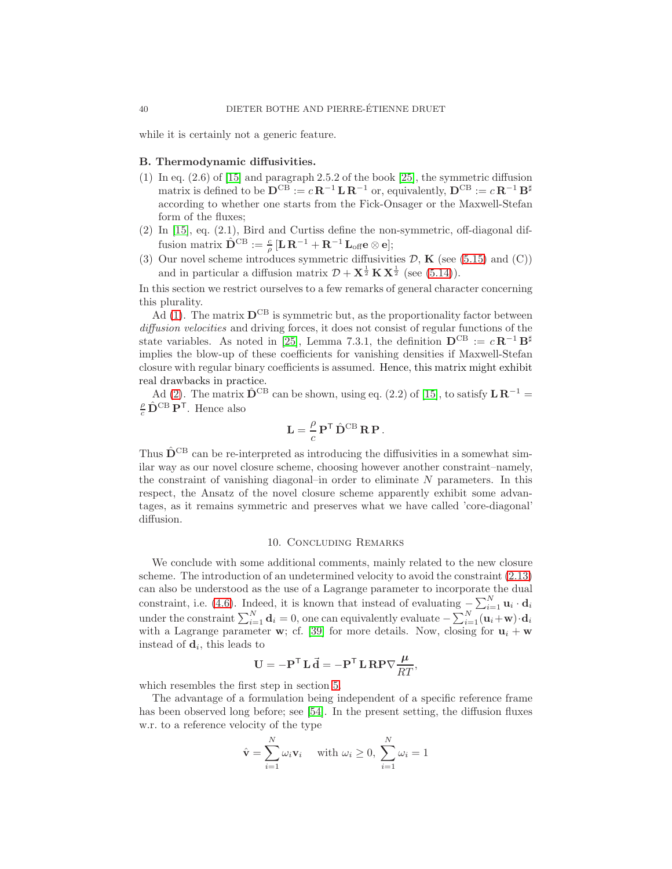while it is certainly not a generic feature.

### <span id="page-39-0"></span>B. Thermodynamic diffusivities.

- (1) In eq.  $(2.6)$  of [\[15\]](#page-42-14) and paragraph 2.5.2 of the book [\[25\]](#page-42-6), the symmetric diffusion matrix is defined to be  $\mathbf{D}^{\mathrm{CB}} := c \mathbf{R}^{-1} \mathbf{L} \mathbf{R}^{-1}$  or, equivalently,  $\mathbf{D}^{\mathrm{CB}} := c \mathbf{R}^{-1} \mathbf{B}^{\sharp}$ according to whether one starts from the Fick-Onsager or the Maxwell-Stefan form of the fluxes;
- <span id="page-39-1"></span>(2) In [\[15\]](#page-42-14), eq. (2.1), Bird and Curtiss define the non-symmetric, off-diagonal diffusion matrix  $\hat{\mathbf{D}}^{\mathrm{CB}} := \frac{c}{\rho}\,[\mathbf{L}\,\mathbf{R}^{-1} + \mathbf{R}^{-1}\,\mathbf{L}_{\mathrm{off}}\mathbf{e}\otimes\mathbf{e}];$
- (3) Our novel scheme introduces symmetric diffusivities  $D$ ,  $K$  (see [\(5.15\)](#page-18-2) and (C)) and in particular a diffusion matrix  $\mathcal{D} + \mathbf{X}^{\frac{1}{2}} \mathbf{K} \mathbf{X}^{\frac{1}{2}}$  (see [\(5.14\)](#page-18-3)).

In this section we restrict ourselves to a few remarks of general character concerning this plurality.

 $\overrightarrow{A}$ d [\(1\)](#page-39-0). The matrix  $D^{CB}$  is symmetric but, as the proportionality factor between diffusion velocities and driving forces, it does not consist of regular functions of the state variables. As noted in [\[25\]](#page-42-6), Lemma 7.3.1, the definition  $\mathbf{D}^{\mathrm{CB}} := c \mathbf{R}^{-1} \mathbf{B}^{\sharp}$ implies the blow-up of these coefficients for vanishing densities if Maxwell-Stefan closure with regular binary coefficients is assumed. Hence, this matrix might exhibit real drawbacks in practice.

Ad [\(2\)](#page-39-1). The matrix  $\hat{\mathbf{D}}^{\text{CB}}$  can be shown, using eq. (2.2) of [\[15\]](#page-42-14), to satisfy  $\mathbf{L} \mathbf{R}^{-1} =$  $\frac{\rho}{c} \, \hat{\mathbf{D}}^{\text{CB}} \, \mathbf{P}^{\mathsf{T}}$ . Hence also

$$
\mathbf{L} = \frac{\rho}{c} \, \mathbf{P}^{\mathsf{T}} \, \hat{\mathbf{D}}^{\text{CB}} \, \mathbf{R} \, \mathbf{P} \, .
$$

Thus  $\hat{\mathbf{D}}^{\text{CB}}$  can be re-interpreted as introducing the diffusivities in a somewhat similar way as our novel closure scheme, choosing however another constraint–namely, the constraint of vanishing diagonal–in order to eliminate  $N$  parameters. In this respect, the Ansatz of the novel closure scheme apparently exhibit some advantages, as it remains symmetric and preserves what we have called 'core-diagonal' diffusion.

#### 10. Concluding Remarks

We conclude with some additional comments, mainly related to the new closure scheme. The introduction of an undetermined velocity to avoid the constraint [\(2.13\)](#page-5-5) can also be understood as the use of a Lagrange parameter to incorporate the dual constraint, i.e. [\(4.6\)](#page-12-2). Indeed, it is known that instead of evaluating  $-\sum_{i=1}^{N} \mathbf{u}_i \cdot \mathbf{d}_i$ under the constraint  $\sum_{i=1}^{N} \mathbf{d}_i = 0$ , one can equivalently evaluate  $-\sum_{i=1}^{N} (\mathbf{u}_i + \mathbf{w}) \cdot \mathbf{d}_i$ with a Lagrange parameter **w**; cf. [\[39\]](#page-43-18) for more details. Now, closing for  $\mathbf{u}_i + \mathbf{w}$ instead of  $\mathbf{d}_i$ , this leads to

$$
\mathbf{U} = -\mathbf{P}^{\mathsf{T}} \mathbf{L} \vec{\mathbf{d}} = -\mathbf{P}^{\mathsf{T}} \mathbf{L} \mathbf{R} \mathbf{P} \nabla \frac{\mu}{RT},
$$

which resembles the first step in section [5.](#page-16-2)

The advantage of a formulation being independent of a specific reference frame has been observed long before; see [\[54\]](#page-44-8). In the present setting, the diffusion fluxes w.r. to a reference velocity of the type

$$
\hat{\mathbf{v}} = \sum_{i=1}^{N} \omega_i \mathbf{v}_i \quad \text{with } \omega_i \ge 0, \ \sum_{i=1}^{N} \omega_i = 1
$$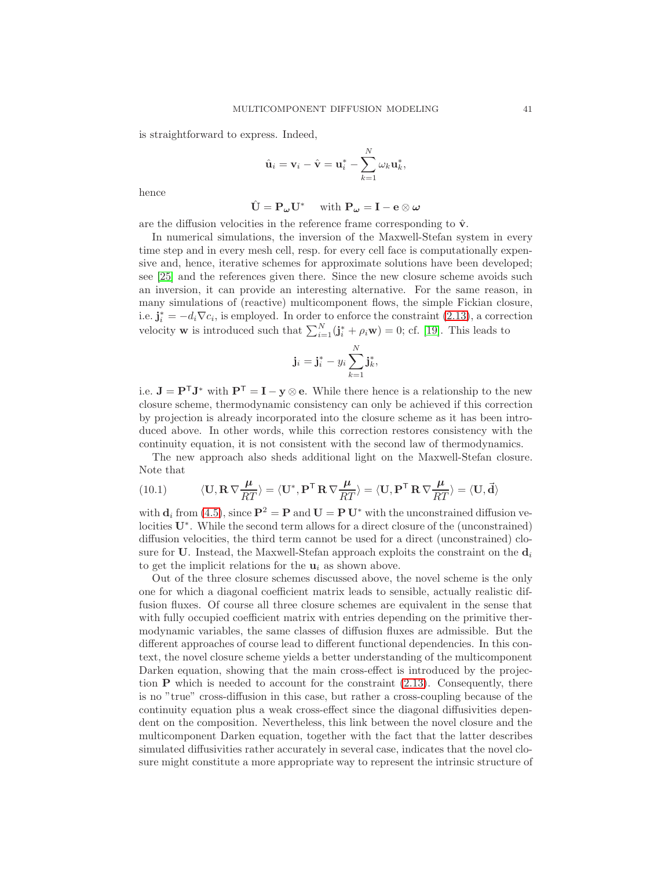is straightforward to express. Indeed,

$$
\hat{\mathbf{u}}_i = \mathbf{v}_i - \hat{\mathbf{v}} = \mathbf{u}_i^* - \sum_{k=1}^N \omega_k \mathbf{u}_k^*,
$$

hence

$$
\hat{\mathbf{U}} = \mathbf{P}_{\boldsymbol{\omega}} \mathbf{U}^* \quad \text{ with } \mathbf{P}_{\boldsymbol{\omega}} = \mathbf{I} - \mathbf{e} \otimes \boldsymbol{\omega}
$$

are the diffusion velocities in the reference frame corresponding to  $\hat{\mathbf{v}}$ .

In numerical simulations, the inversion of the Maxwell-Stefan system in every time step and in every mesh cell, resp. for every cell face is computationally expensive and, hence, iterative schemes for approximate solutions have been developed; see [\[25\]](#page-42-6) and the references given there. Since the new closure scheme avoids such an inversion, it can provide an interesting alternative. For the same reason, in many simulations of (reactive) multicomponent flows, the simple Fickian closure, i.e.  $\mathbf{j}_i^* = -d_i \nabla c_i$ , is employed. In order to enforce the constraint [\(2.13\)](#page-5-5), a correction velocity **w** is introduced such that  $\sum_{i=1}^{N}(\mathbf{j}_{i}^{*} + \rho_{i}\mathbf{w}) = 0$ ; cf. [\[19\]](#page-42-20). This leads to

$$
\mathbf{j}_i = \mathbf{j}_i^* - y_i \sum_{k=1}^N \mathbf{j}_k^*,
$$

i.e.  $J = P^{T}J^*$  with  $P^{T} = I - y \otimes e$ . While there hence is a relationship to the new closure scheme, thermodynamic consistency can only be achieved if this correction by projection is already incorporated into the closure scheme as it has been introduced above. In other words, while this correction restores consistency with the continuity equation, it is not consistent with the second law of thermodynamics.

The new approach also sheds additional light on the Maxwell-Stefan closure. Note that

(10.1) 
$$
\langle \mathbf{U}, \mathbf{R} \nabla \frac{\mu}{RT} \rangle = \langle \mathbf{U}^*, \mathbf{P}^{\mathsf{T}} \mathbf{R} \nabla \frac{\mu}{RT} \rangle = \langle \mathbf{U}, \mathbf{P}^{\mathsf{T}} \mathbf{R} \nabla \frac{\mu}{RT} \rangle = \langle \mathbf{U}, \vec{\mathbf{d}} \rangle
$$

with  $\mathbf{d}_i$  from [\(4.5\)](#page-12-3), since  $\mathbf{P}^2 = \mathbf{P}$  and  $\mathbf{U} = \mathbf{P} \mathbf{U}^*$  with the unconstrained diffusion velocities U<sup>∗</sup> . While the second term allows for a direct closure of the (unconstrained) diffusion velocities, the third term cannot be used for a direct (unconstrained) closure for U. Instead, the Maxwell-Stefan approach exploits the constraint on the  $\mathbf{d}_i$ to get the implicit relations for the  $\mathbf{u}_i$  as shown above.

Out of the three closure schemes discussed above, the novel scheme is the only one for which a diagonal coefficient matrix leads to sensible, actually realistic diffusion fluxes. Of course all three closure schemes are equivalent in the sense that with fully occupied coefficient matrix with entries depending on the primitive thermodynamic variables, the same classes of diffusion fluxes are admissible. But the different approaches of course lead to different functional dependencies. In this context, the novel closure scheme yields a better understanding of the multicomponent Darken equation, showing that the main cross-effect is introduced by the projection  $P$  which is needed to account for the constraint  $(2.13)$ . Consequently, there is no "true" cross-diffusion in this case, but rather a cross-coupling because of the continuity equation plus a weak cross-effect since the diagonal diffusivities dependent on the composition. Nevertheless, this link between the novel closure and the multicomponent Darken equation, together with the fact that the latter describes simulated diffusivities rather accurately in several case, indicates that the novel closure might constitute a more appropriate way to represent the intrinsic structure of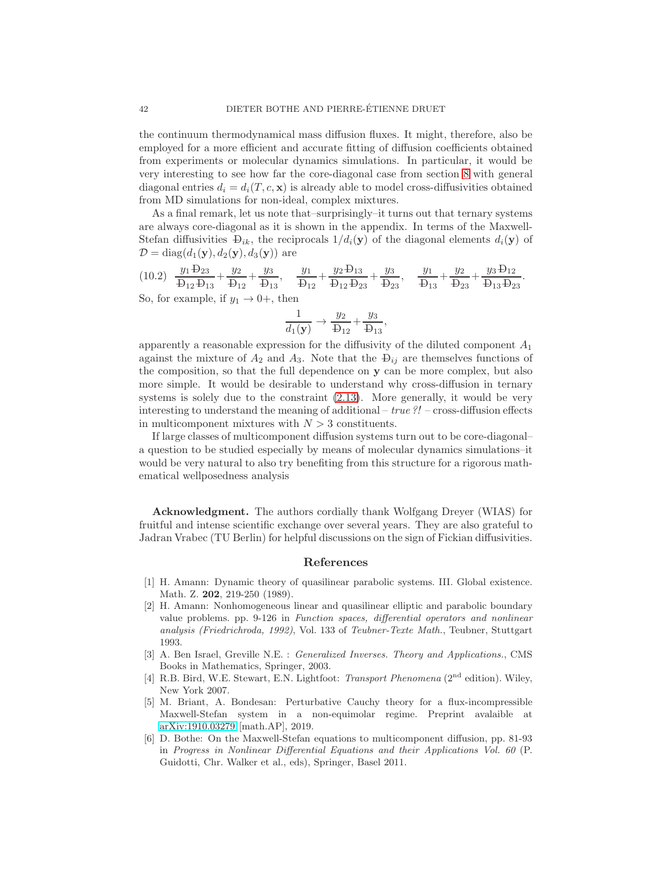the continuum thermodynamical mass diffusion fluxes. It might, therefore, also be employed for a more efficient and accurate fitting of diffusion coefficients obtained from experiments or molecular dynamics simulations. In particular, it would be very interesting to see how far the core-diagonal case from section [8](#page-30-0) with general diagonal entries  $d_i = d_i(T, c, \mathbf{x})$  is already able to model cross-diffusivities obtained from MD simulations for non-ideal, complex mixtures.

As a final remark, let us note that–surprisingly–it turns out that ternary systems are always core-diagonal as it is shown in the appendix. In terms of the Maxwell-Stefan diffusivities  $\mathcal{D}_{ik}$ , the reciprocals  $1/d_i(\mathbf{y})$  of the diagonal elements  $d_i(\mathbf{y})$  of  $\mathcal{D} = \text{diag}(d_1(\mathbf{y}), d_2(\mathbf{y}), d_3(\mathbf{y}))$  are

$$
(10.2) \frac{y_1 \text{ }^1\text{ }^1\text{ }^2\text{ }^3\text{ }^3\text{ }^1\text{ } + \frac{y_2}{\text{ }^1\text{ }^1\text{ }^2} + \frac{y_3}{\text{ }^1\text{ }^1\text{ }^3\text{ }^1\text{ }^1\text{ }^1\text{ }^1\text{ }^1\text{ }^1\text{ }^1\text{ }^1\text{ }^1\text{ }^1\text{ }^1\text{ }^1\text{ }^1\text{ }^1\text{ }^1\text{ }^1\text{ }^1\text{ }^1\text{ }^1\text{ }^1\text{ }^1\text{ }^1\text{ }^1\text{ }^1\text{ }^1\text{ }^1\text{ }^1\text{ }^1\text{ }^1\text{ }^1\text{ }^1\text{ }^1\text{ }^1\text{ }^1\text{ }^1\text{ }^1\text{ }^1\text{ }^1\text{ }^1\text{ }^1\text{ }^1\text{ }^1\text{ }^1\text{ }^1\text{ }^1\text{ }^1\text{ }^1\text{ }^1\text{ }^1\text{ }^1\text{ }^1\text{ }^1\text{ }^1\text{ }^1\text{ }^1\text{ }^1\text{ }^1\text{ }^1\text{ }^1\text{ }^1\text{ }^1\text{ }^1\text{ }^1\text{ }^1\text{ }^1\text{ }^1\text{ }^1\text{ }^1\text{ }^1\text{ }^1\text{ }^1\text{ }^1\text{ }^1\text{ }^1\text{ }^1\text{ }^1\text{ }^1\text{ }^1\text{ }^1\text{ }^1\text{ }^1\text{ }^1\text{ }^1\text{ }^1\text{ }^1\text{ }^1\text{ }^1\text{ }^1\text{ }^1\text{ }^1\text{ }^1\text{ }^1\text{ }^1\text{ }^1\text{ }^1\text{ }^1\text{ }^1\text{ }^1\text{ }^1\text{ }^1\text{ }^1\text{ }^1\text{ }^1\text{ }^1\text{ }^1\text{ }^1\text{ }^1\text{ }^1\text{ }^1\
$$

$$
\frac{1}{d_1(\mathbf{y})} \rightarrow \frac{y_2}{\mathbf{D}_{12}} + \frac{y_3}{\mathbf{D}_{13}},
$$

apparently a reasonable expression for the diffusivity of the diluted component  $A_1$ against the mixture of  $A_2$  and  $A_3$ . Note that the  $\mathcal{D}_{ij}$  are themselves functions of the composition, so that the full dependence on y can be more complex, but also more simple. It would be desirable to understand why cross-diffusion in ternary systems is solely due to the constraint [\(2.13\)](#page-5-5). More generally, it would be very interesting to understand the meaning of additional –  $true$ ?! – cross-diffusion effects in multicomponent mixtures with  $N > 3$  constituents.

If large classes of multicomponent diffusion systems turn out to be core-diagonal– a question to be studied especially by means of molecular dynamics simulations–it would be very natural to also try benefiting from this structure for a rigorous mathematical wellposedness analysis

Acknowledgment. The authors cordially thank Wolfgang Dreyer (WIAS) for fruitful and intense scientific exchange over several years. They are also grateful to Jadran Vrabec (TU Berlin) for helpful discussions on the sign of Fickian diffusivities.

#### References

- <span id="page-41-3"></span>[1] H. Amann: Dynamic theory of quasilinear parabolic systems. III. Global existence. Math. Z. 202, 219-250 (1989).
- <span id="page-41-4"></span>[2] H. Amann: Nonhomogeneous linear and quasilinear elliptic and parabolic boundary value problems. pp. 9-126 in Function spaces, differential operators and nonlinear analysis (Friedrichroda, 1992), Vol. 133 of Teubner-Texte Math., Teubner, Stuttgart 1993.
- <span id="page-41-5"></span>[3] A. Ben Israel, Greville N.E. : Generalized Inverses. Theory and Applications., CMS Books in Mathematics, Springer, 2003.
- <span id="page-41-1"></span>[4] R.B. Bird, W.E. Stewart, E.N. Lightfoot: Transport Phenomena (2<sup>nd</sup> edition). Wiley, New York 2007.
- <span id="page-41-0"></span>[5] M. Briant, A. Bondesan: Perturbative Cauchy theory for a flux-incompressible Maxwell-Stefan system in a non-equimolar regime. Preprint avalaible at [arXiv:1910.03279](http://arxiv.org/abs/1910.03279) [math.AP], 2019.
- <span id="page-41-2"></span>[6] D. Bothe: On the Maxwell-Stefan equations to multicomponent diffusion, pp. 81-93 in Progress in Nonlinear Differential Equations and their Applications Vol. 60 (P. Guidotti, Chr. Walker et al., eds), Springer, Basel 2011.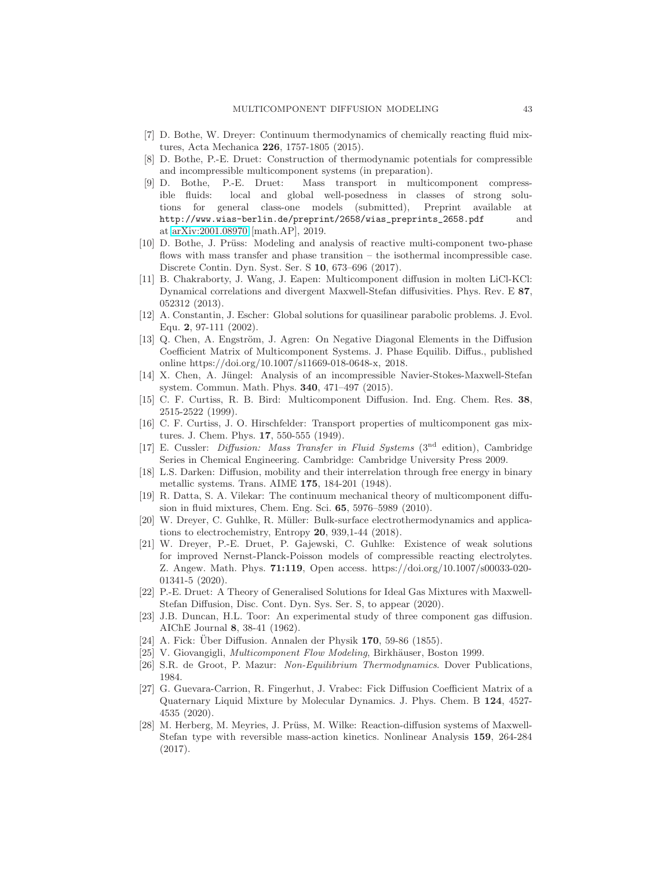- <span id="page-42-12"></span><span id="page-42-10"></span>[7] D. Bothe, W. Dreyer: Continuum thermodynamics of chemically reacting fluid mixtures, Acta Mechanica 226, 1757-1805 (2015).
- [8] D. Bothe, P.-E. Druet: Construction of thermodynamic potentials for compressible and incompressible multicomponent systems (in preparation).
- <span id="page-42-7"></span>[9] D. Bothe, P.-E. Druet: Mass transport in multicomponent compressible fluids: local and global well-posedness in classes of strong solutions for general class-one models (submitted), Preprint available at http://www.wias-berlin.de/preprint/2658/wias\_preprints\_2658.pdf and at [arXiv:2001.08970](http://arxiv.org/abs/2001.08970) [math.AP], 2019.
- <span id="page-42-18"></span>[10] D. Bothe, J. Prüss: Modeling and analysis of reactive multi-component two-phase flows with mass transfer and phase transition – the isothermal incompressible case. Discrete Contin. Dyn. Syst. Ser. S 10, 673–696 (2017).
- <span id="page-42-4"></span>[11] B. Chakraborty, J. Wang, J. Eapen: Multicomponent diffusion in molten LiCl-KCl: Dynamical correlations and divergent Maxwell-Stefan diffusivities. Phys. Rev. E 87, 052312 (2013).
- <span id="page-42-15"></span>[12] A. Constantin, J. Escher: Global solutions for quasilinear parabolic problems. J. Evol. Equ. 2, 97-111 (2002).
- <span id="page-42-19"></span>[13] Q. Chen, A. Engström, J. Agren: On Negative Diagonal Elements in the Diffusion Coefficient Matrix of Multicomponent Systems. J. Phase Equilib. Diffus., published online https://doi.org/10.1007/s11669-018-0648-x, 2018.
- <span id="page-42-8"></span>[14] X. Chen, A. Jüngel: Analysis of an incompressible Navier-Stokes-Maxwell-Stefan system. Commun. Math. Phys. 340, 471–497 (2015).
- <span id="page-42-14"></span>[15] C. F. Curtiss, R. B. Bird: Multicomponent Diffusion. Ind. Eng. Chem. Res. 38, 2515-2522 (1999).
- <span id="page-42-13"></span>[16] C. F. Curtiss, J. O. Hirschfelder: Transport properties of multicomponent gas mixtures. J. Chem. Phys. 17, 550-555 (1949).
- <span id="page-42-3"></span>[17] E. Cussler: Diffusion: Mass Transfer in Fluid Systems (3nd edition), Cambridge Series in Chemical Engineering. Cambridge: Cambridge University Press 2009.
- <span id="page-42-16"></span>[18] L.S. Darken: Diffusion, mobility and their interrelation through free energy in binary metallic systems. Trans. AIME 175, 184-201 (1948).
- <span id="page-42-20"></span>[19] R. Datta, S. A. Vilekar: The continuum mechanical theory of multicomponent diffusion in fluid mixtures, Chem. Eng. Sci. 65, 5976–5989 (2010).
- <span id="page-42-11"></span>[20] W. Dreyer, C. Guhlke, R. Müller: Bulk-surface electrothermodynamics and applications to electrochemistry, Entropy 20, 939,1-44 (2018).
- <span id="page-42-2"></span>[21] W. Dreyer, P.-E. Druet, P. Gajewski, C. Guhlke: Existence of weak solutions for improved Nernst-Planck-Poisson models of compressible reacting electrolytes. Z. Angew. Math. Phys. 71:119, Open access. https://doi.org/10.1007/s00033-020- 01341-5 (2020).
- <span id="page-42-9"></span>[22] P.-E. Druet: A Theory of Generalised Solutions for Ideal Gas Mixtures with Maxwell-Stefan Diffusion, Disc. Cont. Dyn. Sys. Ser. S, to appear (2020).
- [23] J.B. Duncan, H.L. Toor: An experimental study of three component gas diffusion. AIChE Journal 8, 38-41 (1962).
- <span id="page-42-6"></span><span id="page-42-0"></span>[24] A. Fick: Uber Diffusion. Annalen der Physik  $170, 59-86$  (1855).
- <span id="page-42-1"></span>[25] V. Giovangigli, *Multicomponent Flow Modeling*, Birkhäuser, Boston 1999.
- <span id="page-42-17"></span>[26] S.R. de Groot, P. Mazur: Non-Equilibrium Thermodynamics. Dover Publications, 1984.
- [27] G. Guevara-Carrion, R. Fingerhut, J. Vrabec: Fick Diffusion Coefficient Matrix of a Quaternary Liquid Mixture by Molecular Dynamics. J. Phys. Chem. B 124, 4527- 4535 (2020).
- <span id="page-42-5"></span>[28] M. Herberg, M. Meyries, J. Prüss, M. Wilke: Reaction-diffusion systems of Maxwell-Stefan type with reversible mass-action kinetics. Nonlinear Analysis 159, 264-284 (2017).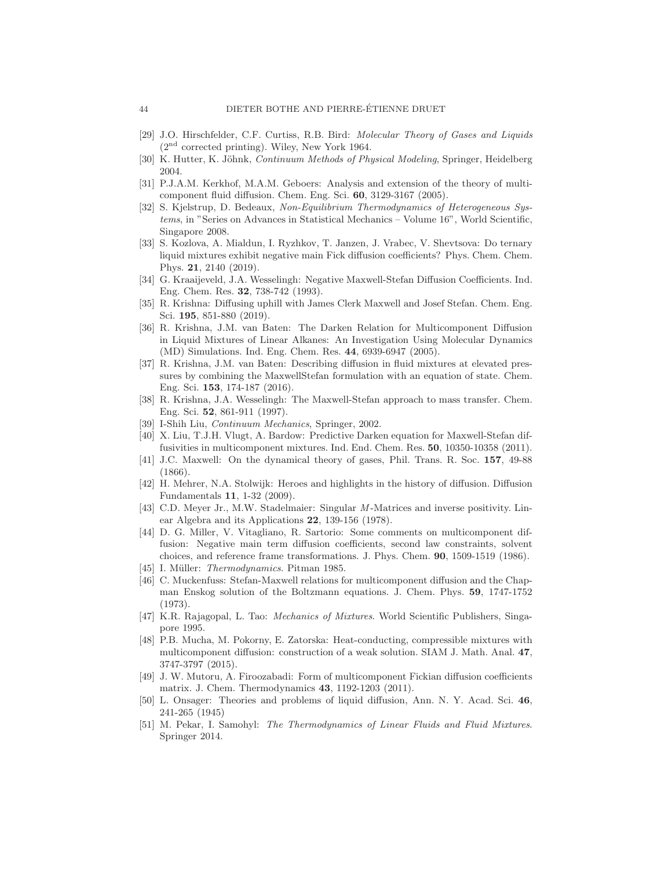- <span id="page-43-12"></span>[29] J.O. Hirschfelder, C.F. Curtiss, R.B. Bird: Molecular Theory of Gases and Liquids  $(2<sup>nd</sup> corrected printing). Wiley, New York 1964.$
- <span id="page-43-7"></span>[30] K. Hutter, K. Jöhnk, Continuum Methods of Physical Modeling, Springer, Heidelberg 2004.
- [31] P.J.A.M. Kerkhof, M.A.M. Geboers: Analysis and extension of the theory of multicomponent fluid diffusion. Chem. Eng. Sci. 60, 3129-3167 (2005).
- <span id="page-43-8"></span>[32] S. Kjelstrup, D. Bedeaux, Non-Equilibrium Thermodynamics of Heterogeneous Systems, in "Series on Advances in Statistical Mechanics – Volume 16", World Scientific, Singapore 2008.
- <span id="page-43-17"></span>[33] S. Kozlova, A. Mialdun, I. Ryzhkov, T. Janzen, J. Vrabec, V. Shevtsova: Do ternary liquid mixtures exhibit negative main Fick diffusion coefficients? Phys. Chem. Chem. Phys. 21, 2140 (2019).
- <span id="page-43-2"></span>[34] G. Kraaijeveld, J.A. Wesselingh: Negative Maxwell-Stefan Diffusion Coefficients. Ind. Eng. Chem. Res. 32, 738-742 (1993).
- <span id="page-43-14"></span>[35] R. Krishna: Diffusing uphill with James Clerk Maxwell and Josef Stefan. Chem. Eng. Sci. 195, 851-880 (2019).
- <span id="page-43-0"></span>[36] R. Krishna, J.M. van Baten: The Darken Relation for Multicomponent Diffusion in Liquid Mixtures of Linear Alkanes: An Investigation Using Molecular Dynamics (MD) Simulations. Ind. Eng. Chem. Res. 44, 6939-6947 (2005).
- <span id="page-43-13"></span>[37] R. Krishna, J.M. van Baten: Describing diffusion in fluid mixtures at elevated pressures by combining the MaxwellStefan formulation with an equation of state. Chem. Eng. Sci. 153, 174-187 (2016).
- [38] R. Krishna, J.A. Wesselingh: The Maxwell-Stefan approach to mass transfer. Chem. Eng. Sci. 52, 861-911 (1997).
- <span id="page-43-18"></span><span id="page-43-1"></span>[39] I-Shih Liu, Continuum Mechanics, Springer, 2002.
- [40] X. Liu, T.J.H. Vlugt, A. Bardow: Predictive Darken equation for Maxwell-Stefan diffusivities in multicomponent mixtures. Ind. End. Chem. Res. 50, 10350-10358 (2011).
- <span id="page-43-11"></span>[41] J.C. Maxwell: On the dynamical theory of gases, Phil. Trans. R. Soc. 157, 49-88 (1866).
- <span id="page-43-4"></span>[42] H. Mehrer, N.A. Stolwijk: Heroes and highlights in the history of diffusion. Diffusion Fundamentals 11, 1-32 (2009).
- <span id="page-43-19"></span>[43] C.D. Meyer Jr., M.W. Stadelmaier: Singular M-Matrices and inverse positivity. Linear Algebra and its Applications 22, 139-156 (1978).
- <span id="page-43-15"></span>[44] D. G. Miller, V. Vitagliano, R. Sartorio: Some comments on multicomponent diffusion: Negative main term diffusion coefficients, second law constraints, solvent choices, and reference frame transformations. J. Phys. Chem. 90, 1509-1519 (1986).
- <span id="page-43-5"></span>[45] I. Müller: Thermodynamics. Pitman 1985.
- [46] C. Muckenfuss: Stefan-Maxwell relations for multicomponent diffusion and the Chapman Enskog solution of the Boltzmann equations. J. Chem. Phys. 59, 1747-1752 (1973).
- <span id="page-43-6"></span>[47] K.R. Rajagopal, L. Tao: Mechanics of Mixtures. World Scientific Publishers, Singapore 1995.
- <span id="page-43-3"></span>[48] P.B. Mucha, M. Pokorny, E. Zatorska: Heat-conducting, compressible mixtures with multicomponent diffusion: construction of a weak solution. SIAM J. Math. Anal. 47, 3747-3797 (2015).
- <span id="page-43-16"></span>[49] J. W. Mutoru, A. Firoozabadi: Form of multicomponent Fickian diffusion coefficients matrix. J. Chem. Thermodynamics 43, 1192-1203 (2011).
- <span id="page-43-10"></span>[50] L. Onsager: Theories and problems of liquid diffusion, Ann. N. Y. Acad. Sci. 46, 241-265 (1945)
- <span id="page-43-9"></span>[51] M. Pekar, I. Samohyl: The Thermodynamics of Linear Fluids and Fluid Mixtures. Springer 2014.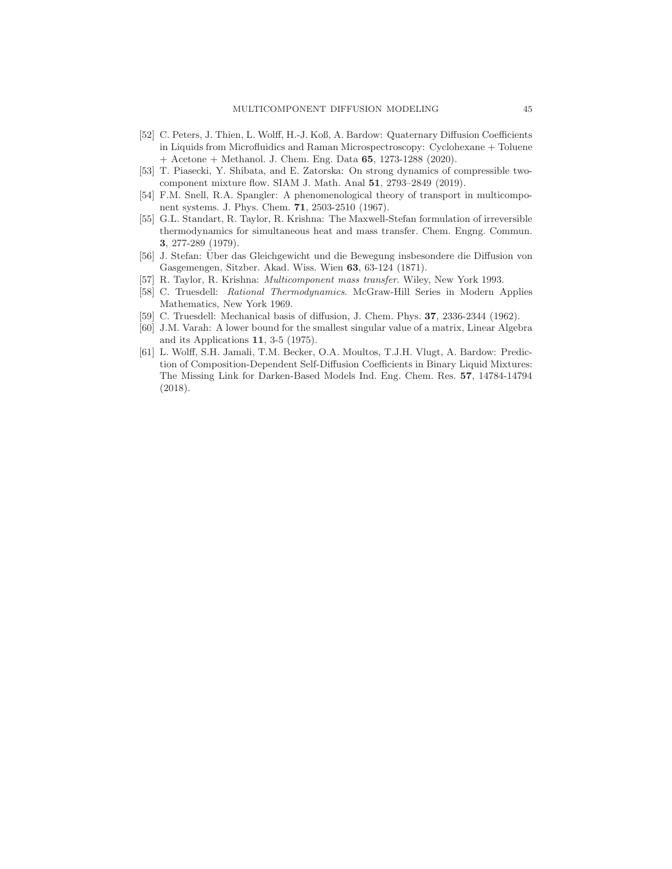- <span id="page-44-7"></span>[52] C. Peters, J. Thien, L. Wolff, H.-J. Koß, A. Bardow: Quaternary Diffusion Coefficients in Liquids from Microfluidics and Raman Microspectroscopy: Cyclohexane + Toluene + Acetone + Methanol. J. Chem. Eng. Data 65, 1273-1288 (2020).
- <span id="page-44-8"></span><span id="page-44-2"></span>[53] T. Piasecki, Y. Shibata, and E. Zatorska: On strong dynamics of compressible twocomponent mixture flow. SIAM J. Math. Anal 51, 2793–2849 (2019).
- [54] F.M. Snell, R.A. Spangler: A phenomenological theory of transport in multicomponent systems. J. Phys. Chem. 71, 2503-2510 (1967).
- <span id="page-44-0"></span>[55] G.L. Standart, R. Taylor, R. Krishna: The Maxwell-Stefan formulation of irreversible thermodynamics for simultaneous heat and mass transfer. Chem. Engng. Commun. 3, 277-289 (1979).
- <span id="page-44-4"></span>[56] J. Stefan: Über das Gleichgewicht und die Bewegung insbesondere die Diffusion von Gasgemengen, Sitzber. Akad. Wiss. Wien 63, 63-124 (1871).
- <span id="page-44-3"></span><span id="page-44-1"></span>[57] R. Taylor, R. Krishna: Multicomponent mass transfer. Wiley, New York 1993.
- [58] C. Truesdell: Rational Thermodynamics. McGraw-Hill Series in Modern Applies Mathematics, New York 1969.
- <span id="page-44-9"></span><span id="page-44-5"></span>[59] C. Truesdell: Mechanical basis of diffusion, J. Chem. Phys. 37, 2336-2344 (1962).
- [60] J.M. Varah: A lower bound for the smallest singular value of a matrix, Linear Algebra and its Applications 11, 3-5 (1975).
- <span id="page-44-6"></span>[61] L. Wolff, S.H. Jamali, T.M. Becker, O.A. Moultos, T.J.H. Vlugt, A. Bardow: Prediction of Composition-Dependent Self-Diffusion Coefficients in Binary Liquid Mixtures: The Missing Link for Darken-Based Models Ind. Eng. Chem. Res. 57, 14784-14794 (2018).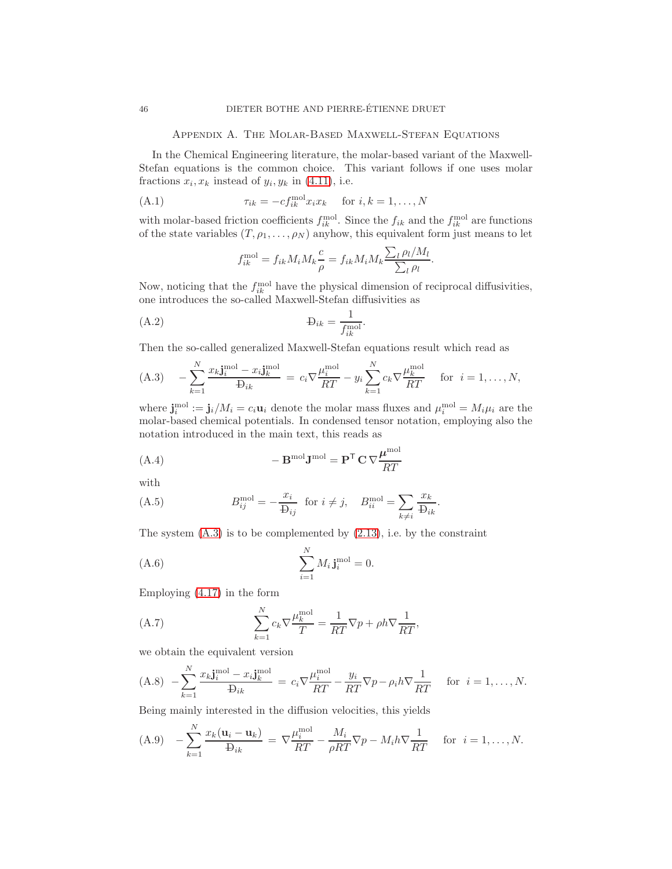Appendix A. The Molar-Based Maxwell-Stefan Equations

<span id="page-45-0"></span>In the Chemical Engineering literature, the molar-based variant of the Maxwell-Stefan equations is the common choice. This variant follows if one uses molar fractions  $x_i, x_k$  instead of  $y_i, y_k$  in [\(4.11\)](#page-13-2), i.e.

$$
(A.1) \t\t\t\t\t\tau_{ik} = -c f_{ik}^{\text{mol}} x_i x_k \t\t\t\tfor\t\ti, k = 1, ..., N
$$

with molar-based friction coefficients  $f_{ik}^{\text{mol}}$ . Since the  $f_{ik}$  and the  $f_{ik}^{\text{mol}}$  are functions of the state variables  $(T, \rho_1, \ldots, \rho_N)$  anyhow, this equivalent form just means to let

$$
f_{ik}^{\text{mol}} = f_{ik} M_i M_k \frac{c}{\rho} = f_{ik} M_i M_k \frac{\sum_l \rho_l / M_l}{\sum_l \rho_l}.
$$

Now, noticing that the  $f_{ik}^{\text{mol}}$  have the physical dimension of reciprocal diffusivities, one introduces the so-called Maxwell-Stefan diffusivities as

$$
\mathbf{B}_{ik} = \frac{1}{f_{ik}^{\text{mol}}}.
$$

Then the so-called generalized Maxwell-Stefan equations result which read as

<span id="page-45-1"></span>(A.3) 
$$
-\sum_{k=1}^{N} \frac{x_k \mathbf{j}_i^{\text{mol}} - x_i \mathbf{j}_k^{\text{mol}}}{\mathbf{b}_{ik}} = c_i \nabla \frac{\mu_i^{\text{mol}}}{RT} - y_i \sum_{k=1}^{N} c_k \nabla \frac{\mu_k^{\text{mol}}}{RT} \quad \text{for } i = 1, ..., N,
$$

where  $\mathbf{j}_i^{\text{mol}} := \mathbf{j}_i/M_i = c_i \mathbf{u}_i$  denote the molar mass fluxes and  $\mu_i^{\text{mol}} = M_i \mu_i$  are the molar-based chemical potentials. In condensed tensor notation, employing also the notation introduced in the main text, this reads as

(A.4) 
$$
- \mathbf{B}^{\text{mol}} \mathbf{J}^{\text{mol}} = \mathbf{P}^{\mathsf{T}} \mathbf{C} \nabla \frac{\boldsymbol{\mu}^{\text{mol}}}{RT}
$$

with

(A.5) 
$$
B_{ij}^{\text{mol}} = -\frac{x_i}{\mathbf{D}_{ij}} \text{ for } i \neq j, \quad B_{ii}^{\text{mol}} = \sum_{k \neq i} \frac{x_k}{\mathbf{D}_{ik}}.
$$

The system  $(A.3)$  is to be complemented by  $(2.13)$ , i.e. by the constraint

$$
\sum_{i=1}^{N} M_i \mathbf{j}_i^{\text{mol}} = 0.
$$

Employing [\(4.17\)](#page-15-5) in the form

(A.7) 
$$
\sum_{k=1}^{N} c_k \nabla \frac{\mu_k^{\text{mol}}}{T} = \frac{1}{RT} \nabla p + \rho h \nabla \frac{1}{RT},
$$

we obtain the equivalent version

<span id="page-45-2"></span>
$$
\text{(A.8)} \quad -\sum_{k=1}^{N} \frac{x_k \mathbf{j}_i^{\text{mol}} - x_i \mathbf{j}_k^{\text{mol}}}{\mathbf{D}_{ik}} = c_i \nabla \frac{\mu_i^{\text{mol}}}{RT} - \frac{y_i}{RT} \nabla p - \rho_i h \nabla \frac{1}{RT} \quad \text{for} \quad i = 1, \dots, N.
$$

Being mainly interested in the diffusion velocities, this yields

<span id="page-45-3"></span>(A.9) 
$$
-\sum_{k=1}^{N} \frac{x_k(\mathbf{u}_i - \mathbf{u}_k)}{\mathbf{B}_{ik}} = \nabla \frac{\mu_i^{\text{mol}}}{RT} - \frac{M_i}{\rho RT} \nabla p - M_i h \nabla \frac{1}{RT} \quad \text{for } i = 1, ..., N.
$$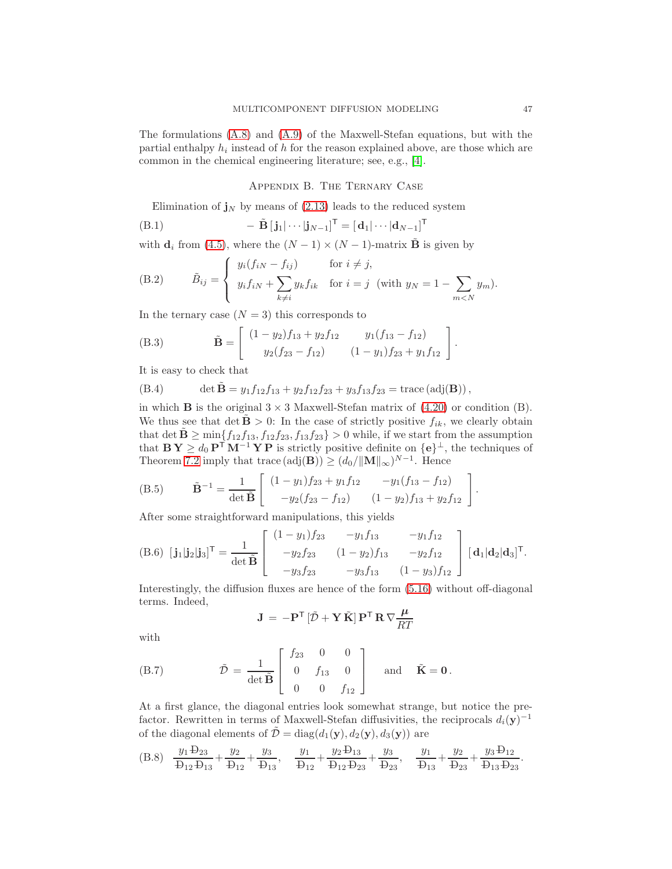The formulations [\(A.8\)](#page-45-2) and [\(A.9\)](#page-45-3) of the Maxwell-Stefan equations, but with the partial enthalpy  $h_i$  instead of h for the reason explained above, are those which are common in the chemical engineering literature; see, e.g., [\[4\]](#page-41-1).

Appendix B. The Ternary Case

<span id="page-46-0"></span>Elimination of  $j_N$  by means of [\(2.13\)](#page-5-5) leads to the reduced system

(B.1) 
$$
- \tilde{\mathbf{B}} \left[ \mathbf{j}_1 | \cdots | \mathbf{j}_{N-1} \right]^{\mathsf{T}} = \left[ \mathbf{d}_1 | \cdots | \mathbf{d}_{N-1} \right]^{\mathsf{T}}
$$

with  $\mathbf{d}_i$  from [\(4.5\)](#page-12-3), where the  $(N-1) \times (N-1)$ -matrix  $\tilde{\mathbf{B}}$  is given by

(B.2) 
$$
\tilde{B}_{ij} = \begin{cases} y_i(f_{iN} - f_{ij}) & \text{for } i \neq j, \\ y_i f_{iN} + \sum_{k \neq i} y_k f_{ik} & \text{for } i = j \text{ (with } y_N = 1 - \sum_{m < N} y_m). \end{cases}
$$

In the ternary case  $(N = 3)$  this corresponds to

(B.3) 
$$
\tilde{\mathbf{B}} = \begin{bmatrix} (1 - y_2)f_{13} + y_2f_{12} & y_1(f_{13} - f_{12}) \\ y_2(f_{23} - f_{12}) & (1 - y_1)f_{23} + y_1f_{12} \end{bmatrix}.
$$

It is easy to check that

(B.4) 
$$
\det \tilde{\mathbf{B}} = y_1 f_{12} f_{13} + y_2 f_{12} f_{23} + y_3 f_{13} f_{23} = \text{trace}(\text{adj}(\mathbf{B})),
$$

in which **B** is the original  $3 \times 3$  Maxwell-Stefan matrix of  $(4.20)$  or condition  $(B)$ . We thus see that det  $\mathbf{B} > 0$ : In the case of strictly positive  $f_{ik}$ , we clearly obtain that det  $\mathbf{\tilde{B}} \ge \min\{f_{12}f_{13}, f_{12}f_{23}, f_{13}f_{23}\} > 0$  while, if we start from the assumption that  $\mathbf{B} \mathbf{Y} \geq d_0 \mathbf{P}^{\mathsf{T}} \mathbf{M}^{-1} \mathbf{Y} \mathbf{P}$  is strictly positive definite on  $\{\mathbf{e}\}^{\perp}$ , the techniques of Theorem [7.2](#page-26-0) imply that trace  $(\text{adj}(\mathbf{B})) \ge (d_0/||\mathbf{M}||_{\infty})^{N-1}$ . Hence

(B.5) 
$$
\tilde{\mathbf{B}}^{-1} = \frac{1}{\det \tilde{\mathbf{B}}} \begin{bmatrix} (1 - y_1) f_{23} + y_1 f_{12} & -y_1 (f_{13} - f_{12}) \\ -y_2 (f_{23} - f_{12}) & (1 - y_2) f_{13} + y_2 f_{12} \end{bmatrix}.
$$

After some straightforward manipulations, this yields

$$
(B.6) \ [\mathbf{j}_1|\mathbf{j}_2|\mathbf{j}_3]^{\mathsf{T}} = \frac{1}{\det \tilde{\mathbf{B}}} \begin{bmatrix} (1-y_1)f_{23} & -y_1f_{13} & -y_1f_{12} \\ -y_2f_{23} & (1-y_2)f_{13} & -y_2f_{12} \\ -y_3f_{23} & -y_3f_{13} & (1-y_3)f_{12} \end{bmatrix} [\mathbf{d}_1|\mathbf{d}_2|\mathbf{d}_3]^{\mathsf{T}}.
$$

Interestingly, the diffusion fluxes are hence of the form [\(5.16\)](#page-19-0) without off-diagonal terms. Indeed,

$$
\mathbf{J} = -\mathbf{P}^{\mathsf{T}} \left[ \tilde{\mathcal{D}} + \mathbf{Y} \tilde{\mathbf{K}} \right] \mathbf{P}^{\mathsf{T}} \mathbf{R} \nabla \frac{\mu}{RT}
$$

with

(B.7) 
$$
\tilde{\mathcal{D}} = \frac{1}{\det \tilde{\mathbf{B}}} \begin{bmatrix} f_{23} & 0 & 0 \\ 0 & f_{13} & 0 \\ 0 & 0 & f_{12} \end{bmatrix} \text{ and } \tilde{\mathbf{K}} = \mathbf{0}.
$$

At a first glance, the diagonal entries look somewhat strange, but notice the prefactor. Rewritten in terms of Maxwell-Stefan diffusivities, the reciprocals  $d_i(y)^{-1}$ of the diagonal elements of  $\mathcal{D} = \text{diag}(d_1(\mathbf{y}), d_2(\mathbf{y}), d_3(\mathbf{y}))$  are

(B.8) 
$$
\frac{y_1 \text{ }+ y_2}{\text{ } 2 \text{ } 2 \text{ } 2 \text{ } 3 \text{ } 3} + \frac{y_2}{\text{ } 2 \text{ } 2 \text{ } 3 \text{ } 4} + \frac{y_3}{\text{ } 2 \text{ } 3 \text{ } 3}
$$
\n
$$
\frac{y_1}{\text{ } 2 \text{ } 2 \text{ } 2 \text{ } 2 \text{ } 3} + \frac{y_2 \text{ }+ y_3}{\text{ } 2 \text{ } 2 \text{ } 2 \text{ } 3} + \frac{y_3}{\text{ } 2 \text{ } 2 \text{ } 3 \text{ } 2} + \frac{y_4}{\text{ } 2 \text{ } 2 \text{ } 3} + \frac{y_3 \text{ }+ y_2}{\text{ } 2 \text{ } 2 \text{ } 3 \text{ } 4} + \frac{y_4 \text{ }+ y_3 \text{ }+ y_4}{\text{ } 2 \text{ } 2 \text{ } 3 \text{ } 4} + \frac{y_5}{\text{ } 2 \text{ } 2 \text{ } 3 \text{ } 4} + \frac{y_6 \text{ }+ y_6}{\text{ } 2 \text{ } 2 \text{ } 3 \text{ } 4} + \frac{y_7}{\text{ } 2 \text{ } 2 \text{ } 3 \text{ } 4} + \frac{y_8}{\text{ } 2 \text{ } 2 \text{ } 3 \text{ } 4} + \frac{y_9}{\text{ } 2 \text{ } 2 \text{ } 3 \text{ } 4} + \frac{y_9}{\text{ } 2 \text{ } 2 \text{ } 3 \text{ } 4} + \frac{y_9}{\text{ } 2 \text{ } 2 \text{ } 3 \text{ } 4} + \frac{y_9}{\text{ } 2 \text{ } 2 \text{ } 3 \text{ } 4} + \frac{y_9}{\text{ } 2 \text{ } 2 \text{ } 3 \text{ } 4} + \frac{y_9}{\text{ } 2 \text{ } 2 \text{ } 3 \text{ } 4} + \frac{y_9}{\text{ } 2 \text{ } 2 \text{ } 3 \text{ } 4} + \frac{y_9}{\text{ } 2 \text{ } 2 \text{ } 3 \text{ } 4} + \frac{y_9}{\
$$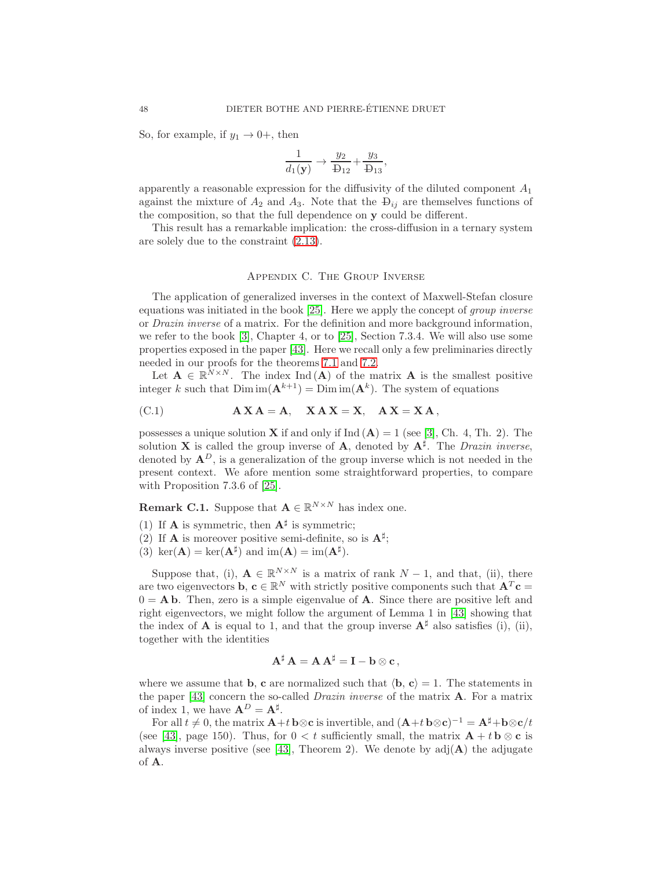So, for example, if  $y_1 \rightarrow 0^+$ , then

$$
\frac{1}{d_1(\mathbf{y})} \rightarrow \frac{y_2}{\mathbf{D}_{12}} + \frac{y_3}{\mathbf{D}_{13}},
$$

apparently a reasonable expression for the diffusivity of the diluted component  $A_1$ against the mixture of  $A_2$  and  $A_3$ . Note that the  $\mathcal{D}_{ij}$  are themselves functions of the composition, so that the full dependence on y could be different.

This result has a remarkable implication: the cross-diffusion in a ternary system are solely due to the constraint [\(2.13\)](#page-5-5).

#### Appendix C. The Group Inverse

<span id="page-47-0"></span>The application of generalized inverses in the context of Maxwell-Stefan closure equations was initiated in the book [\[25\]](#page-42-6). Here we apply the concept of group inverse or Drazin inverse of a matrix. For the definition and more background information, we refer to the book [\[3\]](#page-41-5), Chapter 4, or to [\[25\]](#page-42-6), Section 7.3.4. We will also use some properties exposed in the paper [\[43\]](#page-43-19). Here we recall only a few preliminaries directly needed in our proofs for the theorems [7.1](#page-23-1) and [7.2.](#page-26-0)

Let  $\mathbf{A} \in \mathbb{R}^{N \times N}$ . The index Ind (A) of the matrix **A** is the smallest positive integer k such that  $\text{Dim im}(\mathbf{A}^{k+1}) = \text{Dim im}(\mathbf{A}^k)$ . The system of equations

(C.1) 
$$
A X A = A, X A X = X, AX = X A,
$$

possesses a unique solution **X** if and only if  $Ind(A) = 1$  (see [\[3\]](#page-41-5), Ch. 4, Th. 2). The solution **X** is called the group inverse of **A**, denoted by  $A^{\sharp}$ . The *Drazin inverse*, denoted by  $A^D$ , is a generalization of the group inverse which is not needed in the present context. We afore mention some straightforward properties, to compare with Proposition 7.3.6 of [\[25\]](#page-42-6).

<span id="page-47-1"></span>**Remark C.1.** Suppose that  $\mathbf{A} \in \mathbb{R}^{N \times N}$  has index one.

- (1) If **A** is symmetric, then  $A^{\sharp}$  is symmetric;
- (2) If **A** is moreover positive semi-definite, so is  $A^{\sharp}$ ;
- (3) ker( $\mathbf{A}$ ) = ker( $\mathbf{A}^{\sharp}$ ) and im( $\mathbf{A}$ ) = im( $\mathbf{A}^{\sharp}$ ).

Suppose that, (i),  $\mathbf{A} \in \mathbb{R}^{N \times N}$  is a matrix of rank  $N-1$ , and that, (ii), there are two eigenvectors **b**,  $\mathbf{c} \in \mathbb{R}^N$  with strictly positive components such that  $\mathbf{A}^T \mathbf{c} =$  $0 = A b$ . Then, zero is a simple eigenvalue of A. Since there are positive left and right eigenvectors, we might follow the argument of Lemma 1 in [\[43\]](#page-43-19) showing that the index of **A** is equal to 1, and that the group inverse  $A^{\sharp}$  also satisfies (i), (ii), together with the identities

$$
\mathbf{A}^{\sharp} \mathbf{A} = \mathbf{A} \mathbf{A}^{\sharp} = \mathbf{I} - \mathbf{b} \otimes \mathbf{c},
$$

where we assume that **b**, **c** are normalized such that  $\langle \mathbf{b}, \mathbf{c} \rangle = 1$ . The statements in the paper [\[43\]](#page-43-19) concern the so-called Drazin inverse of the matrix A. For a matrix of index 1, we have  $\mathbf{A}^D = \mathbf{A}^{\sharp}$ .

For all  $t \neq 0$ , the matrix  $\mathbf{A}+t \mathbf{b} \otimes \mathbf{c}$  is invertible, and  $(\mathbf{A}+t \mathbf{b} \otimes \mathbf{c})^{-1} = \mathbf{A}^{\sharp} + \mathbf{b} \otimes \mathbf{c}/t$ (see [\[43\]](#page-43-19), page 150). Thus, for  $0 < t$  sufficiently small, the matrix  $\mathbf{A} + t \mathbf{b} \otimes \mathbf{c}$  is always inverse positive (see [\[43\]](#page-43-19), Theorem 2). We denote by  $adj(A)$  the adjugate of A.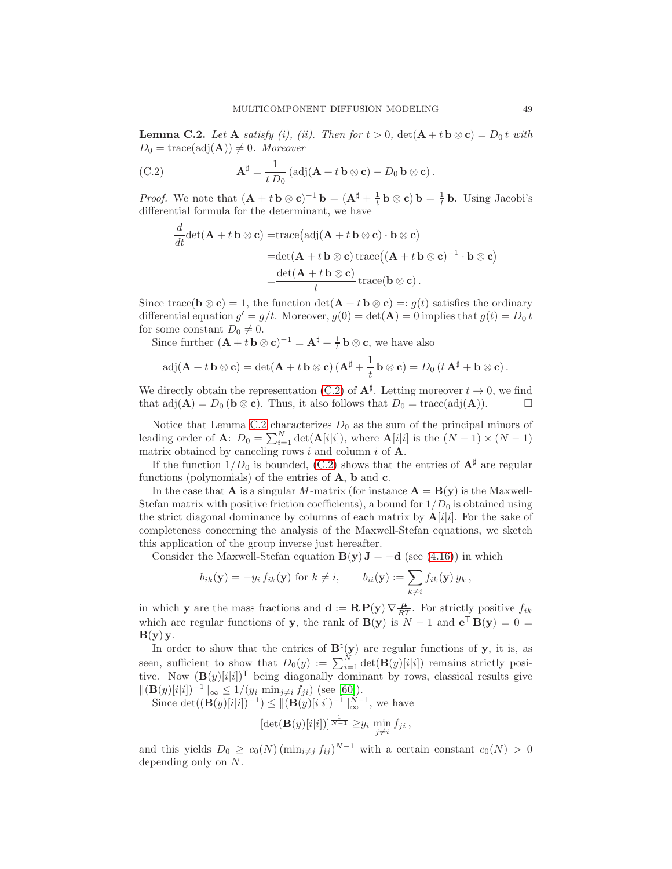<span id="page-48-1"></span>**Lemma C.2.** Let **A** satisfy (i), (ii). Then for  $t > 0$ ,  $\det(A + t \mathbf{b} \otimes \mathbf{c}) = D_0 t$  with  $D_0 = \text{trace}(\text{adj}(\mathbf{A})) \neq 0$ . Moreover

<span id="page-48-0"></span>(C.2) 
$$
\mathbf{A}^{\sharp} = \frac{1}{t D_0} \left( \mathrm{adj}(\mathbf{A} + t \mathbf{b} \otimes \mathbf{c}) - D_0 \mathbf{b} \otimes \mathbf{c} \right).
$$

*Proof.* We note that  $(\mathbf{A} + t \mathbf{b} \otimes \mathbf{c})^{-1} \mathbf{b} = (\mathbf{A}^{\sharp} + \frac{1}{t} \mathbf{b} \otimes \mathbf{c}) \mathbf{b} = \frac{1}{t} \mathbf{b}$ . Using Jacobi's differential formula for the determinant, we have

$$
\frac{d}{dt} \det(\mathbf{A} + t \mathbf{b} \otimes \mathbf{c}) = \text{trace}(\text{adj}(\mathbf{A} + t \mathbf{b} \otimes \mathbf{c}) \cdot \mathbf{b} \otimes \mathbf{c})
$$
\n
$$
= \det(\mathbf{A} + t \mathbf{b} \otimes \mathbf{c}) \text{trace}((\mathbf{A} + t \mathbf{b} \otimes \mathbf{c})^{-1} \cdot \mathbf{b} \otimes \mathbf{c})
$$
\n
$$
= \frac{\det(\mathbf{A} + t \mathbf{b} \otimes \mathbf{c})}{t} \text{trace}(\mathbf{b} \otimes \mathbf{c}).
$$

Since trace( $\mathbf{b} \otimes \mathbf{c}$ ) = 1, the function det( $\mathbf{A} + t \mathbf{b} \otimes \mathbf{c}$ ) = :  $g(t)$  satisfies the ordinary differential equation  $g' = g/t$ . Moreover,  $g(0) = det(\mathbf{A}) = 0$  implies that  $g(t) = D_0 t$ for some constant  $D_0 \neq 0$ .

Since further  $(\mathbf{A} + t \mathbf{b} \otimes \mathbf{c})^{-1} = \mathbf{A}^{\sharp} + \frac{1}{t} \mathbf{b} \otimes \mathbf{c}$ , we have also

$$
\mathrm{adj}(\mathbf{A} + t \mathbf{b} \otimes \mathbf{c}) = \det(\mathbf{A} + t \mathbf{b} \otimes \mathbf{c}) (\mathbf{A}^{\sharp} + \frac{1}{t} \mathbf{b} \otimes \mathbf{c}) = D_0 (t \mathbf{A}^{\sharp} + \mathbf{b} \otimes \mathbf{c}).
$$

We directly obtain the representation [\(C.2\)](#page-48-0) of  $\mathbf{A}^{\sharp}$ . Letting moreover  $t \to 0$ , we find that  $adj(A) = D_0$  ( $b \otimes c$ ). Thus, it also follows that  $D_0 = \text{trace}(\text{adj}(A))$ .

Notice that Lemma [C.2](#page-48-1) characterizes  $D_0$  as the sum of the principal minors of leading order of **A**:  $D_0 = \sum_{i=1}^{N} \det(\mathbf{A}[i|i]),$  where  $\mathbf{A}[i|i]$  is the  $(N-1) \times (N-1)$ matrix obtained by canceling rows i and column i of  $A$ .

If the function  $1/D_0$  is bounded, [\(C.2\)](#page-48-0) shows that the entries of  $A^{\sharp}$  are regular functions (polynomials) of the entries of  $A$ ,  $b$  and  $c$ .

In the case that **A** is a singular M-matrix (for instance  $\mathbf{A} = \mathbf{B}(\mathbf{y})$  is the Maxwell-Stefan matrix with positive friction coefficients), a bound for  $1/D_0$  is obtained using the strict diagonal dominance by columns of each matrix by  $A[i|i]$ . For the sake of completeness concerning the analysis of the Maxwell-Stefan equations, we sketch this application of the group inverse just hereafter.

Consider the Maxwell-Stefan equation  $\mathbf{B}(\mathbf{y}) \mathbf{J} = -\mathbf{d}$  (see [\(4.16\)](#page-14-2)) in which

$$
b_{ik}(\mathbf{y}) = -y_i f_{ik}(\mathbf{y}) \text{ for } k \neq i, \qquad b_{ii}(\mathbf{y}) := \sum_{k \neq i} f_{ik}(\mathbf{y}) y_k,
$$

in which **y** are the mass fractions and  $\mathbf{d} := \mathbf{R} \mathbf{P}(\mathbf{y}) \nabla \frac{\mu}{RT}$ . For strictly positive  $f_{ik}$ which are regular functions of y, the rank of  $\mathbf{B}(\mathbf{y})$  is  $N-1$  and  $\mathbf{e}^{\mathsf{T}}\mathbf{B}(\mathbf{y})=0$  =  $B(y) y$ .

In order to show that the entries of  $\mathbf{B}^{\sharp}(\mathbf{y})$  are regular functions of y, it is, as seen, sufficient to show that  $D_0(y) := \sum_{i=1}^N \det(\mathbf{B}(y)[i|i])$  remains strictly positive. Now  $(\mathbf{B}(y)[i|i])^{\mathsf{T}}$  being diagonally dominant by rows, classical results give  $\|(\mathbf{B}(y)[i|i])^{-1}\|_{\infty} \le 1/(y_i \min_{j \neq i} f_{ji})$  (see [\[60\]](#page-44-9)).

Since  $\det((\mathbf{B}(y)[i|i])^{-1}) \leq ||(\mathbf{B}(y)[i|i])^{-1}||_{\infty}^{N-1}$ , we have  $[\det(\mathbf{B}(y)[i|i])]$ <sup> $\frac{1}{N-1} \geq y_i \min_{j \neq i} f_{ji}$ ,</sup>

and this yields  $D_0 \geq c_0(N) (\min_{i \neq j} f_{ij})^{N-1}$  with a certain constant  $c_0(N) > 0$ depending only on N.